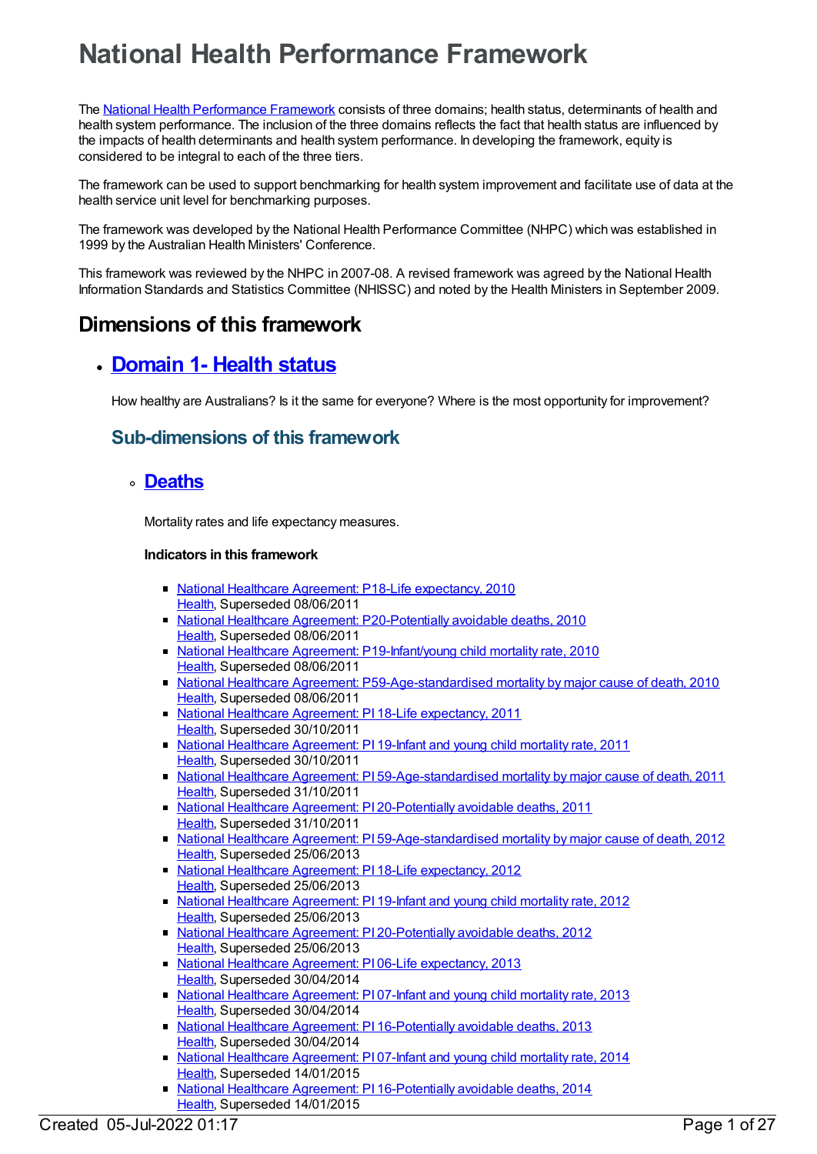# **National Health Performance Framework**

The National Health [Performance](file:///content/435314) Framework consists of three domains; health status, determinants of health and health system performance. The inclusion of the three domains reflects the fact that health status are influenced by the impacts of health determinants and health system performance. In developing the framework, equity is considered to be integral to each of the three tiers.

The framework can be used to support benchmarking for health system improvement and facilitate use of data at the health service unit level for benchmarking purposes.

The framework was developed by the National Health Performance Committee (NHPC) which was established in 1999 by the Australian Health Ministers' Conference.

This framework was reviewed by the NHPC in 2007-08. A revised framework was agreed by the National Health Information Standards and Statistics Committee (NHISSC) and noted by the Health Ministers in September 2009.

# **Dimensions of this framework**

# **[Domain](https://meteor.aihw.gov.au/content/392570) 1- Health status**

How healthy are Australians? Is it the same for everyone? Where is the most opportunity for improvement?

### **Sub-dimensions of this framework**

### **[Deaths](https://meteor.aihw.gov.au/content/392575)**

Mortality rates and life expectancy measures.

- National Healthcare Agreement: P18-Life [expectancy,](https://meteor.aihw.gov.au/content/394445) 2010 [Health](https://meteor.aihw.gov.au/RegistrationAuthority/12), Superseded 08/06/2011
- National Healthcare Agreement: [P20-Potentially](https://meteor.aihw.gov.au/content/394495) avoidable deaths, 2010 [Health](https://meteor.aihw.gov.au/RegistrationAuthority/12), Superseded 08/06/2011
- National Healthcare Agreement: [P19-Infant/young](https://meteor.aihw.gov.au/content/394462) child mortality rate, 2010 [Health](https://meteor.aihw.gov.au/RegistrationAuthority/12), Superseded 08/06/2011
- National Healthcare Agreement: [P59-Age-standardised](https://meteor.aihw.gov.au/content/395099) mortality by major cause of death, 2010 [Health](https://meteor.aihw.gov.au/RegistrationAuthority/12), Superseded 08/06/2011
- National Healthcare Agreement: PI 18-Life [expectancy,](https://meteor.aihw.gov.au/content/421657) 2011 [Health](https://meteor.aihw.gov.au/RegistrationAuthority/12), Superseded 30/10/2011
- National Healthcare [Agreement:](https://meteor.aihw.gov.au/content/421655) PI 19-Infant and young child mortality rate, 2011 [Health](https://meteor.aihw.gov.au/RegistrationAuthority/12), Superseded 30/10/2011
- National Healthcare Agreement: PI [59-Age-standardised](https://meteor.aihw.gov.au/content/421594) mortality by major cause of death, 2011 [Health](https://meteor.aihw.gov.au/RegistrationAuthority/12), Superseded 31/10/2011
- National Healthcare Agreement: PI [20-Potentially](https://meteor.aihw.gov.au/content/421653) avoidable deaths, 2011 [Health](https://meteor.aihw.gov.au/RegistrationAuthority/12), Superseded 31/10/2011
- National Healthcare Agreement: PI [59-Age-standardised](https://meteor.aihw.gov.au/content/443713) mortality by major cause of death, 2012 [Health](https://meteor.aihw.gov.au/RegistrationAuthority/12), Superseded 25/06/2013
- National Healthcare Agreement: PI 18-Life [expectancy,](https://meteor.aihw.gov.au/content/443680) 2012 [Health](https://meteor.aihw.gov.au/RegistrationAuthority/12), Superseded 25/06/2013
- National Healthcare [Agreement:](https://meteor.aihw.gov.au/content/443683) PI 19-Infant and young child mortality rate, 2012 [Health](https://meteor.aihw.gov.au/RegistrationAuthority/12), Superseded 25/06/2013
- National Healthcare Agreement: PI [20-Potentially](https://meteor.aihw.gov.au/content/443685) avoidable deaths, 2012 [Health](https://meteor.aihw.gov.au/RegistrationAuthority/12), Superseded 25/06/2013
- National Healthcare Agreement: PI 06-Life [expectancy,](https://meteor.aihw.gov.au/content/498187) 2013 [Health](https://meteor.aihw.gov.au/RegistrationAuthority/12), Superseded 30/04/2014
- National Healthcare [Agreement:](https://meteor.aihw.gov.au/content/498177) PI 07-Infant and young child mortality rate, 2013 [Health](https://meteor.aihw.gov.au/RegistrationAuthority/12), Superseded 30/04/2014
- National Healthcare Agreement: PI [16-Potentially](https://meteor.aihw.gov.au/content/497242) avoidable deaths, 2013 [Health](https://meteor.aihw.gov.au/RegistrationAuthority/12), Superseded 30/04/2014
- National Healthcare [Agreement:](https://meteor.aihw.gov.au/content/517673) PI 07-Infant and young child mortality rate, 2014 [Health](https://meteor.aihw.gov.au/RegistrationAuthority/12), Superseded 14/01/2015
- National Healthcare Agreement: PI [16-Potentially](https://meteor.aihw.gov.au/content/517652) avoidable deaths, 2014 [Health](https://meteor.aihw.gov.au/RegistrationAuthority/12), Superseded 14/01/2015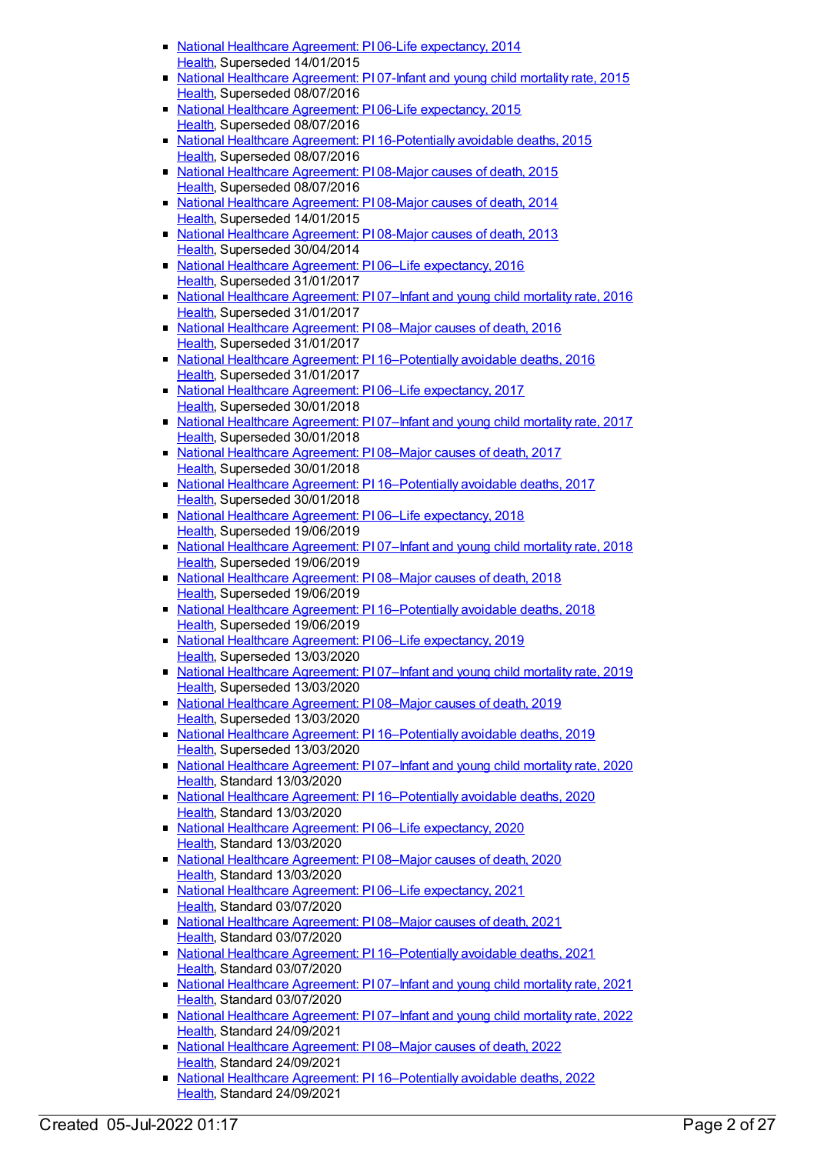- National Healthcare Agreement: PI 06-Life [expectancy,](https://meteor.aihw.gov.au/content/517676) 2014 [Health](https://meteor.aihw.gov.au/RegistrationAuthority/12), Superseded 14/01/2015
- National Healthcare [Agreement:](https://meteor.aihw.gov.au/content/559054) PI 07-Infant and young child mortality rate, 2015 [Health](https://meteor.aihw.gov.au/RegistrationAuthority/12), Superseded 08/07/2016
- National Healthcare Agreement: PI 06-Life [expectancy,](https://meteor.aihw.gov.au/content/559056) 2015 [Health](https://meteor.aihw.gov.au/RegistrationAuthority/12), Superseded 08/07/2016
- National Healthcare Agreement: PI [16-Potentially](https://meteor.aihw.gov.au/content/559036) avoidable deaths, 2015 [Health](https://meteor.aihw.gov.au/RegistrationAuthority/12), Superseded 08/07/2016
- National Healthcare [Agreement:](https://meteor.aihw.gov.au/content/559052) PI 08-Major causes of death, 2015 [Health](https://meteor.aihw.gov.au/RegistrationAuthority/12), Superseded 08/07/2016
- National Healthcare [Agreement:](https://meteor.aihw.gov.au/content/517671) PI 08-Major causes of death, 2014 [Health](https://meteor.aihw.gov.au/RegistrationAuthority/12), Superseded 14/01/2015
- National Healthcare [Agreement:](https://meteor.aihw.gov.au/content/497524) PI 08-Major causes of death, 2013 [Health](https://meteor.aihw.gov.au/RegistrationAuthority/12), Superseded 30/04/2014
- National Healthcare Agreement: PI 06–Life [expectancy,](https://meteor.aihw.gov.au/content/598837) 2016 [Health](https://meteor.aihw.gov.au/RegistrationAuthority/12), Superseded 31/01/2017
- National Healthcare [Agreement:](https://meteor.aihw.gov.au/content/598835) PI 07–Infant and young child mortality rate, 2016 [Health](https://meteor.aihw.gov.au/RegistrationAuthority/12), Superseded 31/01/2017
- National Healthcare [Agreement:](https://meteor.aihw.gov.au/content/598815) P108–Major causes of death, 2016 [Health](https://meteor.aihw.gov.au/RegistrationAuthority/12), Superseded 31/01/2017
- National Healthcare Agreement: PI 16-Potentially avoidable deaths, 2016 [Health](https://meteor.aihw.gov.au/RegistrationAuthority/12), Superseded 31/01/2017
- National Healthcare Agreement: PI 06-Life [expectancy,](https://meteor.aihw.gov.au/content/630002) 2017 [Health](https://meteor.aihw.gov.au/RegistrationAuthority/12), Superseded 30/01/2018
- National Healthcare [Agreement:](https://meteor.aihw.gov.au/content/630004) PI 07-Infant and young child mortality rate, 2017 [Health](https://meteor.aihw.gov.au/RegistrationAuthority/12), Superseded 30/01/2018
- National Healthcare [Agreement:](https://meteor.aihw.gov.au/content/630006) PI 08–Major causes of death, 2017 [Health](https://meteor.aihw.gov.au/RegistrationAuthority/12), Superseded 30/01/2018
- National Healthcare Agreement: PI [16–Potentially](https://meteor.aihw.gov.au/content/630024) avoidable deaths, 2017 [Health](https://meteor.aihw.gov.au/RegistrationAuthority/12), Superseded 30/01/2018
- National Healthcare Agreement: PI 06–Life [expectancy,](https://meteor.aihw.gov.au/content/658523) 2018 [Health](https://meteor.aihw.gov.au/RegistrationAuthority/12), Superseded 19/06/2019
- National Healthcare [Agreement:](https://meteor.aihw.gov.au/content/658521) PI 07-Infant and young child mortality rate, 2018 [Health](https://meteor.aihw.gov.au/RegistrationAuthority/12), Superseded 19/06/2019
- National Healthcare [Agreement:](https://meteor.aihw.gov.au/content/658519) P108–Major causes of death, 2018 [Health](https://meteor.aihw.gov.au/RegistrationAuthority/12), Superseded 19/06/2019
- National Healthcare Agreement: PI 16-Potentially avoidable deaths, 2018 [Health](https://meteor.aihw.gov.au/RegistrationAuthority/12), Superseded 19/06/2019
- National Healthcare Agreement: PI 06-Life [expectancy,](https://meteor.aihw.gov.au/content/698928) 2019 [Health](https://meteor.aihw.gov.au/RegistrationAuthority/12), Superseded 13/03/2020
- National Healthcare [Agreement:](https://meteor.aihw.gov.au/content/698926) PI 07–Infant and young child mortality rate, 2019 [Health](https://meteor.aihw.gov.au/RegistrationAuthority/12), Superseded 13/03/2020
- National Healthcare [Agreement:](https://meteor.aihw.gov.au/content/698924) PI 08–Major causes of death, 2019 [Health](https://meteor.aihw.gov.au/RegistrationAuthority/12), Superseded 13/03/2020
- National Healthcare Agreement: PI [16–Potentially](https://meteor.aihw.gov.au/content/698908) avoidable deaths, 2019 [Health](https://meteor.aihw.gov.au/RegistrationAuthority/12), Superseded 13/03/2020
- **National Healthcare [Agreement:](https://meteor.aihw.gov.au/content/716308) PI 07–Infant and young child mortality rate, 2020** [Health](https://meteor.aihw.gov.au/RegistrationAuthority/12), Standard 13/03/2020
- National Healthcare Agreement: PI [16–Potentially](https://meteor.aihw.gov.au/content/716490) avoidable deaths, 2020 [Health](https://meteor.aihw.gov.au/RegistrationAuthority/12), Standard 13/03/2020
- National Healthcare Agreement: PI 06–Life [expectancy,](https://meteor.aihw.gov.au/content/716297) 2020 [Health](https://meteor.aihw.gov.au/RegistrationAuthority/12), Standard 13/03/2020
- National Healthcare [Agreement:](https://meteor.aihw.gov.au/content/716346) PI 08–Major causes of death, 2020 [Health](https://meteor.aihw.gov.au/RegistrationAuthority/12), Standard 13/03/2020
- National Healthcare Agreement: P106–Life [expectancy,](https://meteor.aihw.gov.au/content/725818) 2021 [Health](https://meteor.aihw.gov.au/RegistrationAuthority/12), Standard 03/07/2020
- National Healthcare [Agreement:](https://meteor.aihw.gov.au/content/725813) PI 08–Major causes of death, 2021 [Health](https://meteor.aihw.gov.au/RegistrationAuthority/12), Standard 03/07/2020
- National Healthcare Agreement: PI [16–Potentially](https://meteor.aihw.gov.au/content/725797) avoidable deaths, 2021 [Health](https://meteor.aihw.gov.au/RegistrationAuthority/12), Standard 03/07/2020
- National Healthcare [Agreement:](https://meteor.aihw.gov.au/content/725815) PI 07–Infant and young child mortality rate, 2021 [Health](https://meteor.aihw.gov.au/RegistrationAuthority/12), Standard 03/07/2020
- National Healthcare [Agreement:](https://meteor.aihw.gov.au/content/740882) PI 07-Infant and young child mortality rate, 2022 [Health](https://meteor.aihw.gov.au/RegistrationAuthority/12), Standard 24/09/2021
- National Healthcare [Agreement:](https://meteor.aihw.gov.au/content/740880) P108–Major causes of death, 2022 [Health](https://meteor.aihw.gov.au/RegistrationAuthority/12), Standard 24/09/2021
- National Healthcare Agreement: PI [16–Potentially](https://meteor.aihw.gov.au/content/740864) avoidable deaths, 2022 [Health](https://meteor.aihw.gov.au/RegistrationAuthority/12), Standard 24/09/2021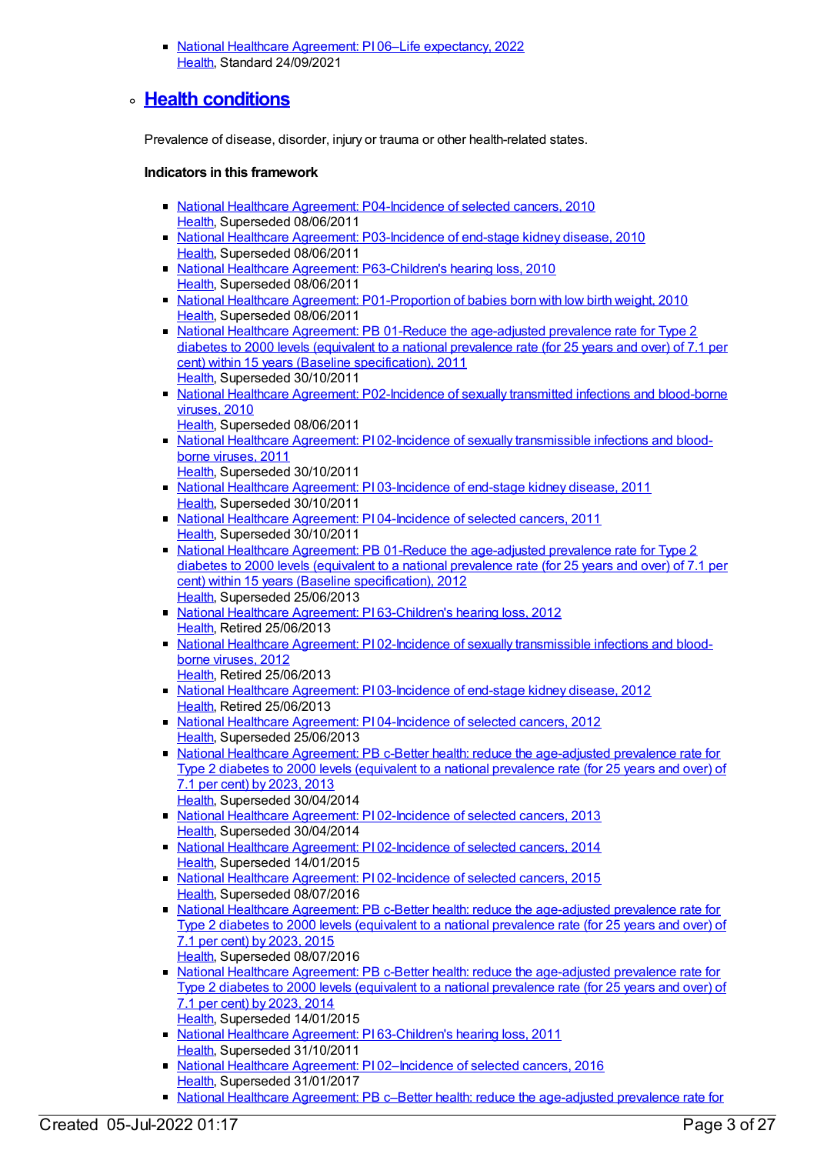■ National Healthcare Agreement: PI 06–Life [expectancy,](https://meteor.aihw.gov.au/content/740884) 2022 [Health](https://meteor.aihw.gov.au/RegistrationAuthority/12), Standard 24/09/2021

### **Health [conditions](https://meteor.aihw.gov.au/content/392574)**

Prevalence of disease, disorder, injury or trauma or other health-related states.

- National Healthcare Agreement: [P04-Incidence](https://meteor.aihw.gov.au/content/393532) of selected cancers, 2010 [Health](https://meteor.aihw.gov.au/RegistrationAuthority/12), Superseded 08/06/2011
- National Healthcare Agreement: [P03-Incidence](https://meteor.aihw.gov.au/content/393143) of end-stage kidney disease, 2010 [Health](https://meteor.aihw.gov.au/RegistrationAuthority/12), Superseded 08/06/2011
- National Healthcare Agreement: [P63-Children's](https://meteor.aihw.gov.au/content/395109) hearing loss, 2010 [Health](https://meteor.aihw.gov.au/RegistrationAuthority/12), Superseded 08/06/2011
- National Healthcare Agreement: [P01-Proportion](https://meteor.aihw.gov.au/content/392491) of babies born with low birth weight, 2010 [Health](https://meteor.aihw.gov.au/RegistrationAuthority/12), Superseded 08/06/2011
- National Healthcare Agreement: PB 01-Reduce the [age-adjusted](https://meteor.aihw.gov.au/content/428917) prevalence rate for Type 2 diabetes to 2000 levels (equivalent to a national prevalence rate (for 25 years and over) of 7.1 per cent) within 15 years (Baseline specification), 2011 [Health](https://meteor.aihw.gov.au/RegistrationAuthority/12), Superseded 30/10/2011
- National Healthcare Agreement: [P02-Incidence](https://meteor.aihw.gov.au/content/393139) of sexually transmitted infections and blood-borne viruses, 2010
	- [Health](https://meteor.aihw.gov.au/RegistrationAuthority/12), Superseded 08/06/2011
- National Healthcare Agreement: PI 02-Incidence of sexually [transmissible](https://meteor.aihw.gov.au/content/421697) infections and bloodborne viruses, 2011
	- [Health](https://meteor.aihw.gov.au/RegistrationAuthority/12), Superseded 30/10/2011
- National Healthcare Agreement: PI [03-Incidence](https://meteor.aihw.gov.au/content/421695) of end-stage kidney disease, 2011 [Health](https://meteor.aihw.gov.au/RegistrationAuthority/12), Superseded 30/10/2011
- National Healthcare Agreement: PI [04-Incidence](https://meteor.aihw.gov.au/content/421693) of selected cancers, 2011 [Health](https://meteor.aihw.gov.au/RegistrationAuthority/12), Superseded 30/10/2011
- National Healthcare Agreement: PB 01-Reduce the [age-adjusted](https://meteor.aihw.gov.au/content/435807) prevalence rate for Type 2 diabetes to 2000 levels (equivalent to a national prevalence rate (for 25 years and over) of 7.1 per cent) within 15 years (Baseline specification), 2012 [Health](https://meteor.aihw.gov.au/RegistrationAuthority/12), Superseded 25/06/2013
- National Healthcare Agreement: PI [63-Children's](https://meteor.aihw.gov.au/content/435995) hearing loss, 2012 [Health](https://meteor.aihw.gov.au/RegistrationAuthority/12), Retired 25/06/2013
- National Healthcare Agreement: PI 02-Incidence of sexually [transmissible](https://meteor.aihw.gov.au/content/435959) infections and bloodborne viruses, 2012 [Health](https://meteor.aihw.gov.au/RegistrationAuthority/12), Retired 25/06/2013
- National Healthcare Agreement: PI [03-Incidence](https://meteor.aihw.gov.au/content/435837) of end-stage kidney disease, 2012 [Health](https://meteor.aihw.gov.au/RegistrationAuthority/12), Retired 25/06/2013
- National Healthcare Agreement: PI [04-Incidence](https://meteor.aihw.gov.au/content/435839) of selected cancers, 2012 [Health](https://meteor.aihw.gov.au/RegistrationAuthority/12), Superseded 25/06/2013
- National Healthcare Agreement: PB c-Better health: reduce the [age-adjusted](https://meteor.aihw.gov.au/content/498350) prevalence rate for Type 2 diabetes to 2000 levels (equivalent to a national prevalence rate (for 25 years and over) of 7.1 per cent) by 2023, 2013 [Health](https://meteor.aihw.gov.au/RegistrationAuthority/12), Superseded 30/04/2014
- National Healthcare Agreement: PI [02-Incidence](https://meteor.aihw.gov.au/content/498207) of selected cancers, 2013 [Health](https://meteor.aihw.gov.au/RegistrationAuthority/12), Superseded 30/04/2014
- National Healthcare Agreement: PI [02-Incidence](https://meteor.aihw.gov.au/content/517686) of selected cancers, 2014 [Health](https://meteor.aihw.gov.au/RegistrationAuthority/12), Superseded 14/01/2015
- National Healthcare Agreement: PI [02-Incidence](https://meteor.aihw.gov.au/content/559064) of selected cancers, 2015 [Health](https://meteor.aihw.gov.au/RegistrationAuthority/12), Superseded 08/07/2016
- National Healthcare Agreement: PB c-Better health: reduce the [age-adjusted](https://meteor.aihw.gov.au/content/559077) prevalence rate for Type 2 diabetes to 2000 levels (equivalent to a national prevalence rate (for 25 years and over) of 7.1 per cent) by 2023, 2015 [Health](https://meteor.aihw.gov.au/RegistrationAuthority/12), Superseded 08/07/2016
- National Healthcare Agreement: PB c-Better health: reduce the [age-adjusted](https://meteor.aihw.gov.au/content/517699) prevalence rate for Type 2 diabetes to 2000 levels (equivalent to a national prevalence rate (for 25 years and over) of 7.1 per cent) by 2023, 2014 [Health](https://meteor.aihw.gov.au/RegistrationAuthority/12), Superseded 14/01/2015
- National Healthcare Agreement: PI [63-Children's](https://meteor.aihw.gov.au/content/421585) hearing loss, 2011 [Health](https://meteor.aihw.gov.au/RegistrationAuthority/12), Superseded 31/10/2011
- National Healthcare Agreement: P102-Incidence of selected cancers, 2016 [Health](https://meteor.aihw.gov.au/RegistrationAuthority/12), Superseded 31/01/2017
- National Healthcare Agreement: PB c–Better health: reduce the age-adjusted prevalence rate for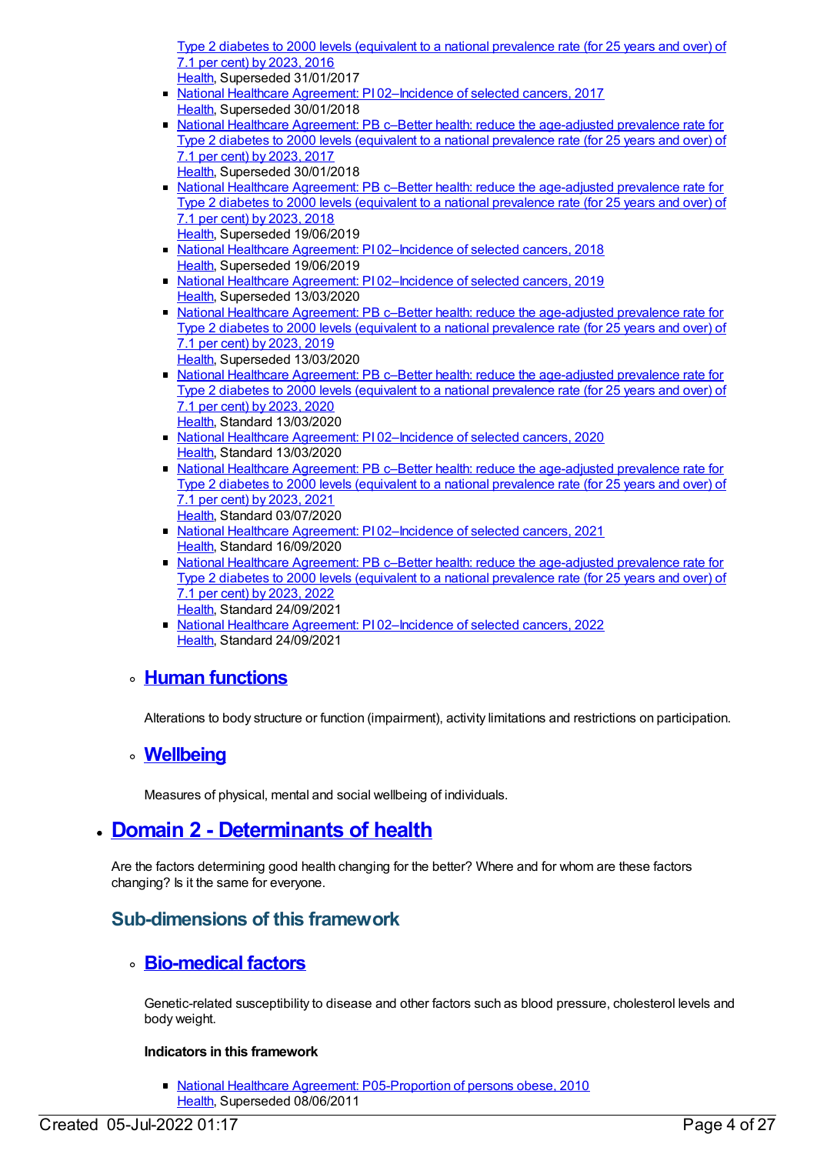Type 2 diabetes to 2000 levels (equivalent to a national [prevalence](https://meteor.aihw.gov.au/content/598858) rate (for 25 years and over) of 7.1 per cent) by 2023, 2016 [Health](https://meteor.aihw.gov.au/RegistrationAuthority/12), Superseded 31/01/2017

- National Healthcare Agreement: PI 02-Incidence of selected cancers, 2017 [Health](https://meteor.aihw.gov.au/RegistrationAuthority/12), Superseded 30/01/2018
- National Healthcare Agreement: PB c–Better health: reduce the [age-adjusted](https://meteor.aihw.gov.au/content/629972) prevalence rate for Type 2 diabetes to 2000 levels (equivalent to a national prevalence rate (for 25 years and over) of 7.1 per cent) by 2023, 2017
- [Health](https://meteor.aihw.gov.au/RegistrationAuthority/12), Superseded 30/01/2018
- National Healthcare Agreement: PB c–Better health: reduce the [age-adjusted](https://meteor.aihw.gov.au/content/658544) prevalence rate for Type 2 diabetes to 2000 levels (equivalent to a national prevalence rate (for 25 years and over) of 7.1 per cent) by 2023, 2018 [Health](https://meteor.aihw.gov.au/RegistrationAuthority/12), Superseded 19/06/2019
- National Healthcare Agreement: PI [02–Incidence](https://meteor.aihw.gov.au/content/658532) of selected cancers, 2018 [Health](https://meteor.aihw.gov.au/RegistrationAuthority/12), Superseded 19/06/2019
- National Healthcare Agreement: PI 02-Incidence of selected cancers, 2019 [Health](https://meteor.aihw.gov.au/RegistrationAuthority/12), Superseded 13/03/2020
- National Healthcare Agreement: PB c-Better health: reduce the [age-adjusted](https://meteor.aihw.gov.au/content/698948) prevalence rate for Type 2 diabetes to 2000 levels (equivalent to a national prevalence rate (for 25 years and over) of 7.1 per cent) by 2023, 2019 [Health](https://meteor.aihw.gov.au/RegistrationAuthority/12), Superseded 13/03/2020
- National Healthcare Agreement: PB c-Better health: reduce the [age-adjusted](https://meteor.aihw.gov.au/content/716258) prevalence rate for Type 2 diabetes to 2000 levels (equivalent to a national prevalence rate (for 25 years and over) of 7.1 per cent) by 2023, 2020 [Health](https://meteor.aihw.gov.au/RegistrationAuthority/12), Standard 13/03/2020
- National Healthcare Agreement: PI 02-Incidence of selected cancers, 2020 [Health](https://meteor.aihw.gov.au/RegistrationAuthority/12), Standard 13/03/2020
- National Healthcare Agreement: PB c–Better health: reduce the [age-adjusted](https://meteor.aihw.gov.au/content/725838) prevalence rate for Type 2 diabetes to 2000 levels (equivalent to a national prevalence rate (for 25 years and over) of 7.1 per cent) by 2023, 2021 [Health](https://meteor.aihw.gov.au/RegistrationAuthority/12), Standard 03/07/2020
- National Healthcare Agreement: P1[02–Incidence](https://meteor.aihw.gov.au/content/725826) of selected cancers, 2021 [Health](https://meteor.aihw.gov.au/RegistrationAuthority/12), Standard 16/09/2020
- National Healthcare Agreement: PB c–Better health: reduce the [age-adjusted](https://meteor.aihw.gov.au/content/740904) prevalence rate for Type 2 diabetes to 2000 levels (equivalent to a national prevalence rate (for 25 years and over) of 7.1 per cent) by 2023, 2022
- [Health](https://meteor.aihw.gov.au/RegistrationAuthority/12), Standard 24/09/2021 ■ National Healthcare Agreement: PI 02-Incidence of selected cancers, 2022 [Health](https://meteor.aihw.gov.au/RegistrationAuthority/12), Standard 24/09/2021

### **Human [functions](https://meteor.aihw.gov.au/content/392573)**

Alterations to body structure or function (impairment), activity limitations and restrictions on participation.

### **[Wellbeing](https://meteor.aihw.gov.au/content/392571)**

Measures of physical, mental and social wellbeing of individuals.

# **Domain 2 - [Determinants](https://meteor.aihw.gov.au/content/392576) of health**

Are the factors determining good health changing for the better? Where and for whom are these factors changing? Is it the same for everyone.

# **Sub-dimensions of this framework**

### **[Bio-medical](https://meteor.aihw.gov.au/content/392578) factors**

Genetic-related susceptibility to disease and other factors such as blood pressure, cholesterol levels and body weight.

#### **Indicators in this framework**

• National Healthcare Agreement: [P05-Proportion](https://meteor.aihw.gov.au/content/394043) of persons obese, 2010 [Health](https://meteor.aihw.gov.au/RegistrationAuthority/12), Superseded 08/06/2011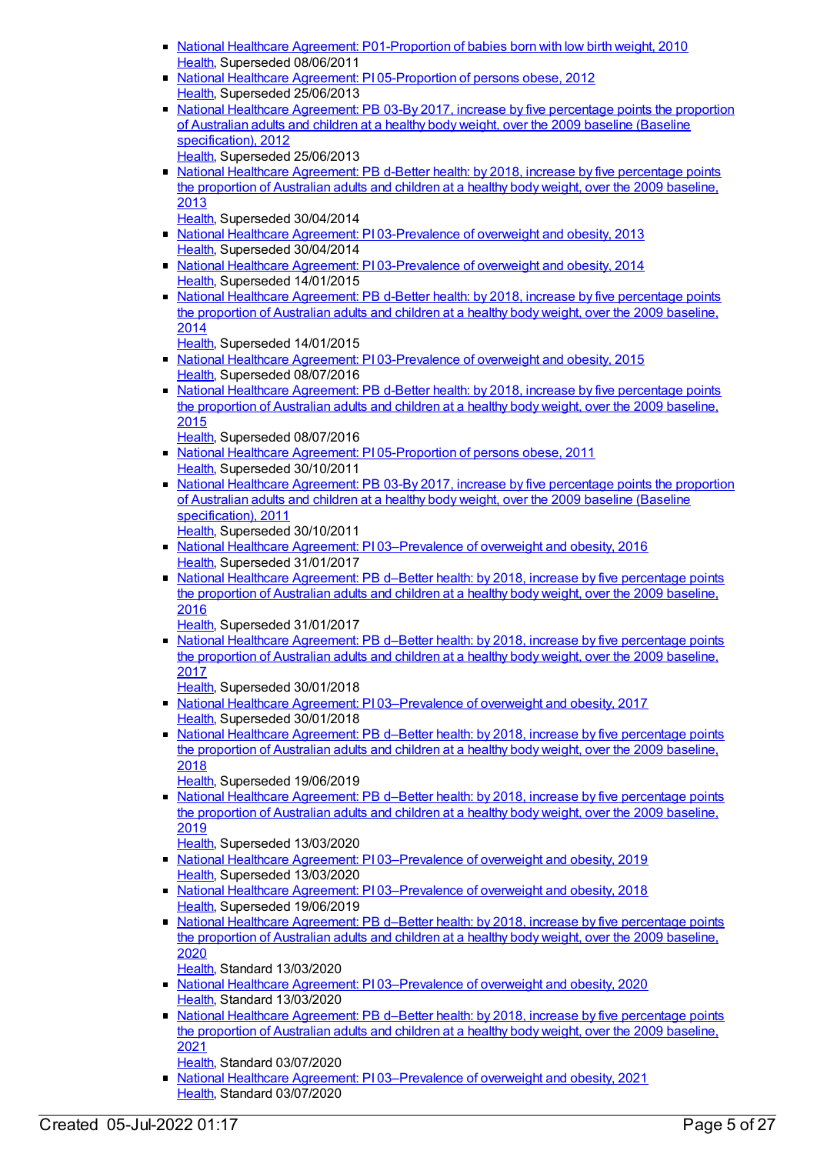- National Healthcare Agreement: [P01-Proportion](https://meteor.aihw.gov.au/content/392491) of babies born with low birth weight, 2010 [Health](https://meteor.aihw.gov.au/RegistrationAuthority/12), Superseded 08/06/2011
- National Healthcare Agreement: PI [05-Proportion](https://meteor.aihw.gov.au/content/435967) of persons obese, 2012 [Health](https://meteor.aihw.gov.au/RegistrationAuthority/12), Superseded 25/06/2013
- National Healthcare [Agreement:](https://meteor.aihw.gov.au/content/435818) PB 03-By 2017, increase by five percentage points the proportion of Australian adults and children at a healthy body weight, over the 2009 baseline (Baseline specification), 2012 [Health](https://meteor.aihw.gov.au/RegistrationAuthority/12), Superseded 25/06/2013
- National Healthcare [Agreement:](https://meteor.aihw.gov.au/content/498348) PB d-Better health: by 2018, increase by five percentage points the proportion of Australian adults and children at a healthy body weight, over the 2009 baseline, 2013

[Health](https://meteor.aihw.gov.au/RegistrationAuthority/12), Superseded 30/04/2014

- National Healthcare Agreement: PI [03-Prevalence](https://meteor.aihw.gov.au/content/498205) of overweight and obesity, 2013 [Health](https://meteor.aihw.gov.au/RegistrationAuthority/12), Superseded 30/04/2014
- National Healthcare Agreement: PI [03-Prevalence](https://meteor.aihw.gov.au/content/517683) of overweight and obesity, 2014 [Health](https://meteor.aihw.gov.au/RegistrationAuthority/12), Superseded 14/01/2015
- National Healthcare [Agreement:](https://meteor.aihw.gov.au/content/517696) PB d-Better health: by 2018, increase by five percentage points the proportion of Australian adults and children at a healthy body weight, over the 2009 baseline, 2014

[Health](https://meteor.aihw.gov.au/RegistrationAuthority/12), Superseded 14/01/2015

- National Healthcare Agreement: PI [03-Prevalence](https://meteor.aihw.gov.au/content/559062) of overweight and obesity, 2015 [Health](https://meteor.aihw.gov.au/RegistrationAuthority/12), Superseded 08/07/2016
- National Healthcare [Agreement:](https://meteor.aihw.gov.au/content/559074) PB d-Better health: by 2018, increase by five percentage points the proportion of Australian adults and children at a healthy body weight, over the 2009 baseline, 2015

[Health](https://meteor.aihw.gov.au/RegistrationAuthority/12), Superseded 08/07/2016

- National Healthcare Agreement: PI [05-Proportion](https://meteor.aihw.gov.au/content/421691) of persons obese, 2011 [Health](https://meteor.aihw.gov.au/RegistrationAuthority/12), Superseded 30/10/2011
- National Healthcare [Agreement:](https://meteor.aihw.gov.au/content/428946) PB 03-By 2017, increase by five percentage points the proportion of Australian adults and children at a healthy body weight, over the 2009 baseline (Baseline specification), 2011
- [Health](https://meteor.aihw.gov.au/RegistrationAuthority/12), Superseded 30/10/2011
- National Healthcare Agreement: PI 03-Prevalence of overweight and obesity, 2016 [Health](https://meteor.aihw.gov.au/RegistrationAuthority/12), Superseded 31/01/2017
- National Healthcare [Agreement:](https://meteor.aihw.gov.au/content/598856) PB d–Better health: by 2018, increase by five percentage points the proportion of Australian adults and children at a healthy body weight, over the 2009 baseline, 2016

[Health](https://meteor.aihw.gov.au/RegistrationAuthority/12), Superseded 31/01/2017

- National Healthcare [Agreement:](https://meteor.aihw.gov.au/content/629974) PB d–Better health: by 2018, increase by five percentage points the proportion of Australian adults and children at a healthy body weight, over the 2009 baseline, 2017
	- [Health](https://meteor.aihw.gov.au/RegistrationAuthority/12), Superseded 30/01/2018
- National Healthcare Agreement: PI [03–Prevalence](https://meteor.aihw.gov.au/content/629989) of overweight and obesity, 2017 [Health](https://meteor.aihw.gov.au/RegistrationAuthority/12), Superseded 30/01/2018
- National Healthcare [Agreement:](https://meteor.aihw.gov.au/content/658542) PB d–Better health: by 2018, increase by five percentage points the proportion of Australian adults and children at a healthy body weight, over the 2009 baseline, 2018

[Health](https://meteor.aihw.gov.au/RegistrationAuthority/12), Superseded 19/06/2019

• National Healthcare [Agreement:](https://meteor.aihw.gov.au/content/698946) PB d–Better health: by 2018, increase by five percentage points the proportion of Australian adults and children at a healthy body weight, over the 2009 baseline, 2019

[Health](https://meteor.aihw.gov.au/RegistrationAuthority/12), Superseded 13/03/2020

- National Healthcare Agreement: PI [03–Prevalence](https://meteor.aihw.gov.au/content/698934) of overweight and obesity, 2019 [Health](https://meteor.aihw.gov.au/RegistrationAuthority/12), Superseded 13/03/2020
- National Healthcare Agreement: PI 03-Prevalence of overweight and obesity, 2018 [Health](https://meteor.aihw.gov.au/RegistrationAuthority/12), Superseded 19/06/2019
- National Healthcare [Agreement:](https://meteor.aihw.gov.au/content/716260) PB d–Better health: by 2018, increase by five percentage points the proportion of Australian adults and children at a healthy body weight, over the 2009 baseline, 2020
	- [Health](https://meteor.aihw.gov.au/RegistrationAuthority/12), Standard 13/03/2020
- National Healthcare Agreement: PI [03–Prevalence](https://meteor.aihw.gov.au/content/716275) of overweight and obesity, 2020 [Health](https://meteor.aihw.gov.au/RegistrationAuthority/12), Standard 13/03/2020
- National Healthcare [Agreement:](https://meteor.aihw.gov.au/content/725836) PB d–Better health: by 2018, increase by five percentage points the proportion of Australian adults and children at a healthy body weight, over the 2009 baseline, 2021

[Health](https://meteor.aihw.gov.au/RegistrationAuthority/12), Standard 03/07/2020

■ National Healthcare Agreement: PI 03-Prevalence of overweight and obesity, 2021 [Health](https://meteor.aihw.gov.au/RegistrationAuthority/12), Standard 03/07/2020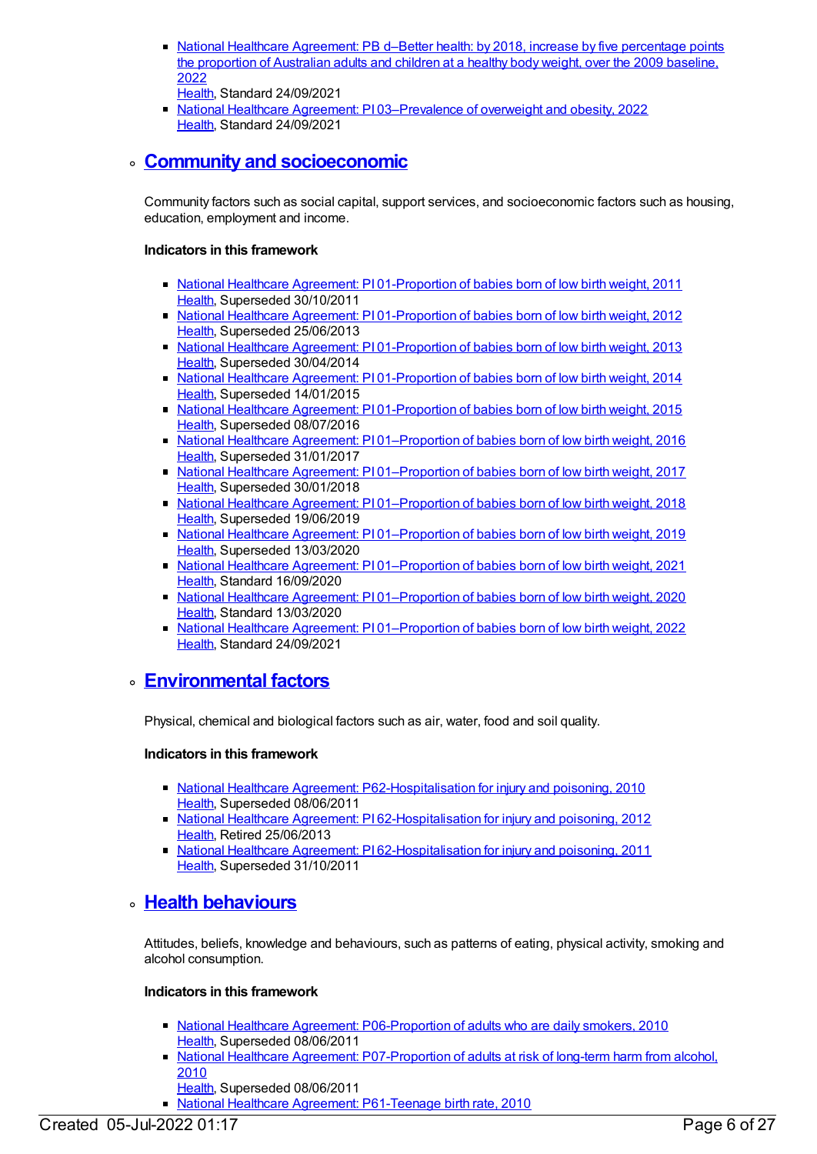- National Healthcare [Agreement:](https://meteor.aihw.gov.au/content/740902) PB d–Better health: by 2018, increase by five percentage points the proportion of Australian adults and children at a healthy body weight, over the 2009 baseline, 2022
- [Health](https://meteor.aihw.gov.au/RegistrationAuthority/12), Standard 24/09/2021
- National Healthcare Agreement: PI [03–Prevalence](https://meteor.aihw.gov.au/content/740890) of overweight and obesity, 2022 [Health](https://meteor.aihw.gov.au/RegistrationAuthority/12), Standard 24/09/2021

### **Community and [socioeconomic](https://meteor.aihw.gov.au/content/392581)**

Community factors such as social capital, support services, and socioeconomic factors such as housing, education, employment and income.

#### **Indicators in this framework**

- National Healthcare Agreement: PI [01-Proportion](https://meteor.aihw.gov.au/content/420072) of babies born of low birth weight, 2011 [Health](https://meteor.aihw.gov.au/RegistrationAuthority/12), Superseded 30/10/2011
- National Healthcare Agreement: PI [01-Proportion](https://meteor.aihw.gov.au/content/435834) of babies born of low birth weight, 2012 [Health](https://meteor.aihw.gov.au/RegistrationAuthority/12), Superseded 25/06/2013
- National Healthcare Agreement: PI [01-Proportion](https://meteor.aihw.gov.au/content/498209) of babies born of low birth weight, 2013 [Health](https://meteor.aihw.gov.au/RegistrationAuthority/12), Superseded 30/04/2014
- National Healthcare Agreement: PI [01-Proportion](https://meteor.aihw.gov.au/content/517688) of babies born of low birth weight, 2014 [Health](https://meteor.aihw.gov.au/RegistrationAuthority/12), Superseded 14/01/2015
- National Healthcare Agreement: PI [01-Proportion](https://meteor.aihw.gov.au/content/559066) of babies born of low birth weight, 2015 [Health](https://meteor.aihw.gov.au/RegistrationAuthority/12), Superseded 08/07/2016
- National Healthcare Agreement: PI [01–Proportion](https://meteor.aihw.gov.au/content/598847) of babies born of low birth weight, 2016 [Health](https://meteor.aihw.gov.au/RegistrationAuthority/12), Superseded 31/01/2017
- National Healthcare Agreement: PI [01–Proportion](https://meteor.aihw.gov.au/content/629984) of babies born of low birth weight, 2017 [Health](https://meteor.aihw.gov.au/RegistrationAuthority/12), Superseded 30/01/2018
- National Healthcare Agreement: PI [01–Proportion](https://meteor.aihw.gov.au/content/658534) of babies born of low birth weight, 2018 [Health](https://meteor.aihw.gov.au/RegistrationAuthority/12), Superseded 19/06/2019
- National Healthcare Agreement: PI 01-Proportion of babies born of low birth weight, 2019 [Health](https://meteor.aihw.gov.au/RegistrationAuthority/12), Superseded 13/03/2020
- National Healthcare Agreement: PI [01–Proportion](https://meteor.aihw.gov.au/content/725828) of babies born of low birth weight, 2021 [Health](https://meteor.aihw.gov.au/RegistrationAuthority/12), Standard 16/09/2020
- National Healthcare Agreement: PI [01–Proportion](https://meteor.aihw.gov.au/content/716248) of babies born of low birth weight, 2020 [Health](https://meteor.aihw.gov.au/RegistrationAuthority/12), Standard 13/03/2020
- National Healthcare Agreement: PI [01–Proportion](https://meteor.aihw.gov.au/content/740894) of babies born of low birth weight, 2022 [Health](https://meteor.aihw.gov.au/RegistrationAuthority/12), Standard 24/09/2021

### **[Environmental](https://meteor.aihw.gov.au/content/392580) factors**

Physical, chemical and biological factors such as air, water, food and soil quality.

#### **Indicators in this framework**

- National Healthcare Agreement: [P62-Hospitalisation](https://meteor.aihw.gov.au/content/395105) for injury and poisoning, 2010 [Health](https://meteor.aihw.gov.au/RegistrationAuthority/12), Superseded 08/06/2011
- National Healthcare Agreement: PI [62-Hospitalisation](https://meteor.aihw.gov.au/content/435901) for injury and poisoning, 2012 [Health](https://meteor.aihw.gov.au/RegistrationAuthority/12), Retired 25/06/2013
- National Healthcare Agreement: PI [62-Hospitalisation](https://meteor.aihw.gov.au/content/421587) for injury and poisoning, 2011 [Health](https://meteor.aihw.gov.au/RegistrationAuthority/12), Superseded 31/10/2011

# **Health [behaviours](https://meteor.aihw.gov.au/content/392579)**

Attitudes, beliefs, knowledge and behaviours, such as patterns of eating, physical activity, smoking and alcohol consumption.

- **National Healthcare Agreement: [P06-Proportion](https://meteor.aihw.gov.au/content/394181) of adults who are daily smokers, 2010** [Health](https://meteor.aihw.gov.au/RegistrationAuthority/12), Superseded 08/06/2011
- National Healthcare Agreement: [P07-Proportion](https://meteor.aihw.gov.au/content/394213) of adults at risk of long-term harm from alcohol, 2010
- [Health](https://meteor.aihw.gov.au/RegistrationAuthority/12), Superseded 08/06/2011
- National Healthcare Agreement: [P61-Teenage](https://meteor.aihw.gov.au/content/395103) birth rate, 2010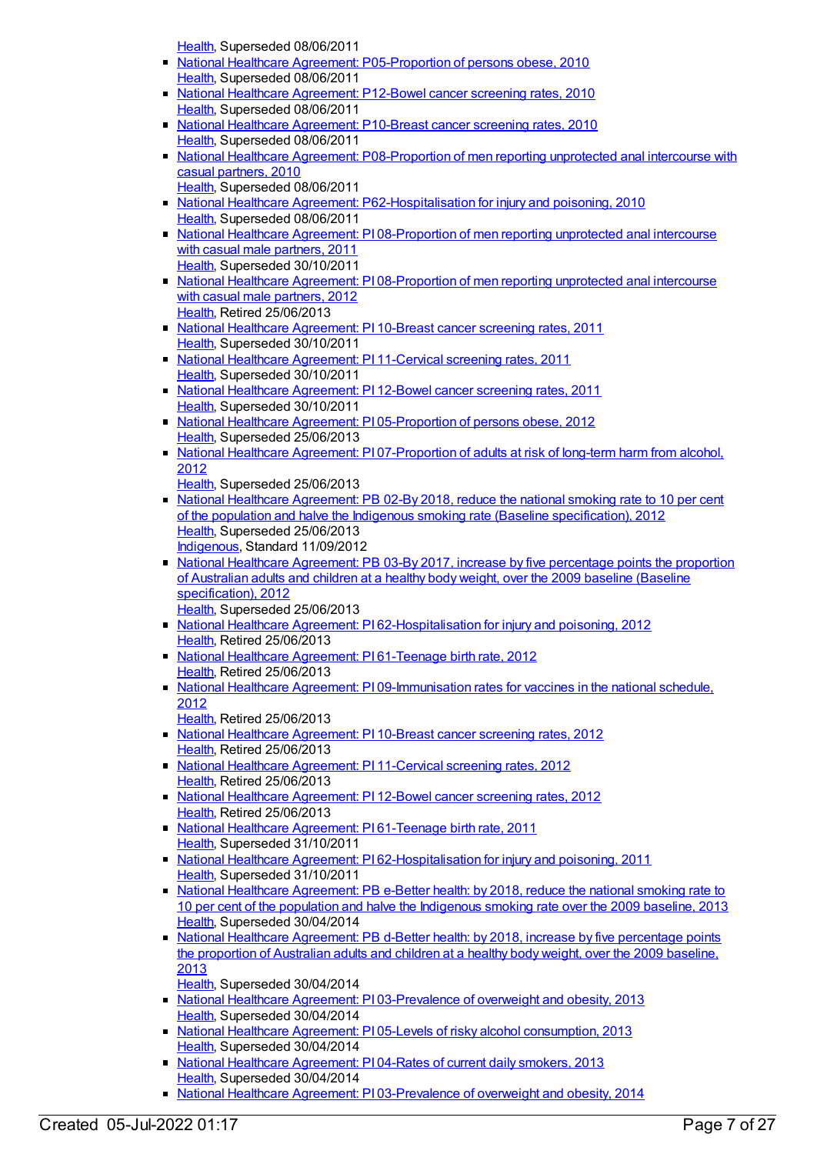[Health](https://meteor.aihw.gov.au/RegistrationAuthority/12), Superseded 08/06/2011

- National Healthcare Agreement: [P05-Proportion](https://meteor.aihw.gov.au/content/394043) of persons obese, 2010  $\blacksquare$ [Health](https://meteor.aihw.gov.au/RegistrationAuthority/12), Superseded 08/06/2011
- National Healthcare [Agreement:](https://meteor.aihw.gov.au/content/394292) P12-Bowel cancer screening rates, 2010 [Health](https://meteor.aihw.gov.au/RegistrationAuthority/12), Superseded 08/06/2011
- National Healthcare [Agreement:](https://meteor.aihw.gov.au/content/394267) P10-Breast cancer screening rates, 2010 [Health](https://meteor.aihw.gov.au/RegistrationAuthority/12), Superseded 08/06/2011
- National Healthcare Agreement: [P08-Proportion](https://meteor.aihw.gov.au/content/394230) of men reporting unprotected anal intercourse with casual partners, 2010
- [Health](https://meteor.aihw.gov.au/RegistrationAuthority/12), Superseded 08/06/2011 • National Healthcare Agreement: [P62-Hospitalisation](https://meteor.aihw.gov.au/content/395105) for injury and poisoning, 2010 [Health](https://meteor.aihw.gov.au/RegistrationAuthority/12), Superseded 08/06/2011
- National Healthcare Agreement: PI [08-Proportion](https://meteor.aihw.gov.au/content/402398) of men reporting unprotected anal intercourse with casual male partners, 2011 [Health](https://meteor.aihw.gov.au/RegistrationAuthority/12), Superseded 30/10/2011
- National Healthcare Agreement: PI [08-Proportion](https://meteor.aihw.gov.au/content/435841) of men reporting unprotected anal intercourse with casual male partners, 2012 [Health](https://meteor.aihw.gov.au/RegistrationAuthority/12), Retired 25/06/2013
- National Healthcare [Agreement:](https://meteor.aihw.gov.au/content/421676) PI 10-Breast cancer screening rates, 2011 [Health](https://meteor.aihw.gov.au/RegistrationAuthority/12), Superseded 30/10/2011
- National Healthcare [Agreement:](https://meteor.aihw.gov.au/content/421674) PI 11-Cervical screening rates, 2011 [Health](https://meteor.aihw.gov.au/RegistrationAuthority/12), Superseded 30/10/2011
- National Healthcare [Agreement:](https://meteor.aihw.gov.au/content/421662) PI 12-Bowel cancer screening rates, 2011 [Health](https://meteor.aihw.gov.au/RegistrationAuthority/12), Superseded 30/10/2011
- National Healthcare Agreement: PI [05-Proportion](https://meteor.aihw.gov.au/content/435967) of persons obese, 2012 [Health](https://meteor.aihw.gov.au/RegistrationAuthority/12), Superseded 25/06/2013
- National Healthcare Agreement: PI [07-Proportion](https://meteor.aihw.gov.au/content/435979) of adults at risk of long-term harm from alcohol, 2012
	- [Health](https://meteor.aihw.gov.au/RegistrationAuthority/12), Superseded 25/06/2013
- National Healthcare [Agreement:](https://meteor.aihw.gov.au/content/435809) PB 02-By 2018, reduce the national smoking rate to 10 per cent of the population and halve the Indigenous smoking rate (Baseline specification), 2012 [Health](https://meteor.aihw.gov.au/RegistrationAuthority/12), Superseded 25/06/2013 [Indigenous](https://meteor.aihw.gov.au/RegistrationAuthority/6), Standard 11/09/2012
- National Healthcare [Agreement:](https://meteor.aihw.gov.au/content/435818) PB 03-By 2017, increase by five percentage points the proportion of Australian adults and children at a healthy body weight, over the 2009 baseline (Baseline specification), 2012
	- [Health](https://meteor.aihw.gov.au/RegistrationAuthority/12), Superseded 25/06/2013
- National Healthcare Agreement: PI [62-Hospitalisation](https://meteor.aihw.gov.au/content/435901) for injury and poisoning, 2012 [Health](https://meteor.aihw.gov.au/RegistrationAuthority/12), Retired 25/06/2013
- National Healthcare Agreement: PI [61-Teenage](https://meteor.aihw.gov.au/content/435899) birth rate, 2012 [Health](https://meteor.aihw.gov.au/RegistrationAuthority/12), Retired 25/06/2013
- National Healthcare Agreement: PI [09-Immunisation](https://meteor.aihw.gov.au/content/436839) rates for vaccines in the national schedule, 2012
	- [Health](https://meteor.aihw.gov.au/RegistrationAuthority/12), Retired 25/06/2013
- National Healthcare [Agreement:](https://meteor.aihw.gov.au/content/435843) PI 10-Breast cancer screening rates, 2012 [Health](https://meteor.aihw.gov.au/RegistrationAuthority/12), Retired 25/06/2013
- **National Healthcare [Agreement:](https://meteor.aihw.gov.au/content/435845) PI 11-Cervical screening rates, 2012** [Health](https://meteor.aihw.gov.au/RegistrationAuthority/12), Retired 25/06/2013
- National Healthcare [Agreement:](https://meteor.aihw.gov.au/content/435847) PI 12-Bowel cancer screening rates, 2012 [Health](https://meteor.aihw.gov.au/RegistrationAuthority/12), Retired 25/06/2013
- National Healthcare Agreement: PI [61-Teenage](https://meteor.aihw.gov.au/content/421590) birth rate, 2011 [Health](https://meteor.aihw.gov.au/RegistrationAuthority/12), Superseded 31/10/2011
- **National Healthcare Agreement: PI [62-Hospitalisation](https://meteor.aihw.gov.au/content/421587) for injury and poisoning, 2011** [Health](https://meteor.aihw.gov.au/RegistrationAuthority/12), Superseded 31/10/2011
- National Healthcare [Agreement:](https://meteor.aihw.gov.au/content/498345) PB e-Better health: by 2018, reduce the national smoking rate to 10 per cent of the population and halve the Indigenous smoking rate over the 2009 baseline, 2013 [Health](https://meteor.aihw.gov.au/RegistrationAuthority/12), Superseded 30/04/2014
- National Healthcare [Agreement:](https://meteor.aihw.gov.au/content/498348) PB d-Better health: by 2018, increase by five percentage points the proportion of Australian adults and children at a healthy body weight, over the 2009 baseline, 2013
- [Health](https://meteor.aihw.gov.au/RegistrationAuthority/12), Superseded 30/04/2014
- National Healthcare Agreement: PI [03-Prevalence](https://meteor.aihw.gov.au/content/498205) of overweight and obesity, 2013 [Health](https://meteor.aihw.gov.au/RegistrationAuthority/12), Superseded 30/04/2014
- National Healthcare Agreement: PI 05-Levels of risky alcohol [consumption,](https://meteor.aihw.gov.au/content/498201) 2013 [Health](https://meteor.aihw.gov.au/RegistrationAuthority/12), Superseded 30/04/2014
- National Healthcare [Agreement:](https://meteor.aihw.gov.au/content/498203) PI 04-Rates of current daily smokers, 2013 [Health](https://meteor.aihw.gov.au/RegistrationAuthority/12), Superseded 30/04/2014
- National Healthcare Agreement: PI [03-Prevalence](https://meteor.aihw.gov.au/content/517683) of overweight and obesity, 2014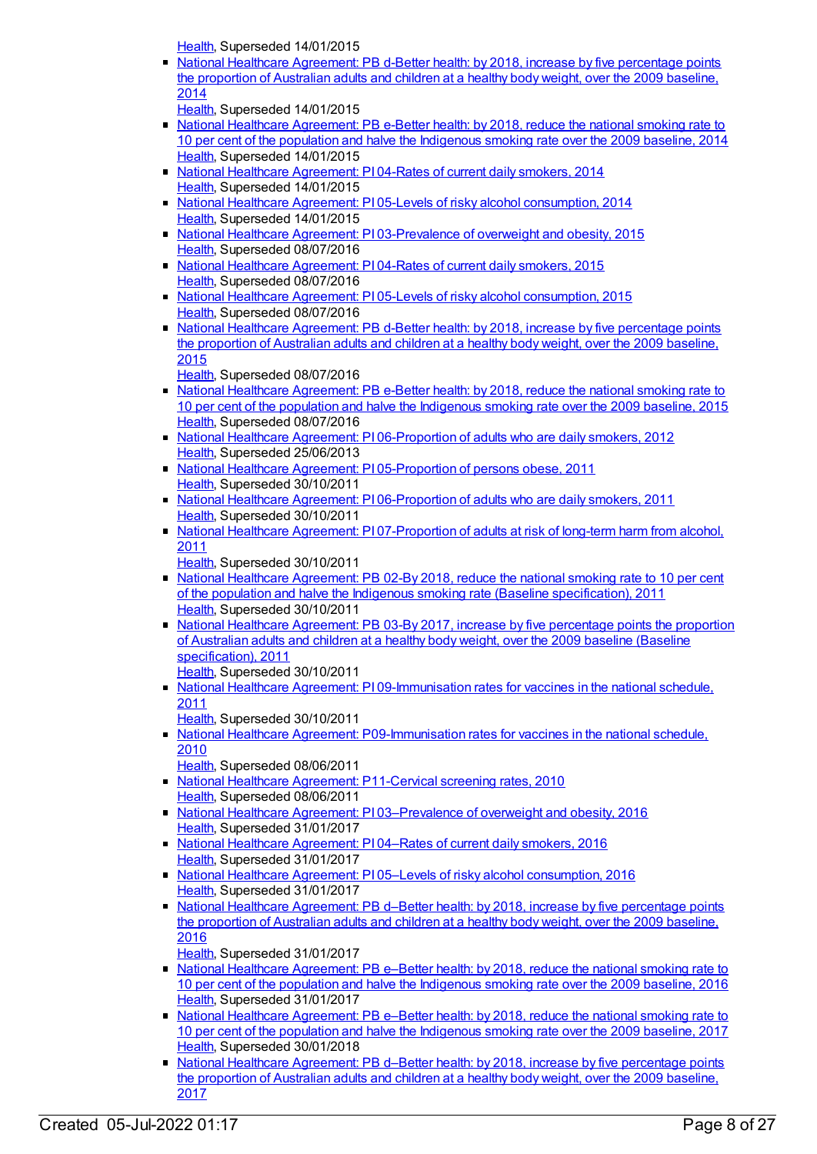[Health](https://meteor.aihw.gov.au/RegistrationAuthority/12), Superseded 14/01/2015

National Healthcare [Agreement:](https://meteor.aihw.gov.au/content/517696) PB d-Better health: by 2018, increase by five percentage points the proportion of Australian adults and children at a healthy body weight, over the 2009 baseline, 2014

[Health](https://meteor.aihw.gov.au/RegistrationAuthority/12), Superseded 14/01/2015

- National Healthcare [Agreement:](https://meteor.aihw.gov.au/content/517694) PB e-Better health: by 2018, reduce the national smoking rate to 10 per cent of the population and halve the Indigenous smoking rate over the 2009 baseline, 2014 [Health](https://meteor.aihw.gov.au/RegistrationAuthority/12), Superseded 14/01/2015
- National Healthcare [Agreement:](https://meteor.aihw.gov.au/content/517681) PI 04-Rates of current daily smokers, 2014 [Health](https://meteor.aihw.gov.au/RegistrationAuthority/12), Superseded 14/01/2015
- National Healthcare Agreement: PI 05-Levels of risky alcohol [consumption,](https://meteor.aihw.gov.au/content/517678) 2014 [Health](https://meteor.aihw.gov.au/RegistrationAuthority/12), Superseded 14/01/2015
- National Healthcare Agreement: PI [03-Prevalence](https://meteor.aihw.gov.au/content/559062) of overweight and obesity, 2015 [Health](https://meteor.aihw.gov.au/RegistrationAuthority/12), Superseded 08/07/2016
- National Healthcare [Agreement:](https://meteor.aihw.gov.au/content/559060) PI 04-Rates of current daily smokers, 2015 [Health](https://meteor.aihw.gov.au/RegistrationAuthority/12), Superseded 08/07/2016
- National Healthcare Agreement: PI 05-Levels of risky alcohol [consumption,](https://meteor.aihw.gov.au/content/559058) 2015 [Health](https://meteor.aihw.gov.au/RegistrationAuthority/12), Superseded 08/07/2016
- National Healthcare [Agreement:](https://meteor.aihw.gov.au/content/559074) PB d-Better health: by 2018, increase by five percentage points the proportion of Australian adults and children at a healthy body weight, over the 2009 baseline, 2015

[Health](https://meteor.aihw.gov.au/RegistrationAuthority/12), Superseded 08/07/2016

- National Healthcare [Agreement:](https://meteor.aihw.gov.au/content/559072) PB e-Better health: by 2018, reduce the national smoking rate to 10 per cent of the population and halve the Indigenous smoking rate over the 2009 baseline, 2015 [Health](https://meteor.aihw.gov.au/RegistrationAuthority/12), Superseded 08/07/2016
- National Healthcare Agreement: PI [06-Proportion](https://meteor.aihw.gov.au/content/435974) of adults who are daily smokers, 2012 [Health](https://meteor.aihw.gov.au/RegistrationAuthority/12), Superseded 25/06/2013
- National Healthcare Agreement: PI [05-Proportion](https://meteor.aihw.gov.au/content/421691) of persons obese, 2011 [Health](https://meteor.aihw.gov.au/RegistrationAuthority/12), Superseded 30/10/2011
- National Healthcare Agreement: PI [06-Proportion](https://meteor.aihw.gov.au/content/421689) of adults who are daily smokers, 2011 [Health](https://meteor.aihw.gov.au/RegistrationAuthority/12), Superseded 30/10/2011
- National Healthcare Agreement: PI [07-Proportion](https://meteor.aihw.gov.au/content/421687) of adults at risk of long-term harm from alcohol, 2011
	- [Health](https://meteor.aihw.gov.au/RegistrationAuthority/12), Superseded 30/10/2011
- National Healthcare [Agreement:](https://meteor.aihw.gov.au/content/428921) PB 02-By 2018, reduce the national smoking rate to 10 per cent of the population and halve the Indigenous smoking rate (Baseline specification), 2011 [Health](https://meteor.aihw.gov.au/RegistrationAuthority/12), Superseded 30/10/2011
- National Healthcare Agreement: PB 03-By 2017, increase by five percentage points the proportion of Australian adults and children at a healthy body weight, over the 2009 baseline (Baseline [specification\),](https://meteor.aihw.gov.au/content/428946) 2011 [Health](https://meteor.aihw.gov.au/RegistrationAuthority/12), Superseded 30/10/2011
- National Healthcare Agreement: PI [09-Immunisation](https://meteor.aihw.gov.au/content/421684) rates for vaccines in the national schedule, 2011
- [Health](https://meteor.aihw.gov.au/RegistrationAuthority/12), Superseded 30/10/2011
- National Healthcare Agreement: [P09-Immunisation](https://meteor.aihw.gov.au/content/394250) rates for vaccines in the national schedule, 2010
	- [Health](https://meteor.aihw.gov.au/RegistrationAuthority/12), Superseded 08/06/2011
- National Healthcare Agreement: [P11-Cervical](https://meteor.aihw.gov.au/content/394285) screening rates, 2010 [Health](https://meteor.aihw.gov.au/RegistrationAuthority/12), Superseded 08/06/2011
- National Healthcare Agreement: PI [03–Prevalence](https://meteor.aihw.gov.au/content/598843) of overweight and obesity, 2016 [Health](https://meteor.aihw.gov.au/RegistrationAuthority/12), Superseded 31/01/2017
- National Healthcare [Agreement:](https://meteor.aihw.gov.au/content/598841) PI 04–Rates of current daily smokers, 2016 [Health](https://meteor.aihw.gov.au/RegistrationAuthority/12), Superseded 31/01/2017
- National Healthcare Agreement: PI 05-Levels of risky alcohol [consumption,](https://meteor.aihw.gov.au/content/598839) 2016 [Health](https://meteor.aihw.gov.au/RegistrationAuthority/12), Superseded 31/01/2017
- National Healthcare [Agreement:](https://meteor.aihw.gov.au/content/598856) PB d-Better health: by 2018, increase by five percentage points the proportion of Australian adults and children at a healthy body weight, over the 2009 baseline, 2016

[Health](https://meteor.aihw.gov.au/RegistrationAuthority/12), Superseded 31/01/2017

- National Healthcare [Agreement:](https://meteor.aihw.gov.au/content/598853) PB e–Better health: by 2018, reduce the national smoking rate to 10 per cent of the population and halve the Indigenous smoking rate over the 2009 baseline, 2016 [Health](https://meteor.aihw.gov.au/RegistrationAuthority/12), Superseded 31/01/2017
- National Healthcare [Agreement:](https://meteor.aihw.gov.au/content/629977) PB e–Better health: by 2018, reduce the national smoking rate to 10 per cent of the population and halve the Indigenous smoking rate over the 2009 baseline, 2017 [Health](https://meteor.aihw.gov.au/RegistrationAuthority/12), Superseded 30/01/2018
- National Healthcare [Agreement:](https://meteor.aihw.gov.au/content/629974) PB d–Better health: by 2018, increase by five percentage points the proportion of Australian adults and children at a healthy body weight, over the 2009 baseline, 2017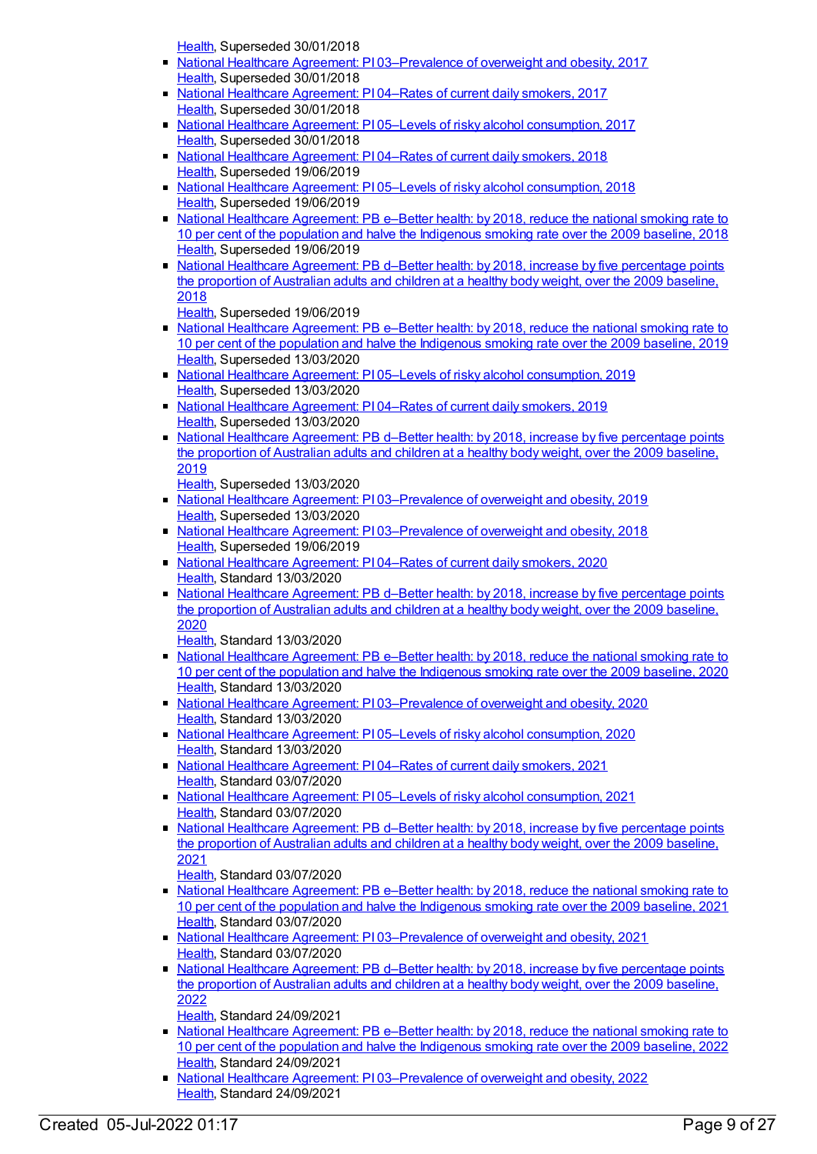[Health](https://meteor.aihw.gov.au/RegistrationAuthority/12), Superseded 30/01/2018

- National Healthcare Agreement: PI [03–Prevalence](https://meteor.aihw.gov.au/content/629989) of overweight and obesity, 2017  $\blacksquare$ [Health](https://meteor.aihw.gov.au/RegistrationAuthority/12), Superseded 30/01/2018
- National Healthcare [Agreement:](https://meteor.aihw.gov.au/content/629992) PI 04–Rates of current daily smokers, 2017 [Health](https://meteor.aihw.gov.au/RegistrationAuthority/12), Superseded 30/01/2018
- National Healthcare Agreement: PI 05-Levels of risky alcohol [consumption,](https://meteor.aihw.gov.au/content/629999) 2017 [Health](https://meteor.aihw.gov.au/RegistrationAuthority/12), Superseded 30/01/2018
- National Healthcare [Agreement:](https://meteor.aihw.gov.au/content/658527) PI 04–Rates of current daily smokers, 2018 [Health](https://meteor.aihw.gov.au/RegistrationAuthority/12), Superseded 19/06/2019
- National Healthcare Agreement: PI 05-Levels of risky alcohol [consumption,](https://meteor.aihw.gov.au/content/658525) 2018 [Health](https://meteor.aihw.gov.au/RegistrationAuthority/12), Superseded 19/06/2019
- National Healthcare [Agreement:](https://meteor.aihw.gov.au/content/658540) PB e–Better health: by 2018, reduce the national smoking rate to 10 per cent of the population and halve the Indigenous smoking rate over the 2009 baseline, 2018 [Health](https://meteor.aihw.gov.au/RegistrationAuthority/12), Superseded 19/06/2019
- National Healthcare [Agreement:](https://meteor.aihw.gov.au/content/658542) PB d–Better health: by 2018, increase by five percentage points the proportion of Australian adults and children at a healthy body weight, over the 2009 baseline, 2018

[Health](https://meteor.aihw.gov.au/RegistrationAuthority/12), Superseded 19/06/2019

- National Healthcare [Agreement:](https://meteor.aihw.gov.au/content/698944) PB e–Better health: by 2018, reduce the national smoking rate to 10 per cent of the population and halve the Indigenous smoking rate over the 2009 baseline, 2019 [Health](https://meteor.aihw.gov.au/RegistrationAuthority/12), Superseded 13/03/2020
- National Healthcare Agreement: P105–Levels of risky alcohol [consumption,](https://meteor.aihw.gov.au/content/698930) 2019 [Health](https://meteor.aihw.gov.au/RegistrationAuthority/12), Superseded 13/03/2020
- National Healthcare [Agreement:](https://meteor.aihw.gov.au/content/698932) PI 04–Rates of current daily smokers, 2019 [Health](https://meteor.aihw.gov.au/RegistrationAuthority/12), Superseded 13/03/2020
- National Healthcare [Agreement:](https://meteor.aihw.gov.au/content/698946) PB d–Better health: by 2018, increase by five percentage points the proportion of Australian adults and children at a healthy body weight, over the 2009 baseline, 2019

[Health](https://meteor.aihw.gov.au/RegistrationAuthority/12), Superseded 13/03/2020

- National Healthcare Agreement: PI [03–Prevalence](https://meteor.aihw.gov.au/content/698934) of overweight and obesity, 2019 [Health](https://meteor.aihw.gov.au/RegistrationAuthority/12), Superseded 13/03/2020
- National Healthcare Agreement: PI [03–Prevalence](https://meteor.aihw.gov.au/content/658530) of overweight and obesity, 2018 [Health](https://meteor.aihw.gov.au/RegistrationAuthority/12), Superseded 19/06/2019
- National Healthcare [Agreement:](https://meteor.aihw.gov.au/content/716279) PI 04–Rates of current daily smokers, 2020 [Health](https://meteor.aihw.gov.au/RegistrationAuthority/12), Standard 13/03/2020
- National Healthcare [Agreement:](https://meteor.aihw.gov.au/content/716260) PB d–Better health: by 2018, increase by five percentage points the proportion of Australian adults and children at a healthy body weight, over the 2009 baseline, 2020

[Health](https://meteor.aihw.gov.au/RegistrationAuthority/12), Standard 13/03/2020

- National Healthcare [Agreement:](https://meteor.aihw.gov.au/content/716263) PB e–Better health: by 2018, reduce the national smoking rate to 10 per cent of the population and halve the Indigenous smoking rate over the 2009 baseline, 2020 [Health](https://meteor.aihw.gov.au/RegistrationAuthority/12), Standard 13/03/2020
- National Healthcare Agreement: PI [03–Prevalence](https://meteor.aihw.gov.au/content/716275) of overweight and obesity, 2020 [Health](https://meteor.aihw.gov.au/RegistrationAuthority/12), Standard 13/03/2020
- National Healthcare Agreement: PI 05–Levels of risky alcohol [consumption,](https://meteor.aihw.gov.au/content/716290) 2020 [Health](https://meteor.aihw.gov.au/RegistrationAuthority/12), Standard 13/03/2020
- National Healthcare [Agreement:](https://meteor.aihw.gov.au/content/725822) PI 04–Rates of current daily smokers, 2021 [Health](https://meteor.aihw.gov.au/RegistrationAuthority/12), Standard 03/07/2020
- National Healthcare Agreement: PI 05–Levels of risky alcohol [consumption,](https://meteor.aihw.gov.au/content/725820) 2021 [Health](https://meteor.aihw.gov.au/RegistrationAuthority/12), Standard 03/07/2020
- National Healthcare [Agreement:](https://meteor.aihw.gov.au/content/725836) PB d–Better health: by 2018, increase by five percentage points the proportion of Australian adults and children at a healthy body weight, over the 2009 baseline, 2021

[Health](https://meteor.aihw.gov.au/RegistrationAuthority/12), Standard 03/07/2020

- National Healthcare [Agreement:](https://meteor.aihw.gov.au/content/725834) PB e-Better health: by 2018, reduce the national smoking rate to 10 per cent of the population and halve the Indigenous smoking rate over the 2009 baseline, 2021 [Health](https://meteor.aihw.gov.au/RegistrationAuthority/12), Standard 03/07/2020
- National Healthcare Agreement: PI [03–Prevalence](https://meteor.aihw.gov.au/content/725824) of overweight and obesity, 2021 [Health](https://meteor.aihw.gov.au/RegistrationAuthority/12), Standard 03/07/2020
- National Healthcare [Agreement:](https://meteor.aihw.gov.au/content/740902) PB d–Better health: by 2018, increase by five percentage points the proportion of Australian adults and children at a healthy body weight, over the 2009 baseline, 2022
- [Health](https://meteor.aihw.gov.au/RegistrationAuthority/12), Standard 24/09/2021
- National Healthcare [Agreement:](https://meteor.aihw.gov.au/content/740900) PB e–Better health: by 2018, reduce the national smoking rate to 10 per cent of the population and halve the Indigenous smoking rate over the 2009 baseline, 2022 [Health](https://meteor.aihw.gov.au/RegistrationAuthority/12), Standard 24/09/2021
- National Healthcare Agreement: PI 03-Prevalence of overweight and obesity, 2022 [Health](https://meteor.aihw.gov.au/RegistrationAuthority/12), Standard 24/09/2021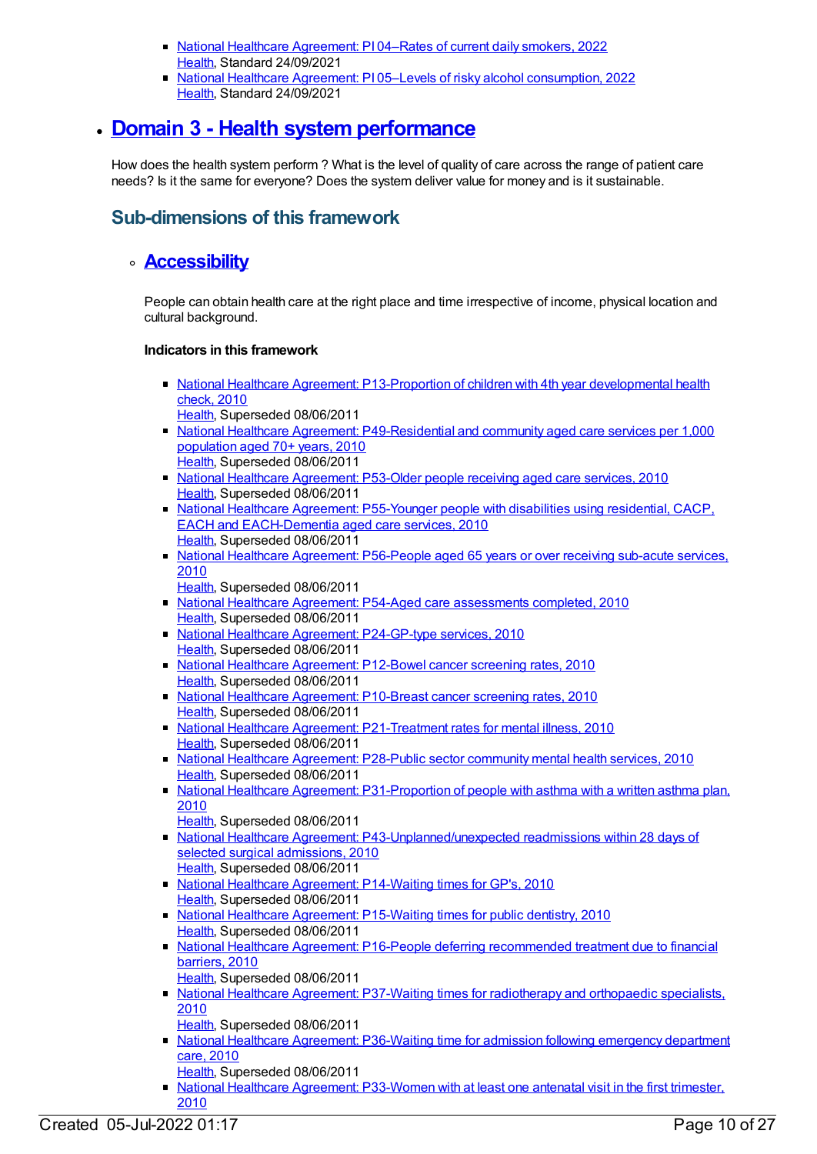- National Healthcare [Agreement:](https://meteor.aihw.gov.au/content/740888) PI 04–Rates of current daily smokers, 2022 [Health](https://meteor.aihw.gov.au/RegistrationAuthority/12), Standard 24/09/2021
- National Healthcare Agreement: PI 05–Levels of risky alcohol [consumption,](https://meteor.aihw.gov.au/content/740886) 2022 [Health](https://meteor.aihw.gov.au/RegistrationAuthority/12), Standard 24/09/2021

# **Domain 3 - Health system [performance](https://meteor.aihw.gov.au/content/392582)**

How does the health system perform ? What is the level of quality of care across the range of patient care needs? Is it the same for everyone? Does the system deliver value for money and is it sustainable.

### **Sub-dimensions of this framework**

### **[Accessibility](https://meteor.aihw.gov.au/content/392591)**

People can obtain health care at the right place and time irrespective of income, physical location and cultural background.

- National Healthcare Agreement: [P13-Proportion](https://meteor.aihw.gov.au/content/394300) of children with 4th year developmental health check, 2010
	- [Health](https://meteor.aihw.gov.au/RegistrationAuthority/12), Superseded 08/06/2011
- National Healthcare Agreement: [P49-Residential](https://meteor.aihw.gov.au/content/400206) and community aged care services per 1,000 population aged 70+ years, 2010 [Health](https://meteor.aihw.gov.au/RegistrationAuthority/12), Superseded 08/06/2011
- National Healthcare [Agreement:](https://meteor.aihw.gov.au/content/400211) P53-Older people receiving aged care services, 2010 [Health](https://meteor.aihw.gov.au/RegistrationAuthority/12), Superseded 08/06/2011
- National Healthcare Agreement: P55-Younger people with disabilities using residential, CACP, EACH and [EACH-Dementia](https://meteor.aihw.gov.au/content/400216) aged care services, 2010 [Health](https://meteor.aihw.gov.au/RegistrationAuthority/12), Superseded 08/06/2011
- National Healthcare Agreement: [P56-People](https://meteor.aihw.gov.au/content/400219) aged 65 years or over receiving sub-acute services, 2010
	- [Health](https://meteor.aihw.gov.au/RegistrationAuthority/12), Superseded 08/06/2011
- National Healthcare Agreement: P54-Aged care [assessments](https://meteor.aihw.gov.au/content/400213) completed, 2010 [Health](https://meteor.aihw.gov.au/RegistrationAuthority/12), Superseded 08/06/2011
- National Healthcare Agreement: [P24-GP-type](https://meteor.aihw.gov.au/content/394776) services, 2010 [Health](https://meteor.aihw.gov.au/RegistrationAuthority/12), Superseded 08/06/2011
- National Healthcare [Agreement:](https://meteor.aihw.gov.au/content/394292) P12-Bowel cancer screening rates, 2010 [Health](https://meteor.aihw.gov.au/RegistrationAuthority/12), Superseded 08/06/2011
- National Healthcare [Agreement:](https://meteor.aihw.gov.au/content/394267) P10-Breast cancer screening rates, 2010 [Health](https://meteor.aihw.gov.au/RegistrationAuthority/12), Superseded 08/06/2011
- National Healthcare Agreement: [P21-Treatment](https://meteor.aihw.gov.au/content/394710) rates for mental illness, 2010 [Health](https://meteor.aihw.gov.au/RegistrationAuthority/12), Superseded 08/06/2011
- National Healthcare [Agreement:](https://meteor.aihw.gov.au/content/394946) P28-Public sector community mental health services, 2010 [Health](https://meteor.aihw.gov.au/RegistrationAuthority/12), Superseded 08/06/2011
- National Healthcare Agreement: [P31-Proportion](https://meteor.aihw.gov.au/content/394978) of people with asthma with a written asthma plan, 2010
- [Health](https://meteor.aihw.gov.au/RegistrationAuthority/12), Superseded 08/06/2011 • National Healthcare Agreement: [P43-Unplanned/unexpected](https://meteor.aihw.gov.au/content/395081) readmissions within 28 days of selected surgical admissions, 2010
	- [Health](https://meteor.aihw.gov.au/RegistrationAuthority/12), Superseded 08/06/2011
- National Healthcare Agreement: [P14-Waiting](https://meteor.aihw.gov.au/content/394411) times for GP's, 2010 [Health](https://meteor.aihw.gov.au/RegistrationAuthority/12), Superseded 08/06/2011
- National Healthcare Agreement: [P15-Waiting](https://meteor.aihw.gov.au/content/394422) times for public dentistry, 2010 [Health](https://meteor.aihw.gov.au/RegistrationAuthority/12), Superseded 08/06/2011
- National Healthcare Agreement: P16-People deferring [recommended](https://meteor.aihw.gov.au/content/394433) treatment due to financial barriers, 2010 [Health](https://meteor.aihw.gov.au/RegistrationAuthority/12), Superseded 08/06/2011
- National Healthcare Agreement: P37-Waiting times for [radiotherapy](https://meteor.aihw.gov.au/content/395064) and orthopaedic specialists, 2010
	- [Health](https://meteor.aihw.gov.au/RegistrationAuthority/12), Superseded 08/06/2011
- National Healthcare Agreement: [P36-Waiting](https://meteor.aihw.gov.au/content/395019) time for admission following emergency department care, 2010
- [Health](https://meteor.aihw.gov.au/RegistrationAuthority/12), Superseded 08/06/2011
- National Healthcare Agreement: [P33-Women](https://meteor.aihw.gov.au/content/395008) with at least one antenatal visit in the first trimester, 2010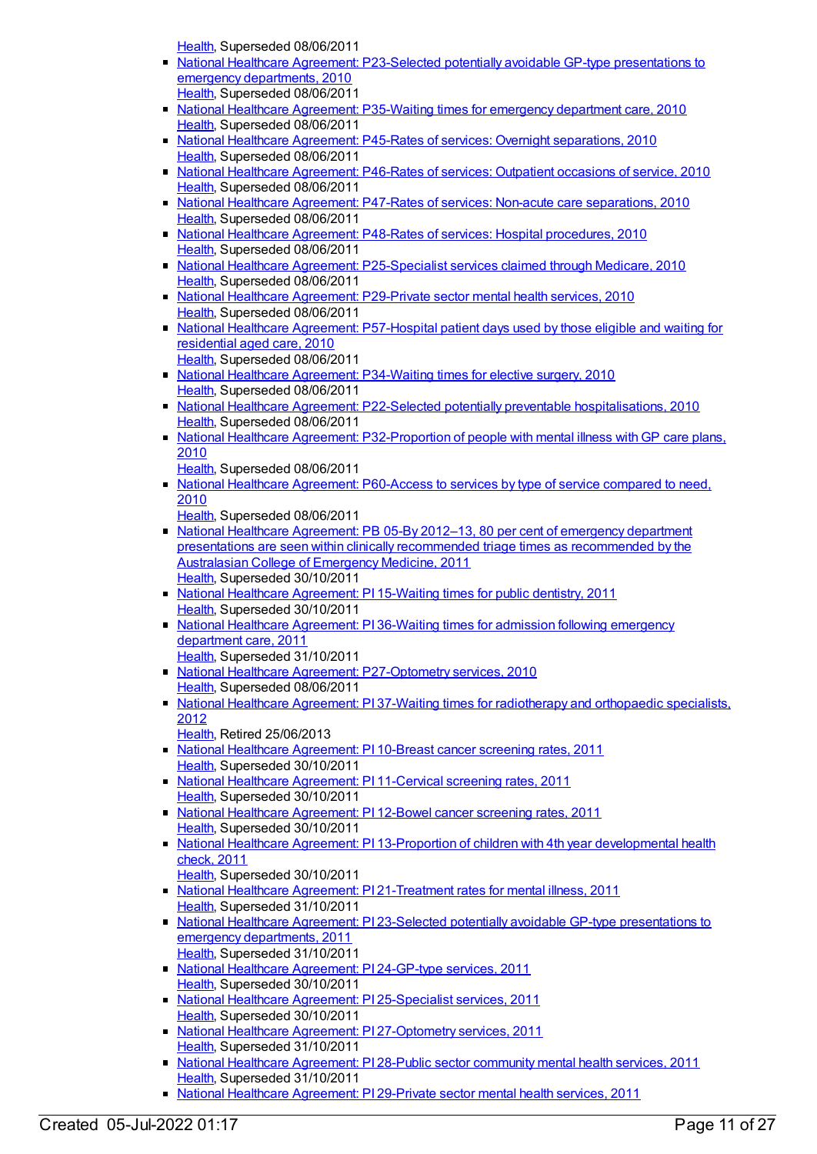[Health](https://meteor.aihw.gov.au/RegistrationAuthority/12), Superseded 08/06/2011

- National Healthcare Agreement: [P23-Selected](https://meteor.aihw.gov.au/content/394721) potentially avoidable GP-type presentations to emergency departments, 2010 [Health](https://meteor.aihw.gov.au/RegistrationAuthority/12), Superseded 08/06/2011
- National Healthcare Agreement: [P35-Waiting](https://meteor.aihw.gov.au/content/395017) times for emergency department care, 2010 [Health](https://meteor.aihw.gov.au/RegistrationAuthority/12), Superseded 08/06/2011
- National Healthcare Agreement: P45-Rates of services: Overnight [separations,](https://meteor.aihw.gov.au/content/395088) 2010 [Health](https://meteor.aihw.gov.au/RegistrationAuthority/12), Superseded 08/06/2011
- National Healthcare [Agreement:](https://meteor.aihw.gov.au/content/395091) P46-Rates of services: Outpatient occasions of service, 2010 [Health](https://meteor.aihw.gov.au/RegistrationAuthority/12), Superseded 08/06/2011
- National Healthcare Agreement: P47-Rates of services: Non-acute care [separations,](https://meteor.aihw.gov.au/content/395093) 2010 [Health](https://meteor.aihw.gov.au/RegistrationAuthority/12), Superseded 08/06/2011
- National Healthcare Agreement: P48-Rates of services: Hospital [procedures,](https://meteor.aihw.gov.au/content/395095) 2010 [Health](https://meteor.aihw.gov.au/RegistrationAuthority/12), Superseded 08/06/2011
- National Healthcare Agreement: [P25-Specialist](https://meteor.aihw.gov.au/content/394822) services claimed through Medicare, 2010 [Health](https://meteor.aihw.gov.au/RegistrationAuthority/12), Superseded 08/06/2011
- National Healthcare Agreement: [P29-Private](https://meteor.aihw.gov.au/content/394959) sector mental health services, 2010 [Health](https://meteor.aihw.gov.au/RegistrationAuthority/12), Superseded 08/06/2011
- National Healthcare Agreement: [P57-Hospital](https://meteor.aihw.gov.au/content/400221) patient days used by those eligible and waiting for residential aged care, 2010 [Health](https://meteor.aihw.gov.au/RegistrationAuthority/12), Superseded 08/06/2011
- National Healthcare Agreement: [P34-Waiting](https://meteor.aihw.gov.au/content/395010) times for elective surgery, 2010 [Health](https://meteor.aihw.gov.au/RegistrationAuthority/12), Superseded 08/06/2011
- National Healthcare Agreement: P22-Selected potentially preventable [hospitalisations,](https://meteor.aihw.gov.au/content/394719) 2010 [Health](https://meteor.aihw.gov.au/RegistrationAuthority/12), Superseded 08/06/2011
- National Healthcare Agreement: [P32-Proportion](https://meteor.aihw.gov.au/content/394996) of people with mental illness with GP care plans, 2010
	- [Health](https://meteor.aihw.gov.au/RegistrationAuthority/12), Superseded 08/06/2011
- National Healthcare Agreement: [P60-Access](https://meteor.aihw.gov.au/content/395101) to services by type of service compared to need, 2010
	- [Health](https://meteor.aihw.gov.au/RegistrationAuthority/12), Superseded 08/06/2011
- National Healthcare Agreement: PB 05-By 2012-13, 80 per cent of emergency department presentations are seen within clinically [recommended](https://meteor.aihw.gov.au/content/428999) triage times as recommended by the Australasian College of Emergency Medicine, 2011 [Health](https://meteor.aihw.gov.au/RegistrationAuthority/12), Superseded 30/10/2011
- National Healthcare [Agreement:](https://meteor.aihw.gov.au/content/402296) PI 15-Waiting times for public dentistry, 2011 [Health](https://meteor.aihw.gov.au/RegistrationAuthority/12), Superseded 30/10/2011
- National Healthcare [Agreement:](https://meteor.aihw.gov.au/content/402439) PI 36-Waiting times for admission following emergency department care, 2011 [Health](https://meteor.aihw.gov.au/RegistrationAuthority/12), Superseded 31/10/2011
- National Healthcare Agreement: [P27-Optometry](https://meteor.aihw.gov.au/content/394928) services, 2010 [Health](https://meteor.aihw.gov.au/RegistrationAuthority/12), Superseded 08/06/2011
- National Healthcare Agreement: PI 37-Waiting times for [radiotherapy](https://meteor.aihw.gov.au/content/435867) and orthopaedic specialists, 2012
	- [Health](https://meteor.aihw.gov.au/RegistrationAuthority/12), Retired 25/06/2013
- National Healthcare [Agreement:](https://meteor.aihw.gov.au/content/421676) PI 10-Breast cancer screening rates, 2011 [Health](https://meteor.aihw.gov.au/RegistrationAuthority/12), Superseded 30/10/2011
- National Healthcare [Agreement:](https://meteor.aihw.gov.au/content/421674) PI 11-Cervical screening rates, 2011 [Health](https://meteor.aihw.gov.au/RegistrationAuthority/12), Superseded 30/10/2011
- National Healthcare [Agreement:](https://meteor.aihw.gov.au/content/421662) PI 12-Bowel cancer screening rates, 2011 [Health](https://meteor.aihw.gov.au/RegistrationAuthority/12), Superseded 30/10/2011
- National Healthcare Agreement: PI 13-Proportion of children with 4th year [developmental](https://meteor.aihw.gov.au/content/421660) health check, 2011
- [Health](https://meteor.aihw.gov.au/RegistrationAuthority/12), Superseded 30/10/2011
- National Healthcare Agreement: PI [21-Treatment](https://meteor.aihw.gov.au/content/421651) rates for mental illness, 2011 [Health](https://meteor.aihw.gov.au/RegistrationAuthority/12), Superseded 31/10/2011
- National Healthcare Agreement: PI 23-Selected potentially avoidable GP-type [presentations](https://meteor.aihw.gov.au/content/421647) to emergency departments, 2011 [Health](https://meteor.aihw.gov.au/RegistrationAuthority/12), Superseded 31/10/2011
- National Healthcare [Agreement:](https://meteor.aihw.gov.au/content/421644) PI 24-GP-type services, 2011 [Health](https://meteor.aihw.gov.au/RegistrationAuthority/12), Superseded 30/10/2011
- National Healthcare Agreement: PI [25-Specialist](https://meteor.aihw.gov.au/content/421642) services, 2011 [Health](https://meteor.aihw.gov.au/RegistrationAuthority/12), Superseded 30/10/2011
- National Healthcare Agreement: PI [27-Optometry](https://meteor.aihw.gov.au/content/421638) services, 2011 [Health](https://meteor.aihw.gov.au/RegistrationAuthority/12), Superseded 31/10/2011
- National Healthcare [Agreement:](https://meteor.aihw.gov.au/content/421636) PI 28-Public sector community mental health services, 2011 [Health](https://meteor.aihw.gov.au/RegistrationAuthority/12), Superseded 31/10/2011
- National Healthcare [Agreement:](https://meteor.aihw.gov.au/content/421633) PI 29-Private sector mental health services, 2011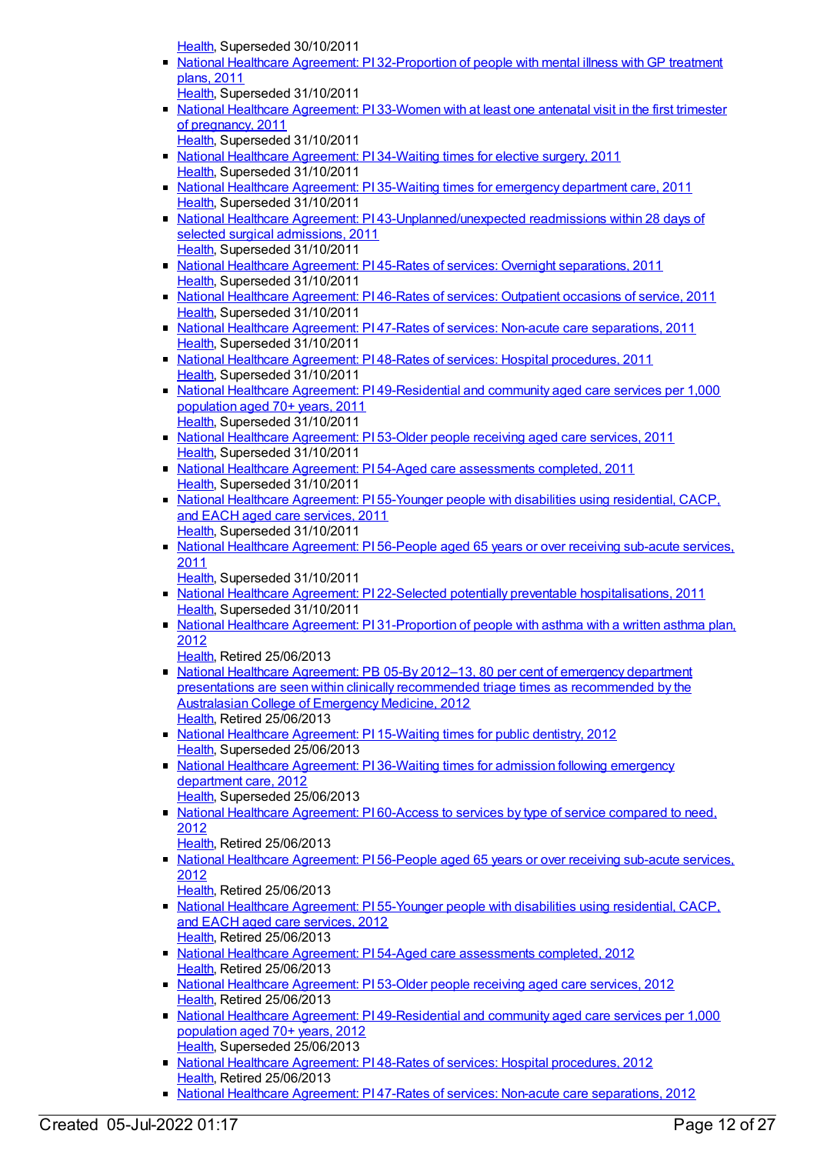[Health](https://meteor.aihw.gov.au/RegistrationAuthority/12), Superseded 30/10/2011

- National Healthcare Agreement: PI [32-Proportion](https://meteor.aihw.gov.au/content/421627) of people with mental illness with GP treatment plans, 2011
- [Health](https://meteor.aihw.gov.au/RegistrationAuthority/12), Superseded 31/10/2011
- National Healthcare [Agreement:](https://meteor.aihw.gov.au/content/421625) PI 33-Women with at least one antenatal visit in the first trimester of pregnancy, 2011
- [Health](https://meteor.aihw.gov.au/RegistrationAuthority/12), Superseded 31/10/2011
- National Healthcare [Agreement:](https://meteor.aihw.gov.au/content/421623) PI 34-Waiting times for elective surgery, 2011 [Health](https://meteor.aihw.gov.au/RegistrationAuthority/12), Superseded 31/10/2011
- National Healthcare [Agreement:](https://meteor.aihw.gov.au/content/421621) PI 35-Waiting times for emergency department care, 2011 [Health](https://meteor.aihw.gov.au/RegistrationAuthority/12), Superseded 31/10/2011
- National Healthcare Agreement: PI [43-Unplanned/unexpected](https://meteor.aihw.gov.au/content/421607) readmissions within 28 days of selected surgical admissions, 2011 [Health](https://meteor.aihw.gov.au/RegistrationAuthority/12), Superseded 31/10/2011
- National Healthcare Agreement: PI 45-Rates of services: Overnight [separations,](https://meteor.aihw.gov.au/content/421602) 2011 [Health](https://meteor.aihw.gov.au/RegistrationAuthority/12), Superseded 31/10/2011
- National Healthcare [Agreement:](https://meteor.aihw.gov.au/content/421600) PI 46-Rates of services: Outpatient occasions of service, 2011 [Health](https://meteor.aihw.gov.au/RegistrationAuthority/12), Superseded 31/10/2011
- National Healthcare Agreement: PI 47-Rates of services: Non-acute care [separations,](https://meteor.aihw.gov.au/content/421598) 2011 [Health](https://meteor.aihw.gov.au/RegistrationAuthority/12), Superseded 31/10/2011
- National Healthcare Agreement: PI 48-Rates of services: Hospital [procedures,](https://meteor.aihw.gov.au/content/421596) 2011 [Health](https://meteor.aihw.gov.au/RegistrationAuthority/12), Superseded 31/10/2011
- National Healthcare Agreement: PI [49-Residential](https://meteor.aihw.gov.au/content/421561) and community aged care services per 1,000 population aged 70+ years, 2011 [Health](https://meteor.aihw.gov.au/RegistrationAuthority/12), Superseded 31/10/2011
- National Healthcare [Agreement:](https://meteor.aihw.gov.au/content/421552) PI 53-Older people receiving aged care services, 2011 [Health](https://meteor.aihw.gov.au/RegistrationAuthority/12), Superseded 31/10/2011
- National Healthcare Agreement: PI 54-Aged care [assessments](https://meteor.aihw.gov.au/content/421550) completed, 2011 [Health](https://meteor.aihw.gov.au/RegistrationAuthority/12), Superseded 31/10/2011
- National Healthcare [Agreement:](https://meteor.aihw.gov.au/content/421548) PI 55-Younger people with disabilities using residential, CACP, and EACH aged care services, 2011 [Health](https://meteor.aihw.gov.au/RegistrationAuthority/12), Superseded 31/10/2011
- National Healthcare [Agreement:](https://meteor.aihw.gov.au/content/421544) PI 56-People aged 65 years or over receiving sub-acute services, 2011

[Health](https://meteor.aihw.gov.au/RegistrationAuthority/12), Superseded 31/10/2011

- National Healthcare Agreement: PI 22-Selected potentially preventable [hospitalisations,](https://meteor.aihw.gov.au/content/421649) 2011 [Health](https://meteor.aihw.gov.au/RegistrationAuthority/12), Superseded 31/10/2011
- National Healthcare Agreement: PI [31-Proportion](https://meteor.aihw.gov.au/content/435988) of people with asthma with a written asthma plan, 2012
	- [Health](https://meteor.aihw.gov.au/RegistrationAuthority/12), Retired 25/06/2013
- National Healthcare Agreement: PB 05-By 2012-13, 80 per cent of emergency department presentations are seen within clinically recommended triage times as [recommended](https://meteor.aihw.gov.au/content/435832) by the Australasian College of Emergency Medicine, 2012 [Health](https://meteor.aihw.gov.au/RegistrationAuthority/12), Retired 25/06/2013
- National Healthcare [Agreement:](https://meteor.aihw.gov.au/content/435849) PI 15-Waiting times for public dentistry, 2012 [Health](https://meteor.aihw.gov.au/RegistrationAuthority/12), Superseded 25/06/2013
- National Healthcare [Agreement:](https://meteor.aihw.gov.au/content/435865) PI 36-Waiting times for admission following emergency department care, 2012
	- [Health](https://meteor.aihw.gov.au/RegistrationAuthority/12), Superseded 25/06/2013
- National Healthcare [Agreement:](https://meteor.aihw.gov.au/content/435991) PI60-Access to services by type of service compared to need, 2012
- [Health](https://meteor.aihw.gov.au/RegistrationAuthority/12), Retired 25/06/2013
- National Healthcare [Agreement:](https://meteor.aihw.gov.au/content/435895) PI 56-People aged 65 years or over receiving sub-acute services, 2012
- [Health](https://meteor.aihw.gov.au/RegistrationAuthority/12), Retired 25/06/2013
- National Healthcare [Agreement:](https://meteor.aihw.gov.au/content/436893) PI 55-Younger people with disabilities using residential, CACP, and EACH aged care services, 2012 [Health](https://meteor.aihw.gov.au/RegistrationAuthority/12), Retired 25/06/2013
- National Healthcare Agreement: PI 54-Aged care [assessments](https://meteor.aihw.gov.au/content/436891) completed, 2012 [Health](https://meteor.aihw.gov.au/RegistrationAuthority/12), Retired 25/06/2013
- National Healthcare [Agreement:](https://meteor.aihw.gov.au/content/436887) PI 53-Older people receiving aged care services, 2012 [Health](https://meteor.aihw.gov.au/RegistrationAuthority/12), Retired 25/06/2013
- National Healthcare Agreement: PI [49-Residential](https://meteor.aihw.gov.au/content/436881) and community aged care services per 1,000 population aged 70+ years, 2012 [Health](https://meteor.aihw.gov.au/RegistrationAuthority/12), Superseded 25/06/2013
- National Healthcare Agreement: PI 48-Rates of services: Hospital [procedures,](https://meteor.aihw.gov.au/content/444872) 2012 [Health](https://meteor.aihw.gov.au/RegistrationAuthority/12), Retired 25/06/2013
- National Healthcare Agreement: PI 47-Rates of services: Non-acute care [separations,](https://meteor.aihw.gov.au/content/435878) 2012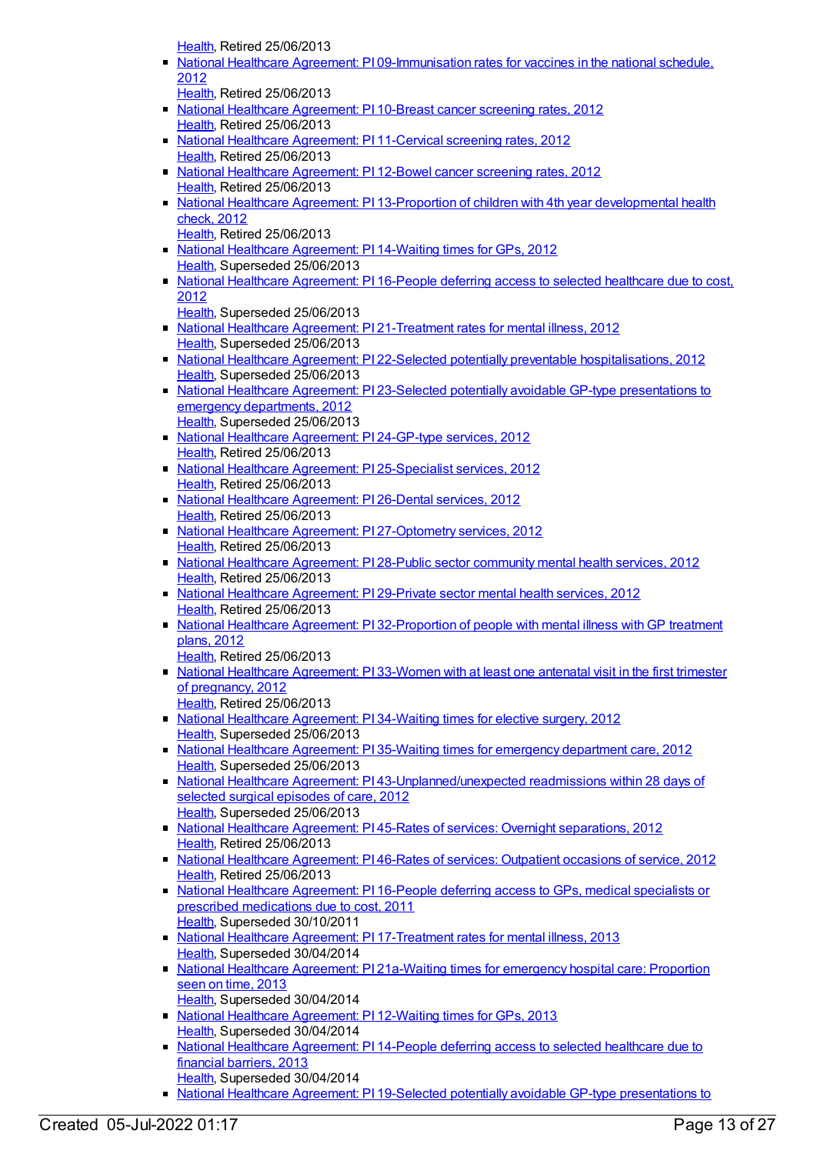[Health](https://meteor.aihw.gov.au/RegistrationAuthority/12), Retired 25/06/2013

- National Healthcare Agreement: PI [09-Immunisation](https://meteor.aihw.gov.au/content/436839) rates for vaccines in the national schedule, 2012
	- [Health](https://meteor.aihw.gov.au/RegistrationAuthority/12), Retired 25/06/2013
- National Healthcare [Agreement:](https://meteor.aihw.gov.au/content/435843) PI 10-Breast cancer screening rates, 2012 [Health](https://meteor.aihw.gov.au/RegistrationAuthority/12), Retired 25/06/2013
- National Healthcare [Agreement:](https://meteor.aihw.gov.au/content/435845) PI 11-Cervical screening rates, 2012 [Health](https://meteor.aihw.gov.au/RegistrationAuthority/12), Retired 25/06/2013
- National Healthcare [Agreement:](https://meteor.aihw.gov.au/content/435847) PI 12-Bowel cancer screening rates, 2012 [Health](https://meteor.aihw.gov.au/RegistrationAuthority/12), Retired 25/06/2013
- National Healthcare Agreement: PI 13-Proportion of children with 4th year [developmental](https://meteor.aihw.gov.au/content/441359) health check, 2012
- [Health](https://meteor.aihw.gov.au/RegistrationAuthority/12), Retired 25/06/2013
- National Healthcare [Agreement:](https://meteor.aihw.gov.au/content/436845) PI 14-Waiting times for GPs, 2012 [Health](https://meteor.aihw.gov.au/RegistrationAuthority/12), Superseded 25/06/2013
- National Healthcare [Agreement:](https://meteor.aihw.gov.au/content/436848) PI 16-People deferring access to selected healthcare due to cost, 2012
- [Health](https://meteor.aihw.gov.au/RegistrationAuthority/12), Superseded 25/06/2013
- National Healthcare Agreement: PI [21-Treatment](https://meteor.aihw.gov.au/content/441365) rates for mental illness, 2012 [Health](https://meteor.aihw.gov.au/RegistrationAuthority/12), Superseded 25/06/2013
- National Healthcare Agreement: PI 22-Selected potentially preventable [hospitalisations,](https://meteor.aihw.gov.au/content/443687) 2012 [Health](https://meteor.aihw.gov.au/RegistrationAuthority/12), Superseded 25/06/2013
- National Healthcare Agreement: PI 23-Selected potentially avoidable GP-type [presentations](https://meteor.aihw.gov.au/content/443689) to emergency departments, 2012 [Health](https://meteor.aihw.gov.au/RegistrationAuthority/12), Superseded 25/06/2013
- National Healthcare [Agreement:](https://meteor.aihw.gov.au/content/441378) PI 24-GP-type services, 2012 [Health](https://meteor.aihw.gov.au/RegistrationAuthority/12), Retired 25/06/2013
- National Healthcare Agreement: PI [25-Specialist](https://meteor.aihw.gov.au/content/441385) services, 2012 [Health](https://meteor.aihw.gov.au/RegistrationAuthority/12), Retired 25/06/2013
- National Healthcare [Agreement:](https://meteor.aihw.gov.au/content/435851) PI 26-Dental services, 2012 [Health](https://meteor.aihw.gov.au/RegistrationAuthority/12), Retired 25/06/2013
- National Healthcare Agreement: PI [27-Optometry](https://meteor.aihw.gov.au/content/441389) services, 2012 [Health](https://meteor.aihw.gov.au/RegistrationAuthority/12), Retired 25/06/2013
- National Healthcare [Agreement:](https://meteor.aihw.gov.au/content/435854) PI 28-Public sector community mental health services, 2012 [Health](https://meteor.aihw.gov.au/RegistrationAuthority/12), Retired 25/06/2013
- National Healthcare [Agreement:](https://meteor.aihw.gov.au/content/435986) PI 29-Private sector mental health services, 2012 [Health](https://meteor.aihw.gov.au/RegistrationAuthority/12), Retired 25/06/2013
- National Healthcare Agreement: PI [32-Proportion](https://meteor.aihw.gov.au/content/441393) of people with mental illness with GP treatment plans, 2012
- [Health](https://meteor.aihw.gov.au/RegistrationAuthority/12), Retired 25/06/2013
- National Healthcare [Agreement:](https://meteor.aihw.gov.au/content/435858) PI 33-Women with at least one antenatal visit in the first trimester of pregnancy, 2012 [Health](https://meteor.aihw.gov.au/RegistrationAuthority/12), Retired 25/06/2013
- National Healthcare [Agreement:](https://meteor.aihw.gov.au/content/435861) PI 34-Waiting times for elective surgery, 2012 [Health](https://meteor.aihw.gov.au/RegistrationAuthority/12), Superseded 25/06/2013
- National Healthcare [Agreement:](https://meteor.aihw.gov.au/content/435863) PI 35-Waiting times for emergency department care, 2012 [Health](https://meteor.aihw.gov.au/RegistrationAuthority/12), Superseded 25/06/2013
- National Healthcare Agreement: PI [43-Unplanned/unexpected](https://meteor.aihw.gov.au/content/443711) readmissions within 28 days of selected surgical episodes of care, 2012 [Health](https://meteor.aihw.gov.au/RegistrationAuthority/12), Superseded 25/06/2013
- National Healthcare Agreement: PI 45-Rates of services: Overnight [separations,](https://meteor.aihw.gov.au/content/435873) 2012 [Health](https://meteor.aihw.gov.au/RegistrationAuthority/12), Retired 25/06/2013
- National Healthcare [Agreement:](https://meteor.aihw.gov.au/content/435875) PI 46-Rates of services: Outpatient occasions of service, 2012 [Health](https://meteor.aihw.gov.au/RegistrationAuthority/12), Retired 25/06/2013
- National Healthcare [Agreement:](https://meteor.aihw.gov.au/content/402433) PI 16-People deferring access to GPs, medical specialists or prescribed medications due to cost, 2011 [Health](https://meteor.aihw.gov.au/RegistrationAuthority/12), Superseded 30/10/2011
- National Healthcare Agreement: PI [17-Treatment](https://meteor.aihw.gov.au/content/497236) rates for mental illness, 2013 [Health](https://meteor.aihw.gov.au/RegistrationAuthority/12), Superseded 30/04/2014
- National Healthcare Agreement: PI [21a-Waiting](https://meteor.aihw.gov.au/content/497186) times for emergency hospital care: Proportion seen on time, 2013 [Health](https://meteor.aihw.gov.au/RegistrationAuthority/12), Superseded 30/04/2014
- National Healthcare [Agreement:](https://meteor.aihw.gov.au/content/497366) PI 12-Waiting times for GPs, 2013 [Health](https://meteor.aihw.gov.au/RegistrationAuthority/12), Superseded 30/04/2014
- National Healthcare [Agreement:](https://meteor.aihw.gov.au/content/497252) PI 14-People deferring access to selected healthcare due to financial barriers, 2013 [Health](https://meteor.aihw.gov.au/RegistrationAuthority/12), Superseded 30/04/2014
- National Healthcare Agreement: PI 19-Selected potentially avoidable GP-type [presentations](https://meteor.aihw.gov.au/content/497222) to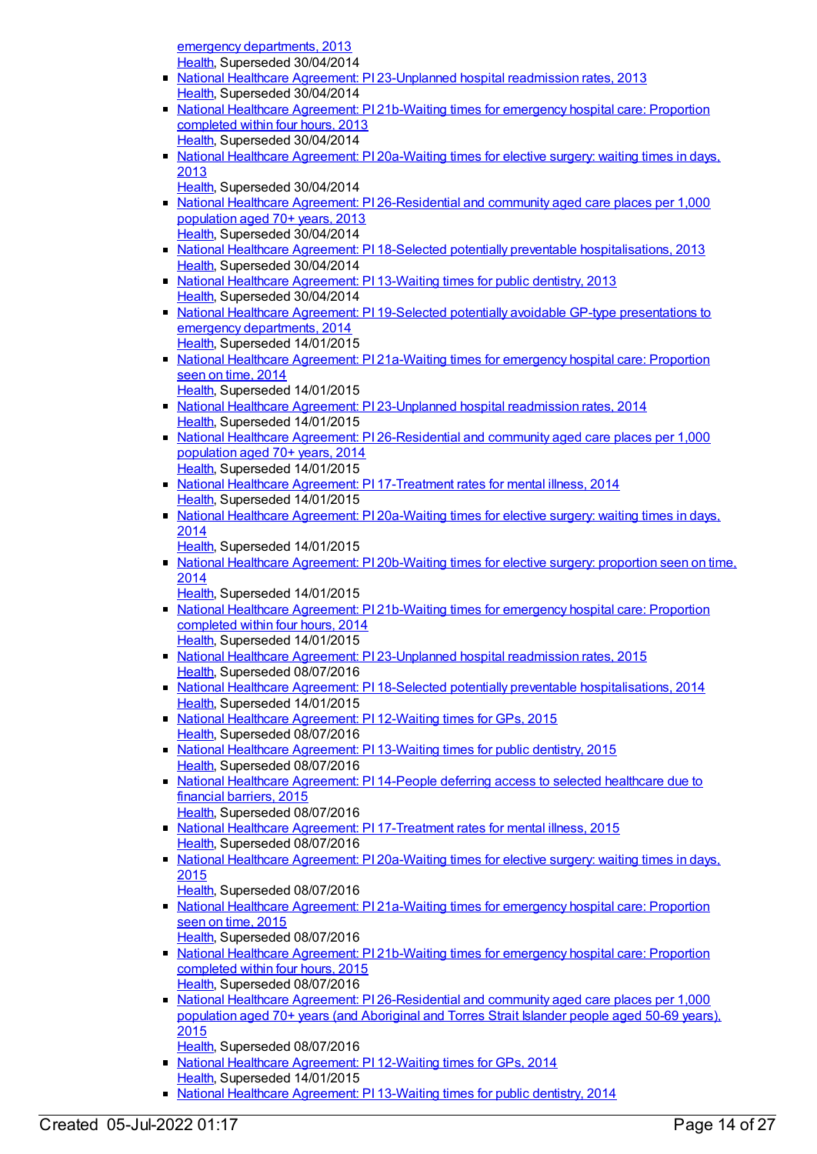emergency departments, 2013 [Health](https://meteor.aihw.gov.au/RegistrationAuthority/12), Superseded 30/04/2014

- National Healthcare Agreement: PI [23-Unplanned](https://meteor.aihw.gov.au/content/497129) hospital readmission rates, 2013 [Health](https://meteor.aihw.gov.au/RegistrationAuthority/12), Superseded 30/04/2014
- National Healthcare Agreement: PI [21b-Waiting](https://meteor.aihw.gov.au/content/497210) times for emergency hospital care: Proportion completed within four hours, 2013 [Health](https://meteor.aihw.gov.au/RegistrationAuthority/12), Superseded 30/04/2014
- National Healthcare Agreement: PI [20a-Waiting](https://meteor.aihw.gov.au/content/497219) times for elective surgery: waiting times in days, 2013
	- [Health](https://meteor.aihw.gov.au/RegistrationAuthority/12), Superseded 30/04/2014
- National Healthcare Agreement: PI [26-Residential](https://meteor.aihw.gov.au/content/497002) and community aged care places per 1,000 population aged 70+ years, 2013 [Health](https://meteor.aihw.gov.au/RegistrationAuthority/12), Superseded 30/04/2014
- National Healthcare Agreement: PI 18-Selected potentially preventable [hospitalisations,](https://meteor.aihw.gov.au/content/497224) 2013 [Health](https://meteor.aihw.gov.au/RegistrationAuthority/12), Superseded 30/04/2014
- National Healthcare [Agreement:](https://meteor.aihw.gov.au/content/497262) PI 13-Waiting times for public dentistry, 2013 [Health](https://meteor.aihw.gov.au/RegistrationAuthority/12), Superseded 30/04/2014
- National Healthcare Agreement: PI 19-Selected potentially avoidable GP-type [presentations](https://meteor.aihw.gov.au/content/517646) to emergency departments, 2014 [Health](https://meteor.aihw.gov.au/RegistrationAuthority/12), Superseded 14/01/2015
- National Healthcare Agreement: PI [21a-Waiting](https://meteor.aihw.gov.au/content/517640) times for emergency hospital care: Proportion seen on time, 2014 [Health](https://meteor.aihw.gov.au/RegistrationAuthority/12), Superseded 14/01/2015
- National Healthcare Agreement: PI [23-Unplanned](https://meteor.aihw.gov.au/content/517634) hospital readmission rates, 2014 [Health](https://meteor.aihw.gov.au/RegistrationAuthority/12), Superseded 14/01/2015
- National Healthcare Agreement: PI [26-Residential](https://meteor.aihw.gov.au/content/517628) and community aged care places per 1,000 population aged 70+ years, 2014 [Health](https://meteor.aihw.gov.au/RegistrationAuthority/12), Superseded 14/01/2015
- National Healthcare Agreement: PI [17-Treatment](https://meteor.aihw.gov.au/content/517650) rates for mental illness, 2014 [Health](https://meteor.aihw.gov.au/RegistrationAuthority/12), Superseded 14/01/2015
- National Healthcare Agreement: PI [20a-Waiting](https://meteor.aihw.gov.au/content/517644) times for elective surgery: waiting times in days, 2014
	- [Health](https://meteor.aihw.gov.au/RegistrationAuthority/12), Superseded 14/01/2015
- National Healthcare Agreement: PI [20b-Waiting](https://meteor.aihw.gov.au/content/517642) times for elective surgery: proportion seen on time, 2014
	- [Health](https://meteor.aihw.gov.au/RegistrationAuthority/12), Superseded 14/01/2015
- National Healthcare Agreement: PI [21b-Waiting](https://meteor.aihw.gov.au/content/517638) times for emergency hospital care: Proportion completed within four hours, 2014 [Health](https://meteor.aihw.gov.au/RegistrationAuthority/12), Superseded 14/01/2015
- National Healthcare Agreement: PI [23-Unplanned](https://meteor.aihw.gov.au/content/559020) hospital readmission rates, 2015 [Health](https://meteor.aihw.gov.au/RegistrationAuthority/12), Superseded 08/07/2016
- National Healthcare Agreement: PI 18-Selected potentially preventable [hospitalisations,](https://meteor.aihw.gov.au/content/517648) 2014 [Health](https://meteor.aihw.gov.au/RegistrationAuthority/12), Superseded 14/01/2015
- National Healthcare [Agreement:](https://meteor.aihw.gov.au/content/559044) PI 12-Waiting times for GPs, 2015 [Health](https://meteor.aihw.gov.au/RegistrationAuthority/12), Superseded 08/07/2016
- National Healthcare [Agreement:](https://meteor.aihw.gov.au/content/559042) PI 13-Waiting times for public dentistry, 2015 [Health](https://meteor.aihw.gov.au/RegistrationAuthority/12), Superseded 08/07/2016
- National Healthcare [Agreement:](https://meteor.aihw.gov.au/content/559040) PI 14-People deferring access to selected healthcare due to financial barriers, 2015
- [Health](https://meteor.aihw.gov.au/RegistrationAuthority/12), Superseded 08/07/2016 • National Healthcare Agreement: PI [17-Treatment](https://meteor.aihw.gov.au/content/559034) rates for mental illness, 2015 [Health](https://meteor.aihw.gov.au/RegistrationAuthority/12), Superseded 08/07/2016
- National Healthcare Agreement: PI [20a-Waiting](https://meteor.aihw.gov.au/content/559030) times for elective surgery: waiting times in days, 2015
- [Health](https://meteor.aihw.gov.au/RegistrationAuthority/12), Superseded 08/07/2016
- National Healthcare Agreement: PI [21a-Waiting](https://meteor.aihw.gov.au/content/559026) times for emergency hospital care: Proportion seen on time, 2015 [Health](https://meteor.aihw.gov.au/RegistrationAuthority/12), Superseded 08/07/2016
- National Healthcare Agreement: PI [21b-Waiting](https://meteor.aihw.gov.au/content/559024) times for emergency hospital care: Proportion completed within four hours, 2015 [Health](https://meteor.aihw.gov.au/RegistrationAuthority/12), Superseded 08/07/2016
- National Healthcare Agreement: PI [26-Residential](https://meteor.aihw.gov.au/content/559014) and community aged care places per 1,000 population aged 70+ years (and Aboriginal and Torres Strait Islander people aged 50-69 years), 2015
- [Health](https://meteor.aihw.gov.au/RegistrationAuthority/12), Superseded 08/07/2016
- National Healthcare [Agreement:](https://meteor.aihw.gov.au/content/517663) PI 12-Waiting times for GPs, 2014 [Health](https://meteor.aihw.gov.au/RegistrationAuthority/12), Superseded 14/01/2015
- National Healthcare [Agreement:](https://meteor.aihw.gov.au/content/517658) PI 13-Waiting times for public dentistry, 2014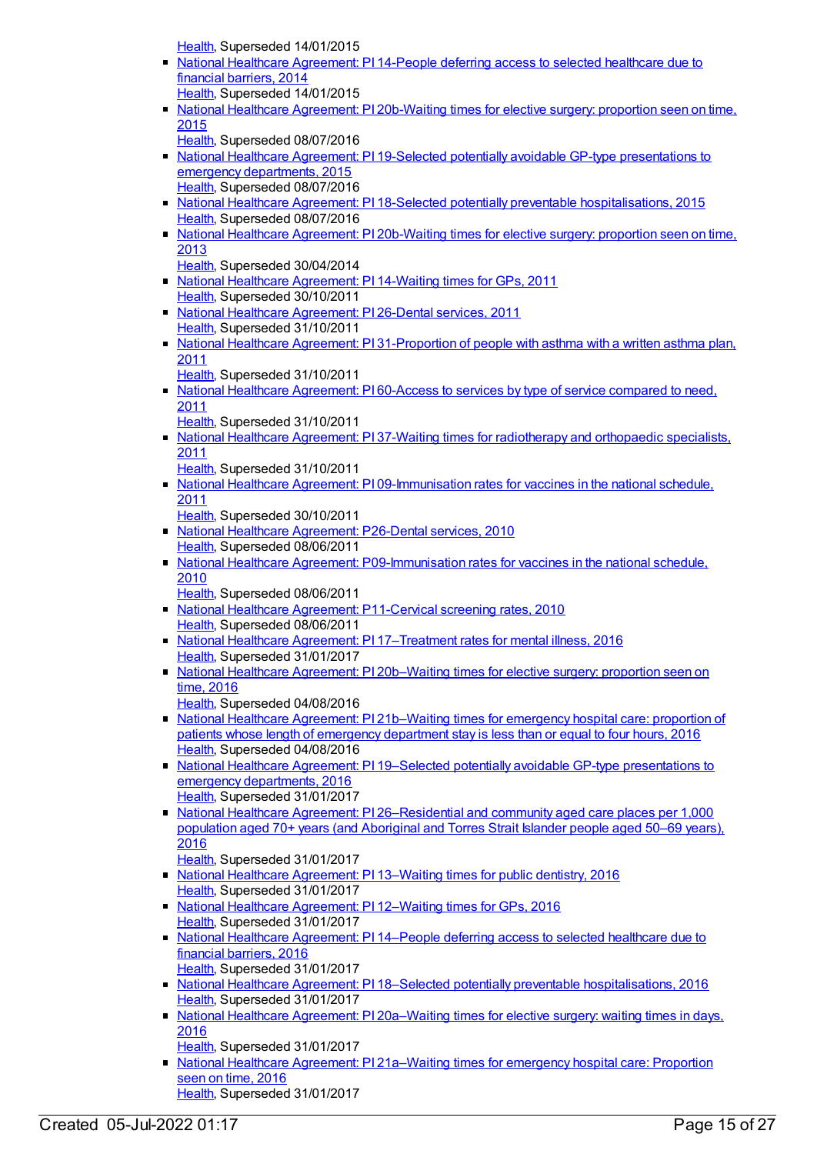[Health](https://meteor.aihw.gov.au/RegistrationAuthority/12), Superseded 14/01/2015

- National Healthcare [Agreement:](https://meteor.aihw.gov.au/content/517656) PI 14-People deferring access to selected healthcare due to financial barriers, 2014
	- [Health](https://meteor.aihw.gov.au/RegistrationAuthority/12), Superseded 14/01/2015
- National Healthcare Agreement: PI [20b-Waiting](https://meteor.aihw.gov.au/content/559028) times for elective surgery: proportion seen on time, 2015
- [Health](https://meteor.aihw.gov.au/RegistrationAuthority/12), Superseded 08/07/2016
- National Healthcare Agreement: PI 19-Selected potentially avoidable GP-type [presentations](https://meteor.aihw.gov.au/content/588731) to emergency departments, 2015 [Health](https://meteor.aihw.gov.au/RegistrationAuthority/12), Superseded 08/07/2016
- National Healthcare Agreement: PI 18-Selected potentially preventable [hospitalisations,](https://meteor.aihw.gov.au/content/559032) 2015 [Health](https://meteor.aihw.gov.au/RegistrationAuthority/12), Superseded 08/07/2016
- National Healthcare Agreement: PI [20b-Waiting](https://meteor.aihw.gov.au/content/497217) times for elective surgery: proportion seen on time, 2013
- [Health](https://meteor.aihw.gov.au/RegistrationAuthority/12), Superseded 30/04/2014
- National Healthcare [Agreement:](https://meteor.aihw.gov.au/content/402424) PI 14-Waiting times for GPs, 2011 [Health](https://meteor.aihw.gov.au/RegistrationAuthority/12), Superseded 30/10/2011
- National Healthcare [Agreement:](https://meteor.aihw.gov.au/content/421640) PI 26-Dental services, 2011 [Health](https://meteor.aihw.gov.au/RegistrationAuthority/12), Superseded 31/10/2011
- National Healthcare Agreement: PI [31-Proportion](https://meteor.aihw.gov.au/content/421629) of people with asthma with a written asthma plan, 2011
	- [Health](https://meteor.aihw.gov.au/RegistrationAuthority/12), Superseded 31/10/2011
- National Healthcare [Agreement:](https://meteor.aihw.gov.au/content/421592) PI 60-Access to services by type of service compared to need, 2011
	- [Health](https://meteor.aihw.gov.au/RegistrationAuthority/12), Superseded 31/10/2011
- National Healthcare Agreement: PI 37-Waiting times for [radiotherapy](https://meteor.aihw.gov.au/content/402443) and orthopaedic specialists, 2011
	- [Health](https://meteor.aihw.gov.au/RegistrationAuthority/12), Superseded 31/10/2011
- National Healthcare Agreement: PI [09-Immunisation](https://meteor.aihw.gov.au/content/421684) rates for vaccines in the national schedule, 2011
	- [Health](https://meteor.aihw.gov.au/RegistrationAuthority/12), Superseded 30/10/2011
- National Healthcare [Agreement:](https://meteor.aihw.gov.au/content/394906) P26-Dental services, 2010 [Health](https://meteor.aihw.gov.au/RegistrationAuthority/12), Superseded 08/06/2011
- National Healthcare Agreement: [P09-Immunisation](https://meteor.aihw.gov.au/content/394250) rates for vaccines in the national schedule, 2010
	- [Health](https://meteor.aihw.gov.au/RegistrationAuthority/12), Superseded 08/06/2011
- National Healthcare Agreement: [P11-Cervical](https://meteor.aihw.gov.au/content/394285) screening rates, 2010 [Health](https://meteor.aihw.gov.au/RegistrationAuthority/12), Superseded 08/06/2011
- National Healthcare Agreement: PI [17–Treatment](https://meteor.aihw.gov.au/content/598748) rates for mental illness, 2016 [Health](https://meteor.aihw.gov.au/RegistrationAuthority/12), Superseded 31/01/2017
- National Healthcare Agreement: PI [20b–Waiting](https://meteor.aihw.gov.au/content/598740) times for elective surgery: proportion seen on time, 2016
	- [Health](https://meteor.aihw.gov.au/RegistrationAuthority/12), Superseded 04/08/2016
- National Healthcare Agreement: PI [21b–Waiting](https://meteor.aihw.gov.au/content/598736) times for emergency hospital care: proportion of patients whose length of emergency department stay is less than or equal to four hours, 2016 [Health](https://meteor.aihw.gov.au/RegistrationAuthority/12), Superseded 04/08/2016
- National Healthcare Agreement: PI 19–Selected potentially avoidable GP-type [presentations](https://meteor.aihw.gov.au/content/598744) to emergency departments, 2016 [Health](https://meteor.aihw.gov.au/RegistrationAuthority/12), Superseded 31/01/2017
- National Healthcare Agreement: PI [26–Residential](https://meteor.aihw.gov.au/content/598726) and community aged care places per 1,000 population aged 70+ years (and Aboriginal and Torres Strait Islander people aged 50–69 years), 2016
	- [Health](https://meteor.aihw.gov.au/RegistrationAuthority/12), Superseded 31/01/2017
- National Healthcare [Agreement:](https://meteor.aihw.gov.au/content/602211) PI 13–Waiting times for public dentistry, 2016 [Health](https://meteor.aihw.gov.au/RegistrationAuthority/12), Superseded 31/01/2017
- National Healthcare [Agreement:](https://meteor.aihw.gov.au/content/598758) PI 12–Waiting times for GPs, 2016 [Health](https://meteor.aihw.gov.au/RegistrationAuthority/12), Superseded 31/01/2017
- National Healthcare [Agreement:](https://meteor.aihw.gov.au/content/598754) PI 14–People deferring access to selected healthcare due to financial barriers, 2016 [Health](https://meteor.aihw.gov.au/RegistrationAuthority/12), Superseded 31/01/2017
- National Healthcare Agreement: PI 18–Selected potentially preventable [hospitalisations,](https://meteor.aihw.gov.au/content/598746) 2016 [Health](https://meteor.aihw.gov.au/RegistrationAuthority/12), Superseded 31/01/2017
- National Healthcare Agreement: PI [20a–Waiting](https://meteor.aihw.gov.au/content/598742) times for elective surgery: waiting times in days, 2016
	- [Health](https://meteor.aihw.gov.au/RegistrationAuthority/12), Superseded 31/01/2017
- National Healthcare Agreement: PI [21a–Waiting](https://meteor.aihw.gov.au/content/598738) times for emergency hospital care: Proportion seen on time, 2016 [Health](https://meteor.aihw.gov.au/RegistrationAuthority/12), Superseded 31/01/2017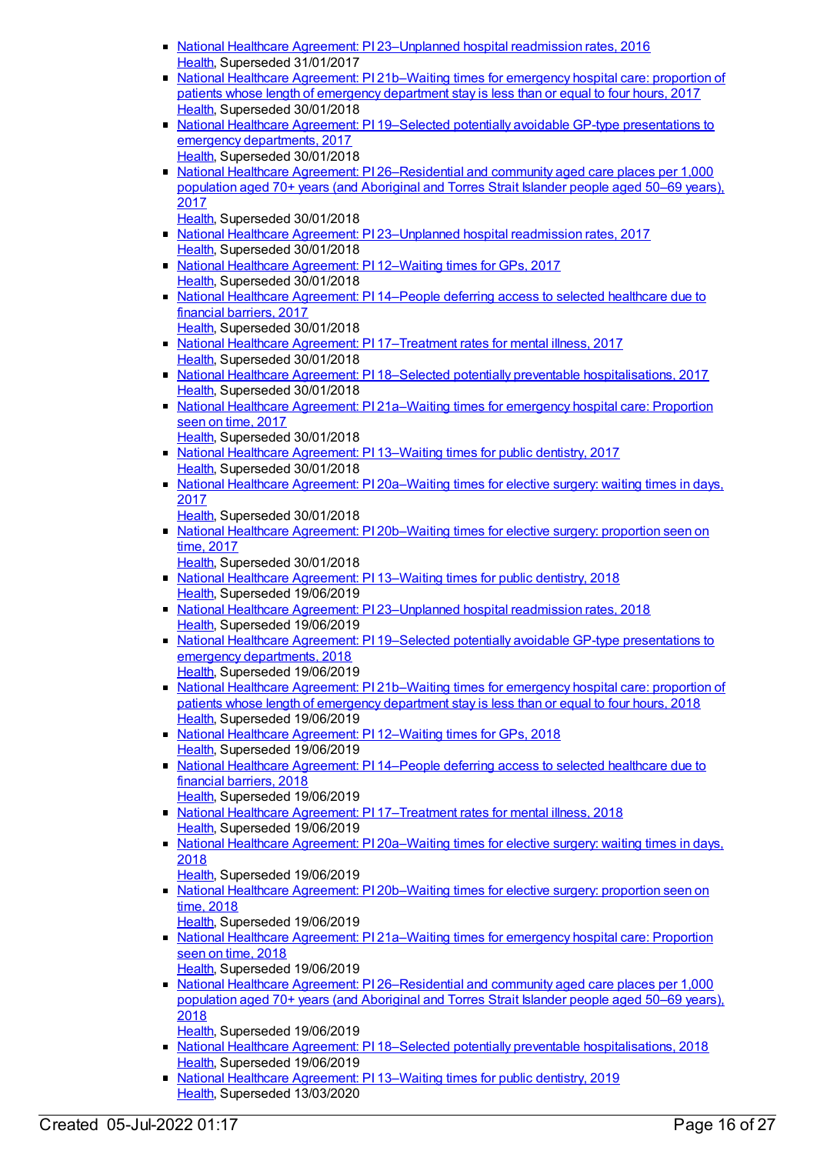- National Healthcare Agreement: PI [23–Unplanned](https://meteor.aihw.gov.au/content/598732) hospital readmission rates, 2016 [Health](https://meteor.aihw.gov.au/RegistrationAuthority/12), Superseded 31/01/2017
- National Healthcare Agreement: PI [21b–Waiting](https://meteor.aihw.gov.au/content/630045) times for emergency hospital care: proportion of patients whose length of emergency department stay is less than or equal to four hours, 2017 [Health](https://meteor.aihw.gov.au/RegistrationAuthority/12), Superseded 30/01/2018
- National Healthcare Agreement: PI 19–Selected potentially avoidable GP-type [presentations](https://meteor.aihw.gov.au/content/630030) to emergency departments, 2017 [Health](https://meteor.aihw.gov.au/RegistrationAuthority/12), Superseded 30/01/2018
- National Healthcare Agreement: PI 26-Residential and community aged care places per 1,000 population aged 70+ years (and Aboriginal and Torres Strait Islander people aged 50–69 years), 2017

[Health](https://meteor.aihw.gov.au/RegistrationAuthority/12), Superseded 30/01/2018

- National Healthcare Agreement: PI 23-Unplanned hospital readmission rates, 2017 [Health](https://meteor.aihw.gov.au/RegistrationAuthority/12), Superseded 30/01/2018
- National Healthcare [Agreement:](https://meteor.aihw.gov.au/content/630014) PI 12–Waiting times for GPs, 2017 [Health](https://meteor.aihw.gov.au/RegistrationAuthority/12), Superseded 30/01/2018
- National Healthcare [Agreement:](https://meteor.aihw.gov.au/content/630020) PI 14–People deferring access to selected healthcare due to financial barriers, 2017 [Health](https://meteor.aihw.gov.au/RegistrationAuthority/12), Superseded 30/01/2018
- National Healthcare Agreement: PI [17–Treatment](https://meteor.aihw.gov.au/content/630026) rates for mental illness, 2017 [Health](https://meteor.aihw.gov.au/RegistrationAuthority/12), Superseded 30/01/2018
- National Healthcare Agreement: PI 18–Selected potentially preventable [hospitalisations,](https://meteor.aihw.gov.au/content/630028) 2017 [Health](https://meteor.aihw.gov.au/RegistrationAuthority/12), Superseded 30/01/2018
- National Healthcare Agreement: PI [21a–Waiting](https://meteor.aihw.gov.au/content/630043) times for emergency hospital care: Proportion seen on time, 2017
- [Health](https://meteor.aihw.gov.au/RegistrationAuthority/12), Superseded 30/01/2018 ■ National Healthcare [Agreement:](https://meteor.aihw.gov.au/content/630017) PI 13–Waiting times for public dentistry, 2017 [Health](https://meteor.aihw.gov.au/RegistrationAuthority/12), Superseded 30/01/2018
- National Healthcare Agreement: PI [20a–Waiting](https://meteor.aihw.gov.au/content/630038) times for elective surgery: waiting times in days, 2017
	- [Health](https://meteor.aihw.gov.au/RegistrationAuthority/12), Superseded 30/01/2018
- National Healthcare Agreement: PI 20b-Waiting times for elective surgery: proportion seen on time, 2017
	- [Health](https://meteor.aihw.gov.au/RegistrationAuthority/12), Superseded 30/01/2018
- National Healthcare [Agreement:](https://meteor.aihw.gov.au/content/658509) PI 13–Waiting times for public dentistry, 2018 [Health](https://meteor.aihw.gov.au/RegistrationAuthority/12), Superseded 19/06/2019
- National Healthcare Agreement: PI [23–Unplanned](https://meteor.aihw.gov.au/content/658485) hospital readmission rates, 2018 [Health](https://meteor.aihw.gov.au/RegistrationAuthority/12), Superseded 19/06/2019
- National Healthcare Agreement: PI 19–Selected potentially avoidable GP-type [presentations](https://meteor.aihw.gov.au/content/658497) to emergency departments, 2018 [Health](https://meteor.aihw.gov.au/RegistrationAuthority/12), Superseded 19/06/2019
- National Healthcare Agreement: PI [21b–Waiting](https://meteor.aihw.gov.au/content/658489) times for emergency hospital care: proportion of patients whose length of emergency department stay is less than or equal to four hours, 2018 [Health](https://meteor.aihw.gov.au/RegistrationAuthority/12), Superseded 19/06/2019
- National Healthcare [Agreement:](https://meteor.aihw.gov.au/content/658511) PI 12–Waiting times for GPs, 2018 [Health](https://meteor.aihw.gov.au/RegistrationAuthority/12), Superseded 19/06/2019
- National Healthcare [Agreement:](https://meteor.aihw.gov.au/content/658507) PI 14–People deferring access to selected healthcare due to financial barriers, 2018
- [Health](https://meteor.aihw.gov.au/RegistrationAuthority/12), Superseded 19/06/2019 ■ National Healthcare Agreement: PI [17–Treatment](https://meteor.aihw.gov.au/content/658501) rates for mental illness, 2018 [Health](https://meteor.aihw.gov.au/RegistrationAuthority/12), Superseded 19/06/2019
- National Healthcare Agreement: PI [20a–Waiting](https://meteor.aihw.gov.au/content/658495) times for elective surgery: waiting times in days, 2018
	- [Health](https://meteor.aihw.gov.au/RegistrationAuthority/12), Superseded 19/06/2019
- National Healthcare Agreement: PI [20b–Waiting](https://meteor.aihw.gov.au/content/658493) times for elective surgery: proportion seen on time, 2018
	- [Health](https://meteor.aihw.gov.au/RegistrationAuthority/12), Superseded 19/06/2019
- National Healthcare Agreement: PI [21a–Waiting](https://meteor.aihw.gov.au/content/658491) times for emergency hospital care: Proportion seen on time, 2018 [Health](https://meteor.aihw.gov.au/RegistrationAuthority/12), Superseded 19/06/2019
- National Healthcare Agreement: PI [26–Residential](https://meteor.aihw.gov.au/content/658479) and community aged care places per 1,000 population aged 70+ years (and Aboriginal and Torres Strait Islander people aged 50–69 years), 2018 [Health](https://meteor.aihw.gov.au/RegistrationAuthority/12), Superseded 19/06/2019
- National Healthcare Agreement: PI 18–Selected potentially preventable [hospitalisations,](https://meteor.aihw.gov.au/content/658499) 2018 [Health](https://meteor.aihw.gov.au/RegistrationAuthority/12), Superseded 19/06/2019
- National Healthcare [Agreement:](https://meteor.aihw.gov.au/content/698914) PI 13–Waiting times for public dentistry, 2019 [Health](https://meteor.aihw.gov.au/RegistrationAuthority/12), Superseded 13/03/2020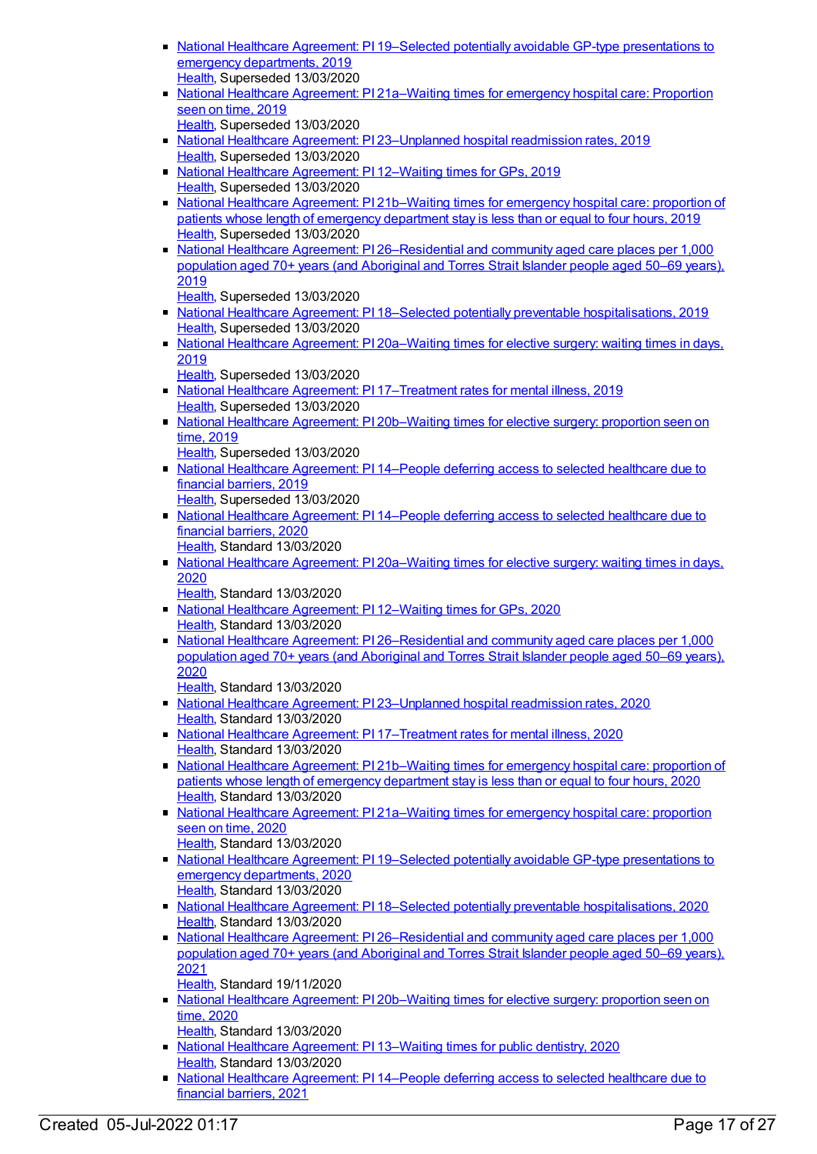- National Healthcare Agreement: PI 19–Selected potentially avoidable GP-type [presentations](https://meteor.aihw.gov.au/content/698902) to emergency departments, 2019 [Health](https://meteor.aihw.gov.au/RegistrationAuthority/12), Superseded 13/03/2020
- National Healthcare Agreement: PI [21a–Waiting](https://meteor.aihw.gov.au/content/698898) times for emergency hospital care: Proportion seen on time, 2019
	- [Health](https://meteor.aihw.gov.au/RegistrationAuthority/12), Superseded 13/03/2020
- National Healthcare Agreement: PI [23–Unplanned](https://meteor.aihw.gov.au/content/698890) hospital readmission rates, 2019 [Health](https://meteor.aihw.gov.au/RegistrationAuthority/12), Superseded 13/03/2020
- National Healthcare [Agreement:](https://meteor.aihw.gov.au/content/698916) PI 12–Waiting times for GPs, 2019 [Health](https://meteor.aihw.gov.au/RegistrationAuthority/12), Superseded 13/03/2020
- National Healthcare Agreement: PI [21b–Waiting](https://meteor.aihw.gov.au/content/698895) times for emergency hospital care: proportion of patients whose length of emergency department stay is less than or equal to four hours, 2019 [Health](https://meteor.aihw.gov.au/RegistrationAuthority/12), Superseded 13/03/2020
- National Healthcare Agreement: PI [26–Residential](https://meteor.aihw.gov.au/content/698884) and community aged care places per 1,000 population aged 70+ years (and Aboriginal and Torres Strait Islander people aged 50–69 years), 2019
	- [Health](https://meteor.aihw.gov.au/RegistrationAuthority/12), Superseded 13/03/2020
- National Healthcare Agreement: PI 18–Selected potentially preventable [hospitalisations,](https://meteor.aihw.gov.au/content/698904) 2019 [Health](https://meteor.aihw.gov.au/RegistrationAuthority/12), Superseded 13/03/2020
- National Healthcare Agreement: PI [20a–Waiting](https://meteor.aihw.gov.au/content/698999) times for elective surgery: waiting times in days, 2019
	- [Health](https://meteor.aihw.gov.au/RegistrationAuthority/12), Superseded 13/03/2020
- National Healthcare Agreement: PI [17–Treatment](https://meteor.aihw.gov.au/content/698906) rates for mental illness, 2019 [Health](https://meteor.aihw.gov.au/RegistrationAuthority/12), Superseded 13/03/2020
- National Healthcare Agreement: PI [20b–Waiting](https://meteor.aihw.gov.au/content/698900) times for elective surgery: proportion seen on time, 2019
	- [Health](https://meteor.aihw.gov.au/RegistrationAuthority/12), Superseded 13/03/2020
- National Healthcare [Agreement:](https://meteor.aihw.gov.au/content/698912) PI 14–People deferring access to selected healthcare due to financial barriers, 2019
- [Health](https://meteor.aihw.gov.au/RegistrationAuthority/12), Superseded 13/03/2020
- National Healthcare [Agreement:](https://meteor.aihw.gov.au/content/716458) PI 14–People deferring access to selected healthcare due to financial barriers, 2020
	- [Health](https://meteor.aihw.gov.au/RegistrationAuthority/12), Standard 13/03/2020
- National Healthcare Agreement: PI [20a–Waiting](https://meteor.aihw.gov.au/content/716570) times for elective surgery: waiting times in days, 2020
	- [Health](https://meteor.aihw.gov.au/RegistrationAuthority/12), Standard 13/03/2020
- National Healthcare [Agreement:](https://meteor.aihw.gov.au/content/716400) PI 12–Waiting times for GPs, 2020 [Health](https://meteor.aihw.gov.au/RegistrationAuthority/12), Standard 13/03/2020
- National Healthcare Agreement: PI [26–Residential](https://meteor.aihw.gov.au/content/716840) and community aged care places per 1,000 population aged 70+ years (and Aboriginal and Torres Strait Islander people aged 50–69 years), 2020
	- [Health](https://meteor.aihw.gov.au/RegistrationAuthority/12), Standard 13/03/2020
- National Healthcare Agreement: PI [23–Unplanned](https://meteor.aihw.gov.au/content/716786) hospital readmission rates, 2020 [Health](https://meteor.aihw.gov.au/RegistrationAuthority/12), Standard 13/03/2020
- National Healthcare Agreement: PI [17–Treatment](https://meteor.aihw.gov.au/content/716505) rates for mental illness, 2020 [Health](https://meteor.aihw.gov.au/RegistrationAuthority/12), Standard 13/03/2020
- National Healthcare Agreement: PI [21b–Waiting](https://meteor.aihw.gov.au/content/716695) times for emergency hospital care: proportion of patients whose length of emergency department stay is less than or equal to four hours, 2020 [Health](https://meteor.aihw.gov.au/RegistrationAuthority/12), Standard 13/03/2020
- National Healthcare Agreement: PI [21a–Waiting](https://meteor.aihw.gov.au/content/716686) times for emergency hospital care: proportion seen on time, 2020
- [Health](https://meteor.aihw.gov.au/RegistrationAuthority/12), Standard 13/03/2020 ■ National Healthcare Agreement: PI 19–Selected potentially avoidable GP-type [presentations](https://meteor.aihw.gov.au/content/716537) to emergency departments, 2020 [Health](https://meteor.aihw.gov.au/RegistrationAuthority/12), Standard 13/03/2020
- National Healthcare Agreement: PI 18–Selected potentially preventable [hospitalisations,](https://meteor.aihw.gov.au/content/716530) 2020 [Health](https://meteor.aihw.gov.au/RegistrationAuthority/12), Standard 13/03/2020
- National Healthcare Agreement: PI [26–Residential](https://meteor.aihw.gov.au/content/725771) and community aged care places per 1,000 population aged 70+ years (and Aboriginal and Torres Strait Islander people aged 50–69 years), 2021
- [Health](https://meteor.aihw.gov.au/RegistrationAuthority/12), Standard 19/11/2020
- National Healthcare Agreement: PI [20b–Waiting](https://meteor.aihw.gov.au/content/716575) times for elective surgery: proportion seen on time, 2020 [Health](https://meteor.aihw.gov.au/RegistrationAuthority/12), Standard 13/03/2020
- National Healthcare [Agreement:](https://meteor.aihw.gov.au/content/716453) PI 13–Waiting times for public dentistry, 2020 [Health](https://meteor.aihw.gov.au/RegistrationAuthority/12), Standard 13/03/2020
- National Healthcare [Agreement:](https://meteor.aihw.gov.au/content/725801) PI 14-People deferring access to selected healthcare due to financial barriers, 2021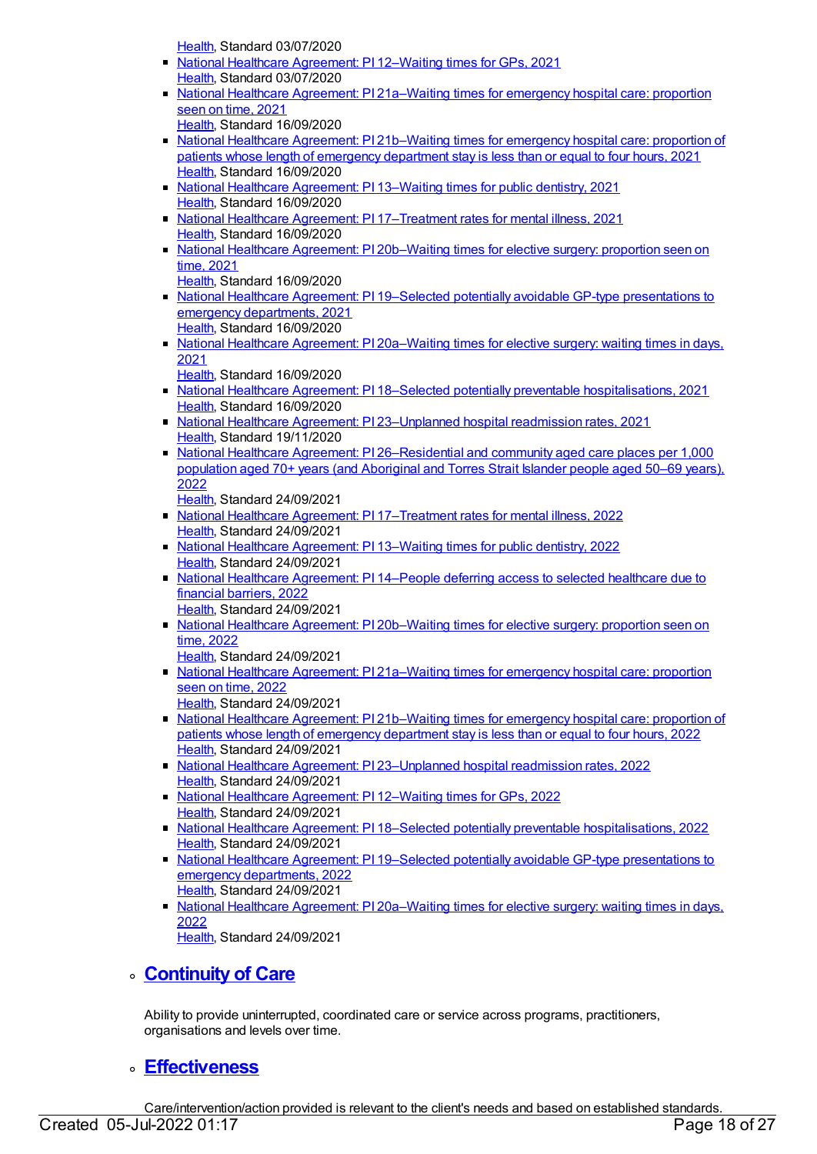[Health](https://meteor.aihw.gov.au/RegistrationAuthority/12), Standard 03/07/2020

- National Healthcare [Agreement:](https://meteor.aihw.gov.au/content/725805) PI 12–Waiting times for GPs, 2021 [Health](https://meteor.aihw.gov.au/RegistrationAuthority/12), Standard 03/07/2020
- National Healthcare Agreement: PI [21a–Waiting](https://meteor.aihw.gov.au/content/725785) times for emergency hospital care: proportion seen on time, 2021 [Health](https://meteor.aihw.gov.au/RegistrationAuthority/12), Standard 16/09/2020
- National Healthcare Agreement: PI [21b–Waiting](https://meteor.aihw.gov.au/content/725783) times for emergency hospital care: proportion of patients whose length of emergency department stay is less than or equal to four hours, 2021 [Health](https://meteor.aihw.gov.au/RegistrationAuthority/12), Standard 16/09/2020
- National Healthcare [Agreement:](https://meteor.aihw.gov.au/content/725803) PI 13–Waiting times for public dentistry, 2021 [Health](https://meteor.aihw.gov.au/RegistrationAuthority/12), Standard 16/09/2020
- National Healthcare Agreement: PI [17–Treatment](https://meteor.aihw.gov.au/content/725795) rates for mental illness, 2021 [Health](https://meteor.aihw.gov.au/RegistrationAuthority/12), Standard 16/09/2020
- National Healthcare Agreement: PI 20b-Waiting times for elective surgery: proportion seen on time, 2021
	- [Health](https://meteor.aihw.gov.au/RegistrationAuthority/12), Standard 16/09/2020
- National Healthcare Agreement: PI 19–Selected potentially avoidable GP-type [presentations](https://meteor.aihw.gov.au/content/725791) to emergency departments, 2021 [Health](https://meteor.aihw.gov.au/RegistrationAuthority/12), Standard 16/09/2020
- National Healthcare Agreement: PI [20a–Waiting](https://meteor.aihw.gov.au/content/725789) times for elective surgery: waiting times in days, 2021

[Health](https://meteor.aihw.gov.au/RegistrationAuthority/12), Standard 16/09/2020

- National Healthcare Agreement: PI 18–Selected potentially preventable [hospitalisations,](https://meteor.aihw.gov.au/content/725793) 2021 [Health](https://meteor.aihw.gov.au/RegistrationAuthority/12), Standard 16/09/2020
- National Healthcare Agreement: PI [23–Unplanned](https://meteor.aihw.gov.au/content/725779) hospital readmission rates, 2021 [Health](https://meteor.aihw.gov.au/RegistrationAuthority/12), Standard 19/11/2020
- National Healthcare Agreement: PI [26–Residential](https://meteor.aihw.gov.au/content/740826) and community aged care places per 1,000 population aged 70+ years (and Aboriginal and Torres Strait Islander people aged 50–69 years), 2022
	- [Health](https://meteor.aihw.gov.au/RegistrationAuthority/12), Standard 24/09/2021
- National Healthcare Agreement: PI [17–Treatment](https://meteor.aihw.gov.au/content/740862) rates for mental illness, 2022 [Health](https://meteor.aihw.gov.au/RegistrationAuthority/12), Standard 24/09/2021
- National Healthcare [Agreement:](https://meteor.aihw.gov.au/content/740870) PI 13–Waiting times for public dentistry, 2022 [Health](https://meteor.aihw.gov.au/RegistrationAuthority/12), Standard 24/09/2021
- National Healthcare [Agreement:](https://meteor.aihw.gov.au/content/740868) PI 14–People deferring access to selected healthcare due to financial barriers, 2022
	- [Health](https://meteor.aihw.gov.au/RegistrationAuthority/12), Standard 24/09/2021
- National Healthcare Agreement: PI [20b–Waiting](https://meteor.aihw.gov.au/content/740843) times for elective surgery: proportion seen on time, 2022

[Health](https://meteor.aihw.gov.au/RegistrationAuthority/12), Standard 24/09/2021

- National Healthcare Agreement: PI [21a–Waiting](https://meteor.aihw.gov.au/content/740840) times for emergency hospital care: proportion seen on time, 2022 [Health](https://meteor.aihw.gov.au/RegistrationAuthority/12), Standard 24/09/2021
- National Healthcare Agreement: PI [21b–Waiting](https://meteor.aihw.gov.au/content/740838) times for emergency hospital care: proportion of patients whose length of emergency department stay is less than or equal to four hours, 2022 [Health](https://meteor.aihw.gov.au/RegistrationAuthority/12), Standard 24/09/2021
- National Healthcare Agreement: PI [23–Unplanned](https://meteor.aihw.gov.au/content/742756) hospital readmission rates, 2022 [Health](https://meteor.aihw.gov.au/RegistrationAuthority/12), Standard 24/09/2021
- National Healthcare [Agreement:](https://meteor.aihw.gov.au/content/740872) PI 12–Waiting times for GPs, 2022 [Health](https://meteor.aihw.gov.au/RegistrationAuthority/12), Standard 24/09/2021
- National Healthcare Agreement: PI 18–Selected potentially preventable [hospitalisations,](https://meteor.aihw.gov.au/content/740851) 2022 [Health](https://meteor.aihw.gov.au/RegistrationAuthority/12), Standard 24/09/2021
- National Healthcare Agreement: PI 19–Selected potentially avoidable GP-type [presentations](https://meteor.aihw.gov.au/content/740847) to emergency departments, 2022 [Health](https://meteor.aihw.gov.au/RegistrationAuthority/12), Standard 24/09/2021
- National Healthcare Agreement: PI [20a–Waiting](https://meteor.aihw.gov.au/content/740845) times for elective surgery: waiting times in days, 2022

[Health](https://meteor.aihw.gov.au/RegistrationAuthority/12), Standard 24/09/2021

# **[Continuity](https://meteor.aihw.gov.au/content/392588) of Care**

Ability to provide uninterrupted, coordinated care or service across programs, practitioners, organisations and levels over time.

# **[Effectiveness](https://meteor.aihw.gov.au/content/392587)**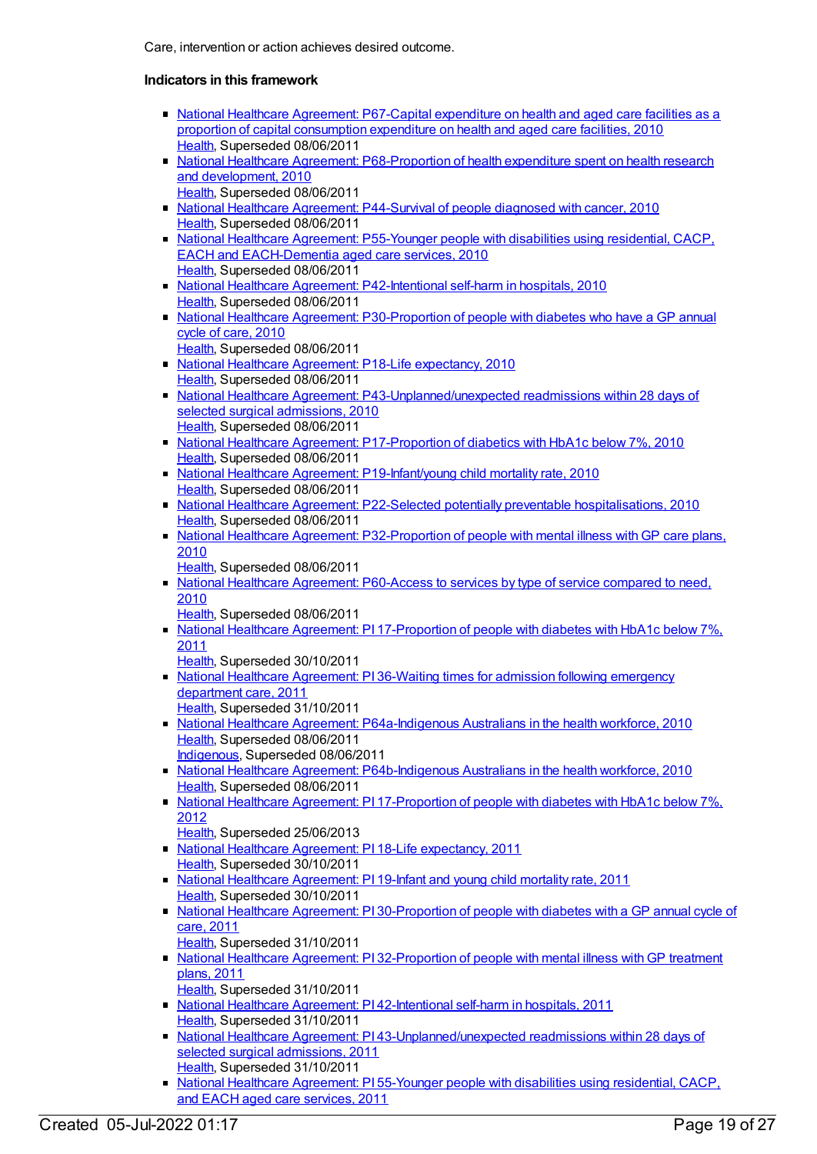- National Healthcare Agreement: [P67-Capital](https://meteor.aihw.gov.au/content/395147) expenditure on health and aged care facilities as a proportion of capital consumption expenditure on health and aged care facilities, 2010 [Health](https://meteor.aihw.gov.au/RegistrationAuthority/12), Superseded 08/06/2011
- National Healthcare Agreement: [P68-Proportion](https://meteor.aihw.gov.au/content/395152) of health expenditure spent on health research and development, 2010
- [Health](https://meteor.aihw.gov.au/RegistrationAuthority/12), Superseded 08/06/2011 National Healthcare Agreement: [P44-Survival](https://meteor.aihw.gov.au/content/395085) of people diagnosed with cancer, 2010 [Health](https://meteor.aihw.gov.au/RegistrationAuthority/12), Superseded 08/06/2011
- National Healthcare Agreement: P55-Younger people with disabilities using residential, CACP, EACH and [EACH-Dementia](https://meteor.aihw.gov.au/content/400216) aged care services, 2010 [Health](https://meteor.aihw.gov.au/RegistrationAuthority/12), Superseded 08/06/2011
- National Healthcare Agreement: [P42-Intentional](https://meteor.aihw.gov.au/content/395079) self-harm in hospitals, 2010 [Health](https://meteor.aihw.gov.au/RegistrationAuthority/12), Superseded 08/06/2011
- National Healthcare Agreement: [P30-Proportion](https://meteor.aihw.gov.au/content/394962) of people with diabetes who have a GP annual cycle of care, 2010
	- [Health](https://meteor.aihw.gov.au/RegistrationAuthority/12), Superseded 08/06/2011
- **National Healthcare Agreement: P18-Life [expectancy,](https://meteor.aihw.gov.au/content/394445) 2010** [Health](https://meteor.aihw.gov.au/RegistrationAuthority/12), Superseded 08/06/2011
- National Healthcare Agreement: [P43-Unplanned/unexpected](https://meteor.aihw.gov.au/content/395081) readmissions within 28 days of selected surgical admissions, 2010 [Health](https://meteor.aihw.gov.au/RegistrationAuthority/12), Superseded 08/06/2011
- National Healthcare Agreement: [P17-Proportion](https://meteor.aihw.gov.au/content/394441) of diabetics with HbA1c below 7%, 2010 [Health](https://meteor.aihw.gov.au/RegistrationAuthority/12), Superseded 08/06/2011
- National Healthcare Agreement: P19-Infant/voung child mortality rate, 2010 [Health](https://meteor.aihw.gov.au/RegistrationAuthority/12), Superseded 08/06/2011
- National Healthcare Agreement: P22-Selected potentially preventable [hospitalisations,](https://meteor.aihw.gov.au/content/394719) 2010 [Health](https://meteor.aihw.gov.au/RegistrationAuthority/12), Superseded 08/06/2011
- National Healthcare Agreement: [P32-Proportion](https://meteor.aihw.gov.au/content/394996) of people with mental illness with GP care plans, 2010
	- [Health](https://meteor.aihw.gov.au/RegistrationAuthority/12), Superseded 08/06/2011
- National Healthcare Agreement: [P60-Access](https://meteor.aihw.gov.au/content/395101) to services by type of service compared to need, 2010
	- [Health](https://meteor.aihw.gov.au/RegistrationAuthority/12), Superseded 08/06/2011
- National Healthcare Agreement: PI [17-Proportion](https://meteor.aihw.gov.au/content/402420) of people with diabetes with HbA1c below 7%, 2011
	- [Health](https://meteor.aihw.gov.au/RegistrationAuthority/12), Superseded 30/10/2011
- National Healthcare [Agreement:](https://meteor.aihw.gov.au/content/402439) PI 36-Waiting times for admission following emergency department care, 2011 [Health](https://meteor.aihw.gov.au/RegistrationAuthority/12), Superseded 31/10/2011
- National Healthcare Agreement: [P64a-Indigenous](https://meteor.aihw.gov.au/content/395129) Australians in the health workforce, 2010 [Health](https://meteor.aihw.gov.au/RegistrationAuthority/12), Superseded 08/06/2011
- [Indigenous](https://meteor.aihw.gov.au/RegistrationAuthority/6), Superseded 08/06/2011 • National Healthcare Agreement: [P64b-Indigenous](https://meteor.aihw.gov.au/content/395132) Australians in the health workforce, 2010 [Health](https://meteor.aihw.gov.au/RegistrationAuthority/12), Superseded 08/06/2011
- National Healthcare Agreement: PI [17-Proportion](https://meteor.aihw.gov.au/content/435982) of people with diabetes with HbA1c below 7%, 2012
	- [Health](https://meteor.aihw.gov.au/RegistrationAuthority/12), Superseded 25/06/2013
- National Healthcare Agreement: PI 18-Life [expectancy,](https://meteor.aihw.gov.au/content/421657) 2011 [Health](https://meteor.aihw.gov.au/RegistrationAuthority/12), Superseded 30/10/2011
- National Healthcare [Agreement:](https://meteor.aihw.gov.au/content/421655) PI 19-Infant and young child mortality rate, 2011 [Health](https://meteor.aihw.gov.au/RegistrationAuthority/12), Superseded 30/10/2011
- National Healthcare Agreement: PI [30-Proportion](https://meteor.aihw.gov.au/content/421631) of people with diabetes with a GP annual cycle of care, 2011
	- [Health](https://meteor.aihw.gov.au/RegistrationAuthority/12), Superseded 31/10/2011
- National Healthcare Agreement: PI [32-Proportion](https://meteor.aihw.gov.au/content/421627) of people with mental illness with GP treatment plans, 2011
- [Health](https://meteor.aihw.gov.au/RegistrationAuthority/12), Superseded 31/10/2011
- National Healthcare Agreement: PI [42-Intentional](https://meteor.aihw.gov.au/content/421609) self-harm in hospitals, 2011 [Health](https://meteor.aihw.gov.au/RegistrationAuthority/12), Superseded 31/10/2011
- National Healthcare Agreement: PI [43-Unplanned/unexpected](https://meteor.aihw.gov.au/content/421607) readmissions within 28 days of selected surgical admissions, 2011 [Health](https://meteor.aihw.gov.au/RegistrationAuthority/12), Superseded 31/10/2011
- National Healthcare [Agreement:](https://meteor.aihw.gov.au/content/421548) PI 55-Younger people with disabilities using residential, CACP, and EACH aged care services, 2011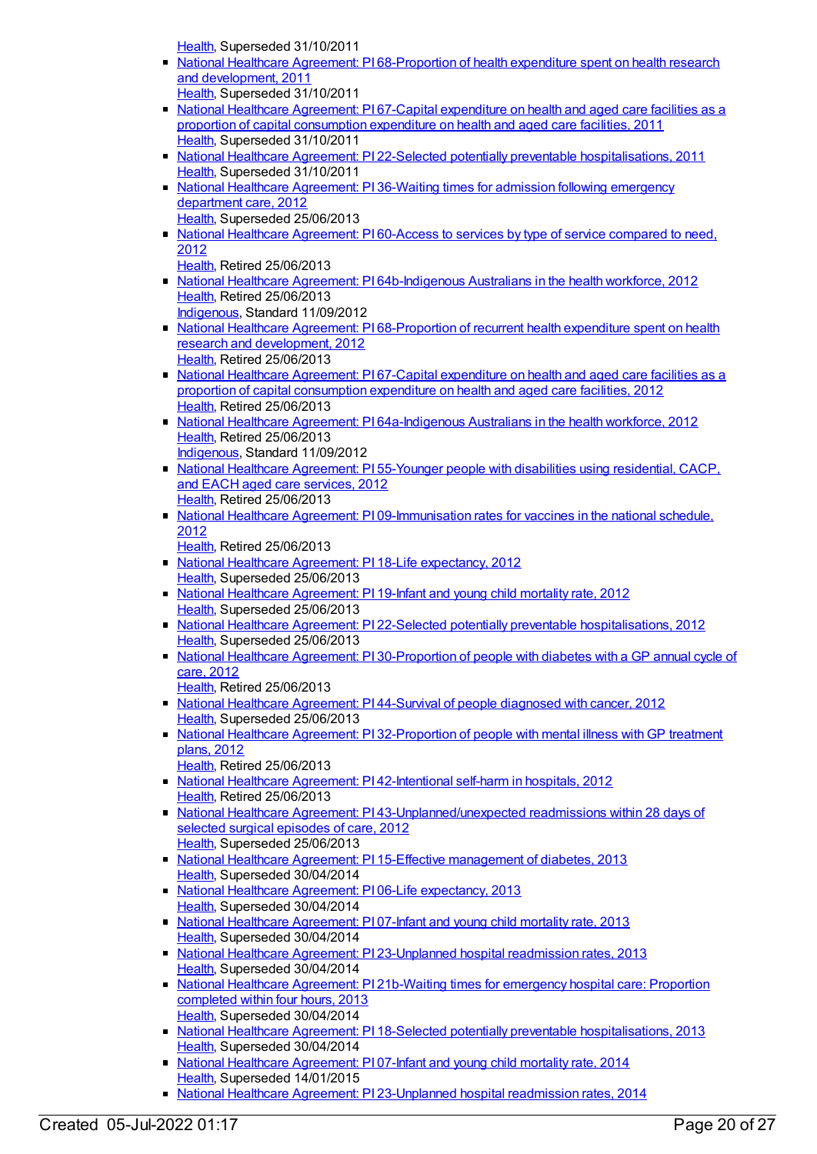[Health](https://meteor.aihw.gov.au/RegistrationAuthority/12), Superseded 31/10/2011

- National Healthcare Agreement: PI [68-Proportion](https://meteor.aihw.gov.au/content/421567) of health expenditure spent on health research and development, 2011
- [Health](https://meteor.aihw.gov.au/RegistrationAuthority/12), Superseded 31/10/2011
- National Healthcare [Agreement:](https://meteor.aihw.gov.au/content/421570) PI 67-Capital expenditure on health and aged care facilities as a proportion of capital consumption expenditure on health and aged care facilities, 2011 [Health](https://meteor.aihw.gov.au/RegistrationAuthority/12), Superseded 31/10/2011
- National Healthcare Agreement: PI 22-Selected potentially preventable [hospitalisations,](https://meteor.aihw.gov.au/content/421649) 2011 [Health](https://meteor.aihw.gov.au/RegistrationAuthority/12), Superseded 31/10/2011
- National Healthcare [Agreement:](https://meteor.aihw.gov.au/content/435865) PI 36-Waiting times for admission following emergency department care, 2012 [Health](https://meteor.aihw.gov.au/RegistrationAuthority/12), Superseded 25/06/2013
- National Healthcare [Agreement:](https://meteor.aihw.gov.au/content/435991) PI60-Access to services by type of service compared to need, 2012
- [Health](https://meteor.aihw.gov.au/RegistrationAuthority/12), Retired 25/06/2013
- National Healthcare Agreement: PI [64b-Indigenous](https://meteor.aihw.gov.au/content/435906) Australians in the health workforce, 2012 [Health](https://meteor.aihw.gov.au/RegistrationAuthority/12), Retired 25/06/2013 [Indigenous](https://meteor.aihw.gov.au/RegistrationAuthority/6), Standard 11/09/2012
- National Healthcare Agreement: PI [68-Proportion](https://meteor.aihw.gov.au/content/436962) of recurrent health expenditure spent on health research and development, 2012 [Health](https://meteor.aihw.gov.au/RegistrationAuthority/12), Retired 25/06/2013
- National Healthcare Agreement: PI 67-Capital expenditure on health and aged care facilities as a proportion of capital [consumption](https://meteor.aihw.gov.au/content/436861) expenditure on health and aged care facilities, 2012 [Health](https://meteor.aihw.gov.au/RegistrationAuthority/12), Retired 25/06/2013
- National Healthcare Agreement: PI [64a-Indigenous](https://meteor.aihw.gov.au/content/435914) Australians in the health workforce, 2012 [Health](https://meteor.aihw.gov.au/RegistrationAuthority/12), Retired 25/06/2013
- [Indigenous](https://meteor.aihw.gov.au/RegistrationAuthority/6), Standard 11/09/2012 • National Healthcare [Agreement:](https://meteor.aihw.gov.au/content/436893) PI 55-Younger people with disabilities using residential, CACP, and EACH aged care services, 2012 [Health](https://meteor.aihw.gov.au/RegistrationAuthority/12), Retired 25/06/2013
- National Healthcare Agreement: PI [09-Immunisation](https://meteor.aihw.gov.au/content/436839) rates for vaccines in the national schedule, 2012
	- [Health](https://meteor.aihw.gov.au/RegistrationAuthority/12), Retired 25/06/2013
- National Healthcare Agreement: PI 18-Life [expectancy,](https://meteor.aihw.gov.au/content/443680) 2012 [Health](https://meteor.aihw.gov.au/RegistrationAuthority/12), Superseded 25/06/2013
- National Healthcare [Agreement:](https://meteor.aihw.gov.au/content/443683) PI 19-Infant and young child mortality rate, 2012 [Health](https://meteor.aihw.gov.au/RegistrationAuthority/12), Superseded 25/06/2013
- National Healthcare Agreement: PI 22-Selected potentially preventable [hospitalisations,](https://meteor.aihw.gov.au/content/443687) 2012 [Health](https://meteor.aihw.gov.au/RegistrationAuthority/12), Superseded 25/06/2013
- National Healthcare Agreement: PI [30-Proportion](https://meteor.aihw.gov.au/content/441397) of people with diabetes with a GP annual cycle of care, 2012
	- [Health](https://meteor.aihw.gov.au/RegistrationAuthority/12), Retired 25/06/2013
- National Healthcare [Agreement:](https://meteor.aihw.gov.au/content/435870) PI 44-Survival of people diagnosed with cancer, 2012 [Health](https://meteor.aihw.gov.au/RegistrationAuthority/12), Superseded 25/06/2013
- National Healthcare Agreement: PI [32-Proportion](https://meteor.aihw.gov.au/content/441393) of people with mental illness with GP treatment plans, 2012
	- [Health](https://meteor.aihw.gov.au/RegistrationAuthority/12), Retired 25/06/2013
- National Healthcare Agreement: PI [42-Intentional](https://meteor.aihw.gov.au/content/443709) self-harm in hospitals, 2012 [Health](https://meteor.aihw.gov.au/RegistrationAuthority/12), Retired 25/06/2013
- National Healthcare Agreement: PI [43-Unplanned/unexpected](https://meteor.aihw.gov.au/content/443711) readmissions within 28 days of selected surgical episodes of care, 2012 [Health](https://meteor.aihw.gov.au/RegistrationAuthority/12), Superseded 25/06/2013
- National Healthcare Agreement: PI 15-Effective [management](https://meteor.aihw.gov.au/content/497246) of diabetes, 2013 [Health](https://meteor.aihw.gov.au/RegistrationAuthority/12), Superseded 30/04/2014
- National Healthcare Agreement: PI 06-Life [expectancy,](https://meteor.aihw.gov.au/content/498187) 2013 [Health](https://meteor.aihw.gov.au/RegistrationAuthority/12), Superseded 30/04/2014
- National Healthcare [Agreement:](https://meteor.aihw.gov.au/content/498177) PI 07-Infant and young child mortality rate, 2013 [Health](https://meteor.aihw.gov.au/RegistrationAuthority/12), Superseded 30/04/2014
- National Healthcare Agreement: PI [23-Unplanned](https://meteor.aihw.gov.au/content/497129) hospital readmission rates, 2013 [Health](https://meteor.aihw.gov.au/RegistrationAuthority/12), Superseded 30/04/2014
- National Healthcare Agreement: PI [21b-Waiting](https://meteor.aihw.gov.au/content/497210) times for emergency hospital care: Proportion completed within four hours, 2013 [Health](https://meteor.aihw.gov.au/RegistrationAuthority/12), Superseded 30/04/2014
- National Healthcare Agreement: PI 18-Selected potentially preventable [hospitalisations,](https://meteor.aihw.gov.au/content/497224) 2013 [Health](https://meteor.aihw.gov.au/RegistrationAuthority/12), Superseded 30/04/2014
- National Healthcare [Agreement:](https://meteor.aihw.gov.au/content/517673) PI 07-Infant and young child mortality rate, 2014 [Health](https://meteor.aihw.gov.au/RegistrationAuthority/12), Superseded 14/01/2015
- National Healthcare Agreement: PI [23-Unplanned](https://meteor.aihw.gov.au/content/517634) hospital readmission rates, 2014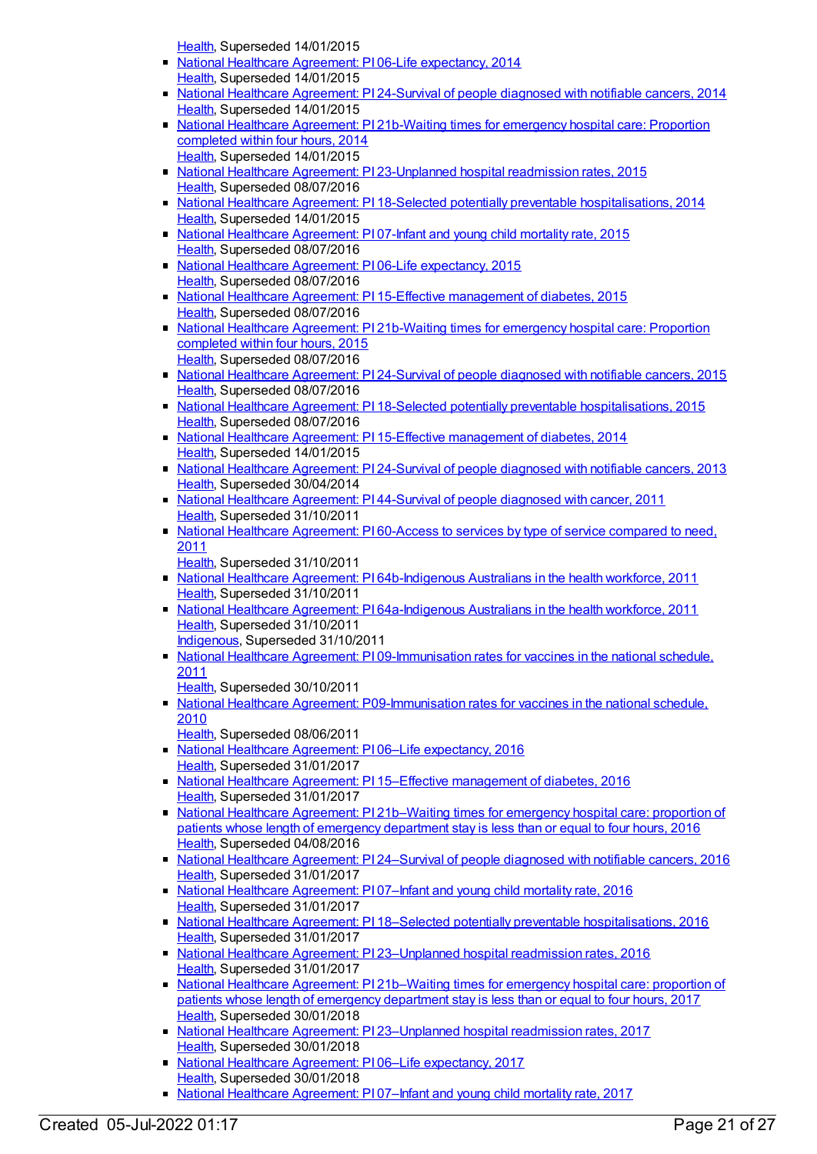[Health](https://meteor.aihw.gov.au/RegistrationAuthority/12), Superseded 14/01/2015

- National Healthcare Agreement: PI 06-Life [expectancy,](https://meteor.aihw.gov.au/content/517676) 2014 [Health](https://meteor.aihw.gov.au/RegistrationAuthority/12), Superseded 14/01/2015
- National Healthcare [Agreement:](https://meteor.aihw.gov.au/content/517632) PI 24-Survival of people diagnosed with notifiable cancers, 2014 [Health](https://meteor.aihw.gov.au/RegistrationAuthority/12), Superseded 14/01/2015
- National Healthcare Agreement: PI [21b-Waiting](https://meteor.aihw.gov.au/content/517638) times for emergency hospital care: Proportion completed within four hours, 2014 [Health](https://meteor.aihw.gov.au/RegistrationAuthority/12), Superseded 14/01/2015
- National Healthcare Agreement: PI [23-Unplanned](https://meteor.aihw.gov.au/content/559020) hospital readmission rates, 2015 [Health](https://meteor.aihw.gov.au/RegistrationAuthority/12), Superseded 08/07/2016
- National Healthcare Agreement: PI 18-Selected potentially preventable [hospitalisations,](https://meteor.aihw.gov.au/content/517648) 2014 [Health](https://meteor.aihw.gov.au/RegistrationAuthority/12), Superseded 14/01/2015
- National Healthcare [Agreement:](https://meteor.aihw.gov.au/content/559054) PI 07-Infant and young child mortality rate, 2015 [Health](https://meteor.aihw.gov.au/RegistrationAuthority/12), Superseded 08/07/2016
- National Healthcare Agreement: PI 06-Life [expectancy,](https://meteor.aihw.gov.au/content/559056) 2015 [Health](https://meteor.aihw.gov.au/RegistrationAuthority/12), Superseded 08/07/2016
- National Healthcare Agreement: PI 15-Effective [management](https://meteor.aihw.gov.au/content/559038) of diabetes, 2015 [Health](https://meteor.aihw.gov.au/RegistrationAuthority/12), Superseded 08/07/2016
- National Healthcare Agreement: PI [21b-Waiting](https://meteor.aihw.gov.au/content/559024) times for emergency hospital care: Proportion completed within four hours, 2015 [Health](https://meteor.aihw.gov.au/RegistrationAuthority/12), Superseded 08/07/2016
- National Healthcare [Agreement:](https://meteor.aihw.gov.au/content/559018) PI 24-Survival of people diagnosed with notifiable cancers, 2015 [Health](https://meteor.aihw.gov.au/RegistrationAuthority/12), Superseded 08/07/2016
- National Healthcare Agreement: PI 18-Selected potentially preventable [hospitalisations,](https://meteor.aihw.gov.au/content/559032) 2015 [Health](https://meteor.aihw.gov.au/RegistrationAuthority/12), Superseded 08/07/2016
- National Healthcare Agreement: PI 15-Effective [management](https://meteor.aihw.gov.au/content/517654) of diabetes, 2014 [Health](https://meteor.aihw.gov.au/RegistrationAuthority/12), Superseded 14/01/2015
- National Healthcare [Agreement:](https://meteor.aihw.gov.au/content/497121) PI 24-Survival of people diagnosed with notifiable cancers, 2013 [Health](https://meteor.aihw.gov.au/RegistrationAuthority/12), Superseded 30/04/2014
- National Healthcare [Agreement:](https://meteor.aihw.gov.au/content/421604) PI 44-Survival of people diagnosed with cancer, 2011 [Health](https://meteor.aihw.gov.au/RegistrationAuthority/12), Superseded 31/10/2011
- National Healthcare [Agreement:](https://meteor.aihw.gov.au/content/421592) PI 60-Access to services by type of service compared to need, 2011
	- [Health](https://meteor.aihw.gov.au/RegistrationAuthority/12), Superseded 31/10/2011
- National Healthcare Agreement: PI [64b-Indigenous](https://meteor.aihw.gov.au/content/421581) Australians in the health workforce, 2011 [Health](https://meteor.aihw.gov.au/RegistrationAuthority/12), Superseded 31/10/2011
- National Healthcare Agreement: PI [64a-Indigenous](https://meteor.aihw.gov.au/content/421583) Australians in the health workforce, 2011 [Health](https://meteor.aihw.gov.au/RegistrationAuthority/12), Superseded 31/10/2011 [Indigenous](https://meteor.aihw.gov.au/RegistrationAuthority/6), Superseded 31/10/2011
- National Healthcare Agreement: PI [09-Immunisation](https://meteor.aihw.gov.au/content/421684) rates for vaccines in the national schedule, 2011
	- [Health](https://meteor.aihw.gov.au/RegistrationAuthority/12), Superseded 30/10/2011
- National Healthcare Agreement: [P09-Immunisation](https://meteor.aihw.gov.au/content/394250) rates for vaccines in the national schedule, 2010
	- [Health](https://meteor.aihw.gov.au/RegistrationAuthority/12), Superseded 08/06/2011
- National Healthcare Agreement: P106–Life [expectancy,](https://meteor.aihw.gov.au/content/598837) 2016 [Health](https://meteor.aihw.gov.au/RegistrationAuthority/12), Superseded 31/01/2017
- National Healthcare Agreement: PI 15–Effective [management](https://meteor.aihw.gov.au/content/598752) of diabetes, 2016 [Health](https://meteor.aihw.gov.au/RegistrationAuthority/12), Superseded 31/01/2017
- National Healthcare Agreement: PI [21b–Waiting](https://meteor.aihw.gov.au/content/598736) times for emergency hospital care: proportion of patients whose length of emergency department stay is less than or equal to four hours, 2016 [Health](https://meteor.aihw.gov.au/RegistrationAuthority/12), Superseded 04/08/2016
- National Healthcare Agreement: PI [24–Survival](https://meteor.aihw.gov.au/content/598730) of people diagnosed with notifiable cancers, 2016 [Health](https://meteor.aihw.gov.au/RegistrationAuthority/12), Superseded 31/01/2017
- National Healthcare [Agreement:](https://meteor.aihw.gov.au/content/598835) PI 07-Infant and young child mortality rate, 2016 [Health](https://meteor.aihw.gov.au/RegistrationAuthority/12), Superseded 31/01/2017
- National Healthcare Agreement: PI 18–Selected potentially preventable [hospitalisations,](https://meteor.aihw.gov.au/content/598746) 2016 [Health](https://meteor.aihw.gov.au/RegistrationAuthority/12), Superseded 31/01/2017
- National Healthcare Agreement: PI [23–Unplanned](https://meteor.aihw.gov.au/content/598732) hospital readmission rates, 2016 [Health](https://meteor.aihw.gov.au/RegistrationAuthority/12), Superseded 31/01/2017
- National Healthcare Agreement: PI [21b–Waiting](https://meteor.aihw.gov.au/content/630045) times for emergency hospital care: proportion of patients whose length of emergency department stay is less than or equal to four hours, 2017 [Health](https://meteor.aihw.gov.au/RegistrationAuthority/12), Superseded 30/01/2018
- National Healthcare Agreement: PI [23–Unplanned](https://meteor.aihw.gov.au/content/630049) hospital readmission rates, 2017 [Health](https://meteor.aihw.gov.au/RegistrationAuthority/12), Superseded 30/01/2018
- National Healthcare Agreement: PI 06-Life [expectancy,](https://meteor.aihw.gov.au/content/630002) 2017 [Health](https://meteor.aihw.gov.au/RegistrationAuthority/12), Superseded 30/01/2018
- National Healthcare [Agreement:](https://meteor.aihw.gov.au/content/630004) PI 07–Infant and young child mortality rate, 2017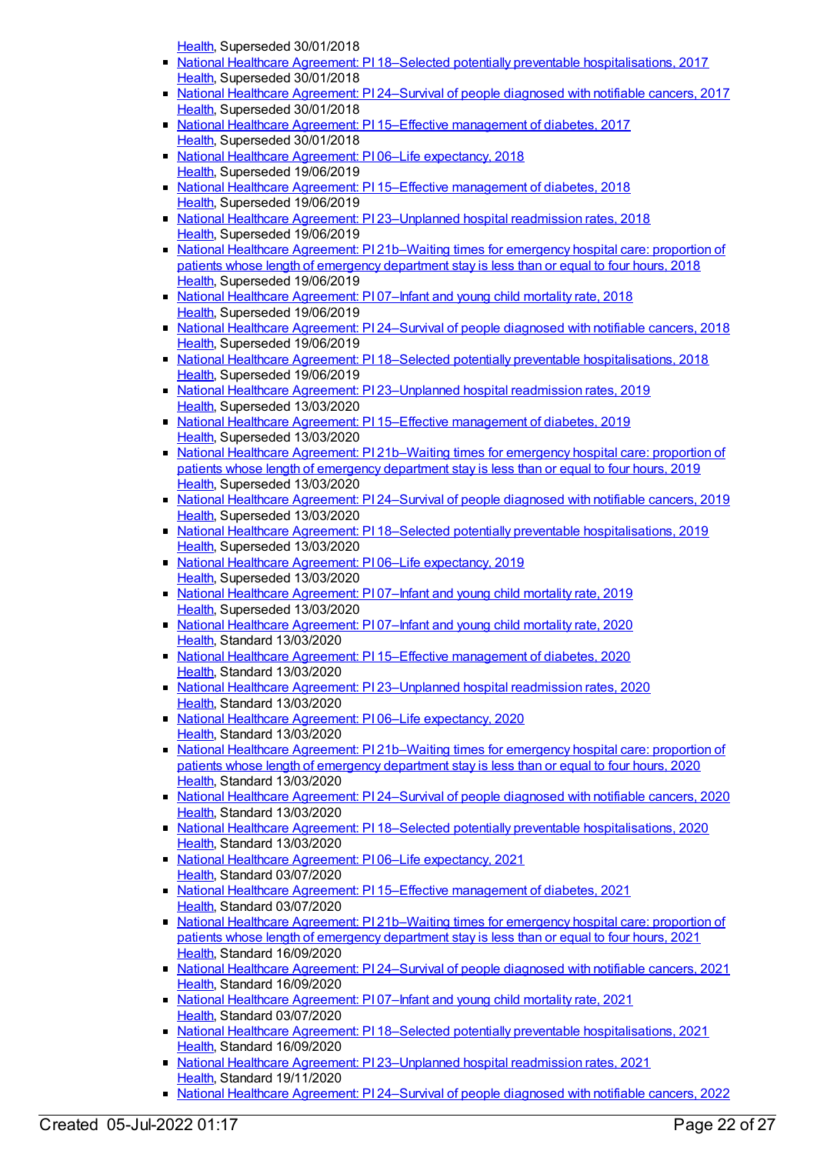[Health](https://meteor.aihw.gov.au/RegistrationAuthority/12), Superseded 30/01/2018

- National Healthcare Agreement: PI 18–Selected potentially preventable [hospitalisations,](https://meteor.aihw.gov.au/content/630028) 2017  $\blacksquare$ [Health](https://meteor.aihw.gov.au/RegistrationAuthority/12), Superseded 30/01/2018
- National Healthcare Agreement: PI [24–Survival](https://meteor.aihw.gov.au/content/630051) of people diagnosed with notifiable cancers, 2017 [Health](https://meteor.aihw.gov.au/RegistrationAuthority/12), Superseded 30/01/2018
- National Healthcare Agreement: PI 15–Effective [management](https://meteor.aihw.gov.au/content/630022) of diabetes, 2017 [Health](https://meteor.aihw.gov.au/RegistrationAuthority/12), Superseded 30/01/2018
- National Healthcare Agreement: P106–Life [expectancy,](https://meteor.aihw.gov.au/content/658523) 2018 [Health](https://meteor.aihw.gov.au/RegistrationAuthority/12), Superseded 19/06/2019
- National Healthcare Agreement: PI 15–Effective [management](https://meteor.aihw.gov.au/content/658505) of diabetes, 2018 [Health](https://meteor.aihw.gov.au/RegistrationAuthority/12), Superseded 19/06/2019
- National Healthcare Agreement: PI [23–Unplanned](https://meteor.aihw.gov.au/content/658485) hospital readmission rates, 2018 [Health](https://meteor.aihw.gov.au/RegistrationAuthority/12), Superseded 19/06/2019
- National Healthcare Agreement: PI [21b–Waiting](https://meteor.aihw.gov.au/content/658489) times for emergency hospital care: proportion of patients whose length of emergency department stay is less than or equal to four hours, 2018 [Health](https://meteor.aihw.gov.au/RegistrationAuthority/12), Superseded 19/06/2019
- National Healthcare [Agreement:](https://meteor.aihw.gov.au/content/658521) PI 07–Infant and young child mortality rate, 2018 [Health](https://meteor.aihw.gov.au/RegistrationAuthority/12), Superseded 19/06/2019
- National Healthcare Agreement: PI [24–Survival](https://meteor.aihw.gov.au/content/658483) of people diagnosed with notifiable cancers, 2018 [Health](https://meteor.aihw.gov.au/RegistrationAuthority/12), Superseded 19/06/2019
- National Healthcare Agreement: PI 18–Selected potentially preventable [hospitalisations,](https://meteor.aihw.gov.au/content/658499) 2018 [Health](https://meteor.aihw.gov.au/RegistrationAuthority/12), Superseded 19/06/2019
- National Healthcare Agreement: PI 23-Unplanned hospital readmission rates, 2019 [Health](https://meteor.aihw.gov.au/RegistrationAuthority/12), Superseded 13/03/2020
- National Healthcare Agreement: PI 15–Effective [management](https://meteor.aihw.gov.au/content/698910) of diabetes, 2019 [Health](https://meteor.aihw.gov.au/RegistrationAuthority/12), Superseded 13/03/2020
- National Healthcare Agreement: PI [21b–Waiting](https://meteor.aihw.gov.au/content/698895) times for emergency hospital care: proportion of patients whose length of emergency department stay is less than or equal to four hours, 2019 [Health](https://meteor.aihw.gov.au/RegistrationAuthority/12), Superseded 13/03/2020
- National Healthcare Agreement: PI [24–Survival](https://meteor.aihw.gov.au/content/698888) of people diagnosed with notifiable cancers, 2019 [Health](https://meteor.aihw.gov.au/RegistrationAuthority/12), Superseded 13/03/2020
- National Healthcare Agreement: PI 18–Selected potentially preventable [hospitalisations,](https://meteor.aihw.gov.au/content/698904) 2019 [Health](https://meteor.aihw.gov.au/RegistrationAuthority/12), Superseded 13/03/2020
- National Healthcare Agreement: PI 06–Life [expectancy,](https://meteor.aihw.gov.au/content/698928) 2019 [Health](https://meteor.aihw.gov.au/RegistrationAuthority/12), Superseded 13/03/2020
- National Healthcare [Agreement:](https://meteor.aihw.gov.au/content/698926) PI 07–Infant and young child mortality rate, 2019 [Health](https://meteor.aihw.gov.au/RegistrationAuthority/12), Superseded 13/03/2020
- National Healthcare [Agreement:](https://meteor.aihw.gov.au/content/716308) PI 07-Infant and young child mortality rate, 2020 [Health](https://meteor.aihw.gov.au/RegistrationAuthority/12), Standard 13/03/2020
- National Healthcare Agreement: PI 15–Effective [management](https://meteor.aihw.gov.au/content/716465) of diabetes, 2020 [Health](https://meteor.aihw.gov.au/RegistrationAuthority/12), Standard 13/03/2020
- National Healthcare Agreement: PI [23–Unplanned](https://meteor.aihw.gov.au/content/716786) hospital readmission rates, 2020 [Health](https://meteor.aihw.gov.au/RegistrationAuthority/12), Standard 13/03/2020
- National Healthcare Agreement: P106–Life [expectancy,](https://meteor.aihw.gov.au/content/716297) 2020 [Health](https://meteor.aihw.gov.au/RegistrationAuthority/12), Standard 13/03/2020
- National Healthcare Agreement: PI [21b–Waiting](https://meteor.aihw.gov.au/content/716695) times for emergency hospital care: proportion of patients whose length of emergency department stay is less than or equal to four hours, 2020 [Health](https://meteor.aihw.gov.au/RegistrationAuthority/12), Standard 13/03/2020
- National Healthcare Agreement: PI [24–Survival](https://meteor.aihw.gov.au/content/716829) of people diagnosed with notifiable cancers, 2020 [Health](https://meteor.aihw.gov.au/RegistrationAuthority/12), Standard 13/03/2020
- National Healthcare Agreement: PI 18–Selected potentially preventable [hospitalisations,](https://meteor.aihw.gov.au/content/716530) 2020 [Health](https://meteor.aihw.gov.au/RegistrationAuthority/12), Standard 13/03/2020
- National Healthcare Agreement: P106–Life [expectancy,](https://meteor.aihw.gov.au/content/725818) 2021 [Health](https://meteor.aihw.gov.au/RegistrationAuthority/12), Standard 03/07/2020
- National Healthcare Agreement: PI 15–Effective [management](https://meteor.aihw.gov.au/content/725799) of diabetes, 2021 [Health](https://meteor.aihw.gov.au/RegistrationAuthority/12), Standard 03/07/2020
- National Healthcare Agreement: PI [21b–Waiting](https://meteor.aihw.gov.au/content/725783) times for emergency hospital care: proportion of patients whose length of emergency department stay is less than or equal to four hours, 2021 [Health](https://meteor.aihw.gov.au/RegistrationAuthority/12), Standard 16/09/2020
- National Healthcare Agreement: PI [24–Survival](https://meteor.aihw.gov.au/content/725775) of people diagnosed with notifiable cancers, 2021 [Health](https://meteor.aihw.gov.au/RegistrationAuthority/12), Standard 16/09/2020
- National Healthcare [Agreement:](https://meteor.aihw.gov.au/content/725815) PI 07-Infant and young child mortality rate, 2021 [Health](https://meteor.aihw.gov.au/RegistrationAuthority/12), Standard 03/07/2020
- National Healthcare Agreement: PI 18–Selected potentially preventable [hospitalisations,](https://meteor.aihw.gov.au/content/725793) 2021 [Health](https://meteor.aihw.gov.au/RegistrationAuthority/12), Standard 16/09/2020
- National Healthcare Agreement: PI [23–Unplanned](https://meteor.aihw.gov.au/content/725779) hospital readmission rates, 2021 [Health](https://meteor.aihw.gov.au/RegistrationAuthority/12), Standard 19/11/2020
- National Healthcare Agreement: PI [24–Survival](https://meteor.aihw.gov.au/content/740830) of people diagnosed with notifiable cancers, 2022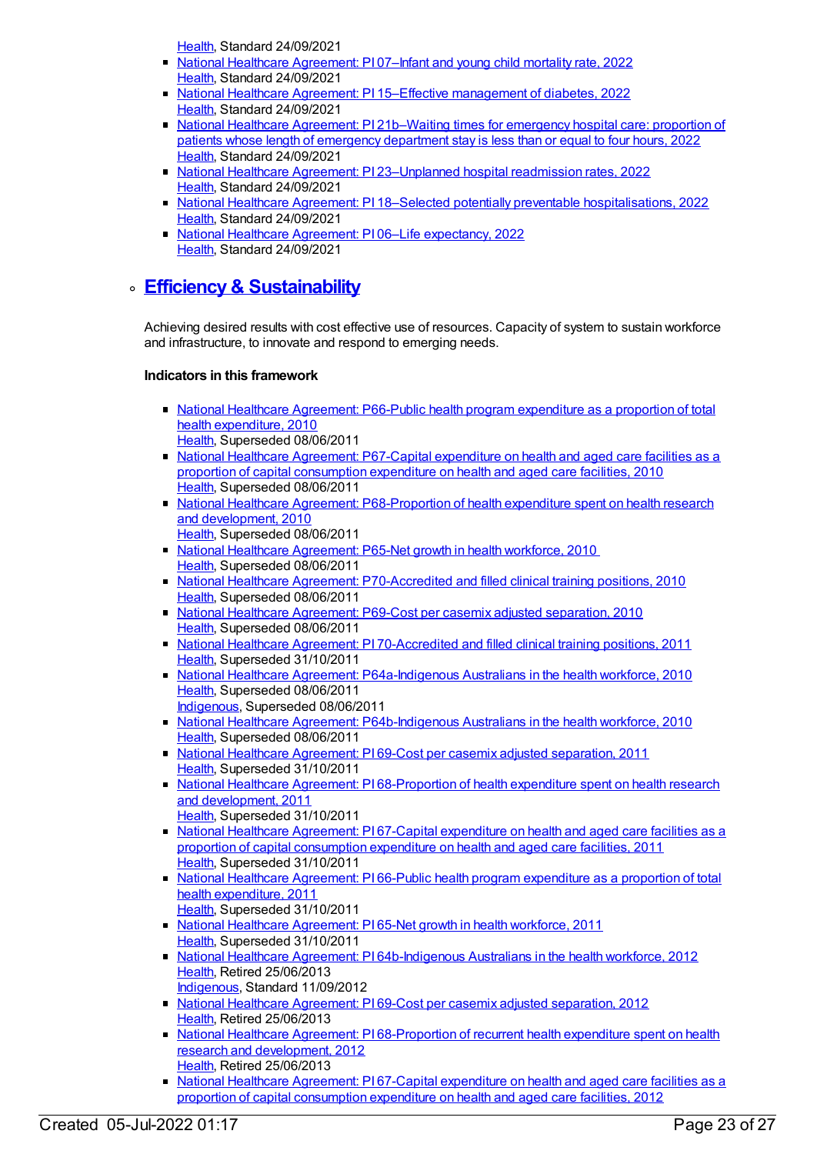[Health](https://meteor.aihw.gov.au/RegistrationAuthority/12), Standard 24/09/2021

- National Healthcare [Agreement:](https://meteor.aihw.gov.au/content/740882) PI 07–Infant and young child mortality rate, 2022 [Health](https://meteor.aihw.gov.au/RegistrationAuthority/12), Standard 24/09/2021
- National Healthcare Agreement: PI 15–Effective [management](https://meteor.aihw.gov.au/content/740866) of diabetes, 2022 [Health](https://meteor.aihw.gov.au/RegistrationAuthority/12), Standard 24/09/2021
- National Healthcare Agreement: PI 21b-Waiting times for emergency hospital care: proportion of patients whose length of emergency department stay is less than or equal to four hours, 2022 [Health](https://meteor.aihw.gov.au/RegistrationAuthority/12), Standard 24/09/2021
- National Healthcare Agreement: PI 23-Unplanned hospital readmission rates, 2022 [Health](https://meteor.aihw.gov.au/RegistrationAuthority/12), Standard 24/09/2021
- National Healthcare Agreement: PI 18–Selected potentially preventable [hospitalisations,](https://meteor.aihw.gov.au/content/740851) 2022 [Health](https://meteor.aihw.gov.au/RegistrationAuthority/12), Standard 24/09/2021
- National Healthcare Agreement: PI 06–Life [expectancy,](https://meteor.aihw.gov.au/content/740884) 2022 [Health](https://meteor.aihw.gov.au/RegistrationAuthority/12), Standard 24/09/2021

### **Efficiency& [Sustainability](https://meteor.aihw.gov.au/content/392586)**

Achieving desired results with cost effective use of resources. Capacity of system to sustain workforce and infrastructure, to innovate and respond to emerging needs.

- National Healthcare [Agreement:](https://meteor.aihw.gov.au/content/395143) P66-Public health program expenditure as a proportion of total health expenditure, 2010 [Health](https://meteor.aihw.gov.au/RegistrationAuthority/12), Superseded 08/06/2011
- National Healthcare Agreement: [P67-Capital](https://meteor.aihw.gov.au/content/395147) expenditure on health and aged care facilities as a proportion of capital consumption expenditure on health and aged care facilities, 2010 [Health](https://meteor.aihw.gov.au/RegistrationAuthority/12), Superseded 08/06/2011
- National Healthcare Agreement: [P68-Proportion](https://meteor.aihw.gov.au/content/395152) of health expenditure spent on health research and development, 2010
	- [Health](https://meteor.aihw.gov.au/RegistrationAuthority/12), Superseded 08/06/2011
- National Healthcare [Agreement:](https://meteor.aihw.gov.au/content/395140) P65-Net growth in health workforce, 2010 [Health](https://meteor.aihw.gov.au/RegistrationAuthority/12), Superseded 08/06/2011
- National Healthcare Agreement: [P70-Accredited](https://meteor.aihw.gov.au/content/395159) and filled clinical training positions, 2010 [Health](https://meteor.aihw.gov.au/RegistrationAuthority/12), Superseded 08/06/2011
- National Healthcare [Agreement:](https://meteor.aihw.gov.au/content/395155) P69-Cost per casemix adjusted separation, 2010 [Health](https://meteor.aihw.gov.au/RegistrationAuthority/12), Superseded 08/06/2011
- National Healthcare Agreement: PI [70-Accredited](https://meteor.aihw.gov.au/content/402301) and filled clinical training positions, 2011 [Health](https://meteor.aihw.gov.au/RegistrationAuthority/12), Superseded 31/10/2011
- **National Healthcare Agreement: [P64a-Indigenous](https://meteor.aihw.gov.au/content/395129) Australians in the health workforce, 2010** [Health](https://meteor.aihw.gov.au/RegistrationAuthority/12), Superseded 08/06/2011 [Indigenous](https://meteor.aihw.gov.au/RegistrationAuthority/6), Superseded 08/06/2011
- National Healthcare Agreement: [P64b-Indigenous](https://meteor.aihw.gov.au/content/395132) Australians in the health workforce, 2010 [Health](https://meteor.aihw.gov.au/RegistrationAuthority/12), Superseded 08/06/2011
- National Healthcare [Agreement:](https://meteor.aihw.gov.au/content/421565) PI 69-Cost per casemix adjusted separation, 2011 [Health](https://meteor.aihw.gov.au/RegistrationAuthority/12), Superseded 31/10/2011
- National Healthcare Agreement: PI [68-Proportion](https://meteor.aihw.gov.au/content/421567) of health expenditure spent on health research and development, 2011 [Health](https://meteor.aihw.gov.au/RegistrationAuthority/12), Superseded 31/10/2011
- National Healthcare [Agreement:](https://meteor.aihw.gov.au/content/421570) PI 67-Capital expenditure on health and aged care facilities as a proportion of capital consumption expenditure on health and aged care facilities, 2011 [Health](https://meteor.aihw.gov.au/RegistrationAuthority/12), Superseded 31/10/2011
- National Healthcare [Agreement:](https://meteor.aihw.gov.au/content/421572) PI 66-Public health program expenditure as a proportion of total health expenditure, 2011
- [Health](https://meteor.aihw.gov.au/RegistrationAuthority/12), Superseded 31/10/2011
- National Healthcare [Agreement:](https://meteor.aihw.gov.au/content/421577) PI 65-Net growth in health workforce, 2011 [Health](https://meteor.aihw.gov.au/RegistrationAuthority/12), Superseded 31/10/2011
- National Healthcare Agreement: PI [64b-Indigenous](https://meteor.aihw.gov.au/content/435906) Australians in the health workforce, 2012 [Health](https://meteor.aihw.gov.au/RegistrationAuthority/12), Retired 25/06/2013 [Indigenous](https://meteor.aihw.gov.au/RegistrationAuthority/6), Standard 11/09/2012
- National Healthcare [Agreement:](https://meteor.aihw.gov.au/content/443715) PI 69-Cost per casemix adjusted separation, 2012 [Health](https://meteor.aihw.gov.au/RegistrationAuthority/12), Retired 25/06/2013
- National Healthcare Agreement: PI [68-Proportion](https://meteor.aihw.gov.au/content/436962) of recurrent health expenditure spent on health research and development, 2012 [Health](https://meteor.aihw.gov.au/RegistrationAuthority/12), Retired 25/06/2013
- National Healthcare [Agreement:](https://meteor.aihw.gov.au/content/436861) PI 67-Capital expenditure on health and aged care facilities as a proportion of capital consumption expenditure on health and aged care facilities, 2012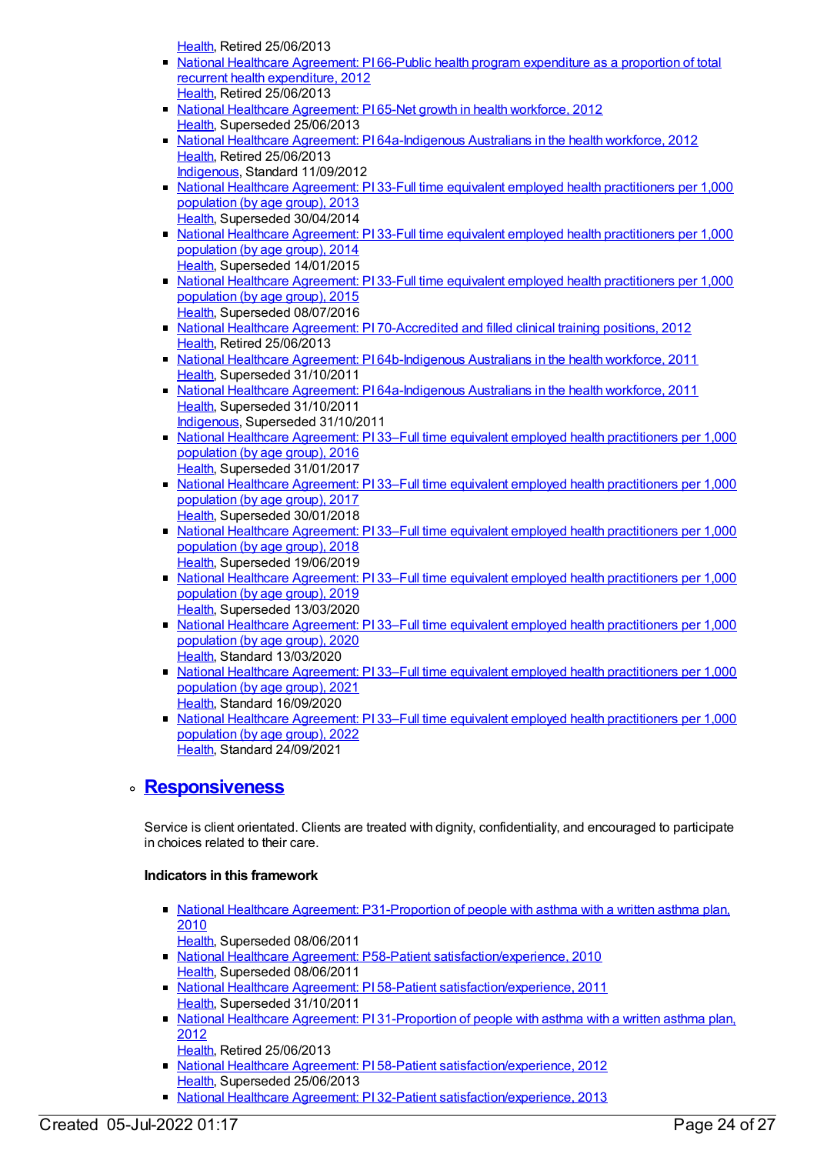[Health](https://meteor.aihw.gov.au/RegistrationAuthority/12), Retired 25/06/2013

- National Healthcare [Agreement:](https://meteor.aihw.gov.au/content/436866) PI 66-Public health program expenditure as a proportion of total recurrent health expenditure, 2012 [Health](https://meteor.aihw.gov.au/RegistrationAuthority/12), Retired 25/06/2013
- National Healthcare [Agreement:](https://meteor.aihw.gov.au/content/435911) PI 65-Net growth in health workforce, 2012 [Health](https://meteor.aihw.gov.au/RegistrationAuthority/12), Superseded 25/06/2013
- National Healthcare Agreement: PI [64a-Indigenous](https://meteor.aihw.gov.au/content/435914) Australians in the health workforce, 2012 [Health](https://meteor.aihw.gov.au/RegistrationAuthority/12), Retired 25/06/2013
- [Indigenous](https://meteor.aihw.gov.au/RegistrationAuthority/6), Standard 11/09/2012 • National Healthcare Agreement: PI 33-Full time equivalent employed health [practitioners](https://meteor.aihw.gov.au/content/496813) per 1,000 population (by age group), 2013
- [Health](https://meteor.aihw.gov.au/RegistrationAuthority/12), Superseded 30/04/2014 • National Healthcare Agreement: PI 33-Full time equivalent employed health [practitioners](https://meteor.aihw.gov.au/content/517611) per 1,000 population (by age group), 2014 [Health](https://meteor.aihw.gov.au/RegistrationAuthority/12), Superseded 14/01/2015
- National Healthcare Agreement: PI 33-Full time equivalent employed health [practitioners](https://meteor.aihw.gov.au/content/559000) per 1,000 population (by age group), 2015 [Health](https://meteor.aihw.gov.au/RegistrationAuthority/12), Superseded 08/07/2016
- National Healthcare Agreement: PI [70-Accredited](https://meteor.aihw.gov.au/content/435908) and filled clinical training positions, 2012 [Health](https://meteor.aihw.gov.au/RegistrationAuthority/12), Retired 25/06/2013
- National Healthcare Agreement: PI [64b-Indigenous](https://meteor.aihw.gov.au/content/421581) Australians in the health workforce, 2011 [Health](https://meteor.aihw.gov.au/RegistrationAuthority/12), Superseded 31/10/2011
- National Healthcare Agreement: PI [64a-Indigenous](https://meteor.aihw.gov.au/content/421583) Australians in the health workforce, 2011 [Health](https://meteor.aihw.gov.au/RegistrationAuthority/12), Superseded 31/10/2011 [Indigenous](https://meteor.aihw.gov.au/RegistrationAuthority/6), Superseded 31/10/2011
- National Healthcare Agreement: PI 33–Full time equivalent employed health [practitioners](https://meteor.aihw.gov.au/content/598712) per 1,000 population (by age group), 2016 [Health](https://meteor.aihw.gov.au/RegistrationAuthority/12), Superseded 31/01/2017
- National Healthcare Agreement: PI 33–Full time equivalent employed health [practitioners](https://meteor.aihw.gov.au/content/630069) per 1,000 population (by age group), 2017 [Health](https://meteor.aihw.gov.au/RegistrationAuthority/12), Superseded 30/01/2018
- National Healthcare Agreement: PI 33–Full time equivalent employed health [practitioners](https://meteor.aihw.gov.au/content/658465) per 1,000 population (by age group), 2018 [Health](https://meteor.aihw.gov.au/RegistrationAuthority/12), Superseded 19/06/2019
- National Healthcare Agreement: PI 33–Full time equivalent employed health [practitioners](https://meteor.aihw.gov.au/content/698870) per 1,000 population (by age group), 2019 [Health](https://meteor.aihw.gov.au/RegistrationAuthority/12), Superseded 13/03/2020
- National Healthcare Agreement: PI 33–Full time equivalent employed health [practitioners](https://meteor.aihw.gov.au/content/716869) per 1,000 population (by age group), 2020 [Health](https://meteor.aihw.gov.au/RegistrationAuthority/12), Standard 13/03/2020
- National Healthcare Agreement: PI 33–Full time equivalent employed health [practitioners](https://meteor.aihw.gov.au/content/725755) per 1,000 population (by age group), 2021 [Health](https://meteor.aihw.gov.au/RegistrationAuthority/12), Standard 16/09/2020
- National Healthcare Agreement: PI 33–Full time equivalent employed health [practitioners](https://meteor.aihw.gov.au/content/740740) per 1,000 population (by age group), 2022 [Health](https://meteor.aihw.gov.au/RegistrationAuthority/12), Standard 24/09/2021

# **[Responsiveness](https://meteor.aihw.gov.au/content/392585)**

Service is client orientated. Clients are treated with dignity, confidentiality, and encouraged to participate in choices related to their care.

- National Healthcare Agreement: [P31-Proportion](https://meteor.aihw.gov.au/content/394978) of people with asthma with a written asthma plan, 2010
- [Health](https://meteor.aihw.gov.au/RegistrationAuthority/12), Superseded 08/06/2011
- National Healthcare Agreement: P58-Patient [satisfaction/experience,](https://meteor.aihw.gov.au/content/395097) 2010 [Health](https://meteor.aihw.gov.au/RegistrationAuthority/12), Superseded 08/06/2011
- National Healthcare Agreement: PI 58-Patient [satisfaction/experience,](https://meteor.aihw.gov.au/content/402446) 2011 [Health](https://meteor.aihw.gov.au/RegistrationAuthority/12), Superseded 31/10/2011
- National Healthcare Agreement: PI [31-Proportion](https://meteor.aihw.gov.au/content/435988) of people with asthma with a written asthma plan, 2012
	- [Health](https://meteor.aihw.gov.au/RegistrationAuthority/12), Retired 25/06/2013
- **National Healthcare Agreement: PI 58-Patient [satisfaction/experience,](https://meteor.aihw.gov.au/content/436851) 2012** [Health](https://meteor.aihw.gov.au/RegistrationAuthority/12), Superseded 25/06/2013
- National Healthcare Agreement: PI 32-Patient [satisfaction/experience,](https://meteor.aihw.gov.au/content/496816) 2013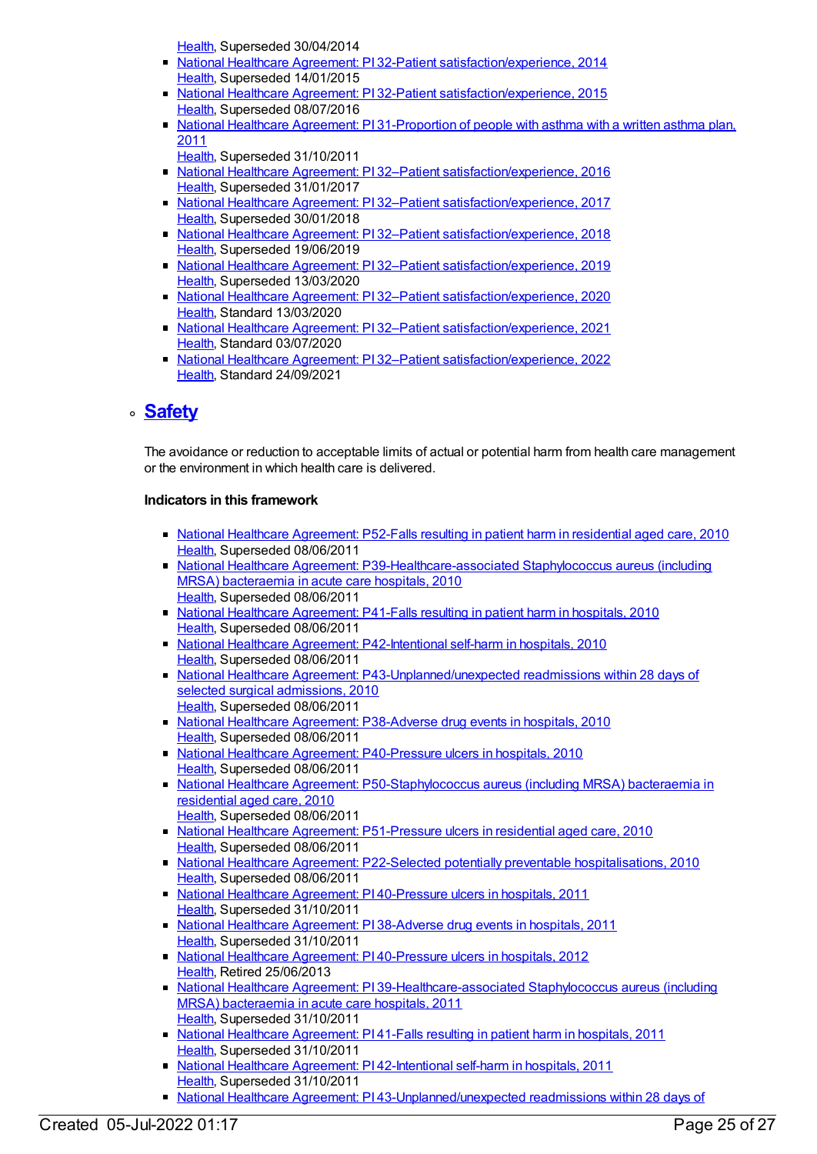[Health](https://meteor.aihw.gov.au/RegistrationAuthority/12), Superseded 30/04/2014

- National Healthcare Agreement: PI 32-Patient [satisfaction/experience,](https://meteor.aihw.gov.au/content/517614) 2014 [Health](https://meteor.aihw.gov.au/RegistrationAuthority/12), Superseded 14/01/2015
- **National Healthcare Agreement: PI 32-Patient [satisfaction/experience,](https://meteor.aihw.gov.au/content/559002) 2015** [Health](https://meteor.aihw.gov.au/RegistrationAuthority/12), Superseded 08/07/2016
- National Healthcare Agreement: PI [31-Proportion](https://meteor.aihw.gov.au/content/421629) of people with asthma with a written asthma plan, 2011
	- [Health](https://meteor.aihw.gov.au/RegistrationAuthority/12), Superseded 31/10/2011
- National Healthcare Agreement: PI 32-Patient [satisfaction/experience,](https://meteor.aihw.gov.au/content/598714) 2016 [Health](https://meteor.aihw.gov.au/RegistrationAuthority/12), Superseded 31/01/2017
- National Healthcare Agreement: PI 32-Patient [satisfaction/experience,](https://meteor.aihw.gov.au/content/630067) 2017 [Health](https://meteor.aihw.gov.au/RegistrationAuthority/12), Superseded 30/01/2018
- National Healthcare Agreement: PI 32–Patient [satisfaction/experience,](https://meteor.aihw.gov.au/content/658467) 2018 [Health](https://meteor.aihw.gov.au/RegistrationAuthority/12), Superseded 19/06/2019
- National Healthcare Agreement: PI 32-Patient [satisfaction/experience,](https://meteor.aihw.gov.au/content/698872) 2019 [Health](https://meteor.aihw.gov.au/RegistrationAuthority/12), Superseded 13/03/2020
- National Healthcare Agreement: PI 32-Patient [satisfaction/experience,](https://meteor.aihw.gov.au/content/716864) 2020 [Health](https://meteor.aihw.gov.au/RegistrationAuthority/12), Standard 13/03/2020
- National Healthcare Agreement: PI 32-Patient [satisfaction/experience,](https://meteor.aihw.gov.au/content/725757) 2021 [Health](https://meteor.aihw.gov.au/RegistrationAuthority/12), Standard 03/07/2020
- National Healthcare Agreement: PI 32-Patient [satisfaction/experience,](https://meteor.aihw.gov.au/content/740744) 2022 [Health](https://meteor.aihw.gov.au/RegistrationAuthority/12), Standard 24/09/2021

# **[Safety](https://meteor.aihw.gov.au/content/392584)**

The avoidance or reduction to acceptable limits of actual or potential harm from health care management or the environment in which health care is delivered.

- National Healthcare [Agreement:](https://meteor.aihw.gov.au/content/400209) P52-Falls resulting in patient harm in residential aged care, 2010 [Health](https://meteor.aihw.gov.au/RegistrationAuthority/12), Superseded 08/06/2011
- National Healthcare Agreement: [P39-Healthcare-associated](https://meteor.aihw.gov.au/content/395068) Staphylococcus aureus (including MRSA) bacteraemia in acute care hospitals, 2010 [Health](https://meteor.aihw.gov.au/RegistrationAuthority/12), Superseded 08/06/2011
- National Healthcare [Agreement:](https://meteor.aihw.gov.au/content/395076) P41-Falls resulting in patient harm in hospitals, 2010 [Health](https://meteor.aihw.gov.au/RegistrationAuthority/12), Superseded 08/06/2011
- National Healthcare Agreement: [P42-Intentional](https://meteor.aihw.gov.au/content/395079) self-harm in hospitals, 2010 [Health](https://meteor.aihw.gov.au/RegistrationAuthority/12), Superseded 08/06/2011
- National Healthcare Agreement: [P43-Unplanned/unexpected](https://meteor.aihw.gov.au/content/395081) readmissions within 28 days of selected surgical admissions, 2010 [Health](https://meteor.aihw.gov.au/RegistrationAuthority/12), Superseded 08/06/2011
- National Healthcare Agreement: [P38-Adverse](https://meteor.aihw.gov.au/content/395066) drug events in hospitals, 2010 [Health](https://meteor.aihw.gov.au/RegistrationAuthority/12), Superseded 08/06/2011
- National Healthcare Agreement: [P40-Pressure](https://meteor.aihw.gov.au/content/395073) ulcers in hospitals, 2010 [Health](https://meteor.aihw.gov.au/RegistrationAuthority/12), Superseded 08/06/2011
- National Healthcare Agreement: [P50-Staphylococcus](https://meteor.aihw.gov.au/content/400137) aureus (including MRSA) bacteraemia in residential aged care, 2010 [Health](https://meteor.aihw.gov.au/RegistrationAuthority/12), Superseded 08/06/2011
- National Healthcare Agreement: [P51-Pressure](https://meteor.aihw.gov.au/content/400157) ulcers in residential aged care, 2010 [Health](https://meteor.aihw.gov.au/RegistrationAuthority/12), Superseded 08/06/2011
- National Healthcare Agreement: P22-Selected potentially preventable [hospitalisations,](https://meteor.aihw.gov.au/content/394719) 2010 [Health](https://meteor.aihw.gov.au/RegistrationAuthority/12), Superseded 08/06/2011
- National Healthcare Agreement: PI [40-Pressure](https://meteor.aihw.gov.au/content/403136) ulcers in hospitals, 2011 [Health](https://meteor.aihw.gov.au/RegistrationAuthority/12), Superseded 31/10/2011
- National Healthcare [Agreement:](https://meteor.aihw.gov.au/content/403062) PI 38-Adverse drug events in hospitals, 2011 [Health](https://meteor.aihw.gov.au/RegistrationAuthority/12), Superseded 31/10/2011
- National Healthcare Agreement: PI [40-Pressure](https://meteor.aihw.gov.au/content/443703) ulcers in hospitals, 2012 [Health](https://meteor.aihw.gov.au/RegistrationAuthority/12), Retired 25/06/2013
- National Healthcare Agreement: PI [39-Healthcare-associated](https://meteor.aihw.gov.au/content/421616) Staphylococcus aureus (including MRSA) bacteraemia in acute care hospitals, 2011 [Health](https://meteor.aihw.gov.au/RegistrationAuthority/12), Superseded 31/10/2011
- National Healthcare [Agreement:](https://meteor.aihw.gov.au/content/421611) PI 41-Falls resulting in patient harm in hospitals, 2011 [Health](https://meteor.aihw.gov.au/RegistrationAuthority/12), Superseded 31/10/2011
- National Healthcare Agreement: PI [42-Intentional](https://meteor.aihw.gov.au/content/421609) self-harm in hospitals, 2011 [Health](https://meteor.aihw.gov.au/RegistrationAuthority/12), Superseded 31/10/2011
- National Healthcare Agreement: PI [43-Unplanned/unexpected](https://meteor.aihw.gov.au/content/421607) readmissions within 28 days of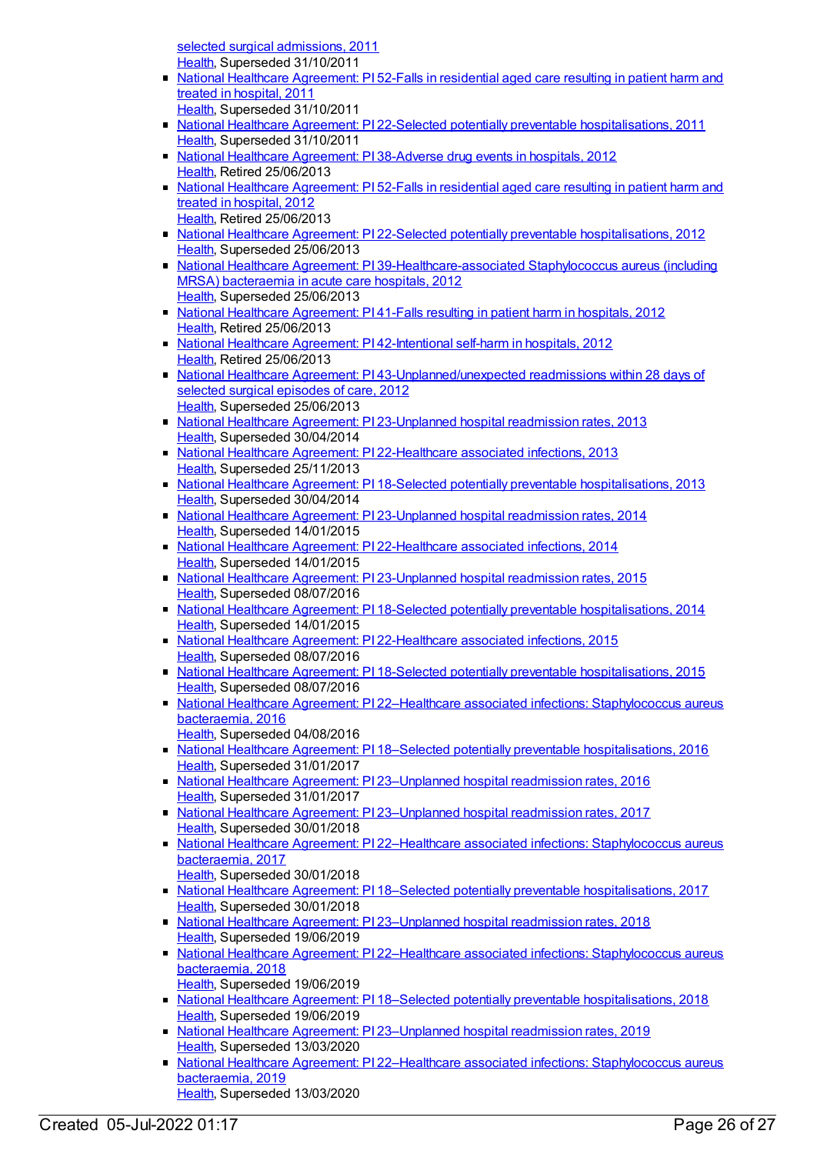selected surgical admissions, 2011 [Health](https://meteor.aihw.gov.au/RegistrationAuthority/12), Superseded 31/10/2011

- National Healthcare [Agreement:](https://meteor.aihw.gov.au/content/421559) PI 52-Falls in residential aged care resulting in patient harm and treated in hospital, 2011
	- [Health](https://meteor.aihw.gov.au/RegistrationAuthority/12), Superseded 31/10/2011
- National Healthcare Agreement: PI 22-Selected potentially preventable [hospitalisations,](https://meteor.aihw.gov.au/content/421649) 2011 [Health](https://meteor.aihw.gov.au/RegistrationAuthority/12), Superseded 31/10/2011
- National Healthcare [Agreement:](https://meteor.aihw.gov.au/content/443695) PI 38-Adverse drug events in hospitals, 2012 [Health](https://meteor.aihw.gov.au/RegistrationAuthority/12), Retired 25/06/2013
- National Healthcare [Agreement:](https://meteor.aihw.gov.au/content/435893) PI 52-Falls in residential aged care resulting in patient harm and treated in hospital, 2012 [Health](https://meteor.aihw.gov.au/RegistrationAuthority/12), Retired 25/06/2013
- National Healthcare Agreement: PI 22-Selected potentially preventable [hospitalisations,](https://meteor.aihw.gov.au/content/443687) 2012 [Health](https://meteor.aihw.gov.au/RegistrationAuthority/12), Superseded 25/06/2013
- National Healthcare Agreement: PI [39-Healthcare-associated](https://meteor.aihw.gov.au/content/443699) Staphylococcus aureus (including MRSA) bacteraemia in acute care hospitals, 2012 [Health](https://meteor.aihw.gov.au/RegistrationAuthority/12), Superseded 25/06/2013
- National Healthcare [Agreement:](https://meteor.aihw.gov.au/content/443705) PI 41-Falls resulting in patient harm in hospitals, 2012 [Health](https://meteor.aihw.gov.au/RegistrationAuthority/12), Retired 25/06/2013
- National Healthcare Agreement: PI [42-Intentional](https://meteor.aihw.gov.au/content/443709) self-harm in hospitals, 2012 [Health](https://meteor.aihw.gov.au/RegistrationAuthority/12), Retired 25/06/2013
- National Healthcare Agreement: PI [43-Unplanned/unexpected](https://meteor.aihw.gov.au/content/443711) readmissions within 28 days of selected surgical episodes of care, 2012 [Health](https://meteor.aihw.gov.au/RegistrationAuthority/12), Superseded 25/06/2013
- National Healthcare Agreement: PI [23-Unplanned](https://meteor.aihw.gov.au/content/497129) hospital readmission rates, 2013 [Health](https://meteor.aihw.gov.au/RegistrationAuthority/12), Superseded 30/04/2014
- National Healthcare Agreement: PI [22-Healthcare](https://meteor.aihw.gov.au/content/497153) associated infections, 2013 [Health](https://meteor.aihw.gov.au/RegistrationAuthority/12), Superseded 25/11/2013
- National Healthcare Agreement: PI 18-Selected potentially preventable [hospitalisations,](https://meteor.aihw.gov.au/content/497224) 2013 [Health](https://meteor.aihw.gov.au/RegistrationAuthority/12), Superseded 30/04/2014
- National Healthcare Agreement: PI [23-Unplanned](https://meteor.aihw.gov.au/content/517634) hospital readmission rates, 2014 [Health](https://meteor.aihw.gov.au/RegistrationAuthority/12), Superseded 14/01/2015
- National Healthcare Agreement: PI [22-Healthcare](https://meteor.aihw.gov.au/content/517636) associated infections, 2014 [Health](https://meteor.aihw.gov.au/RegistrationAuthority/12), Superseded 14/01/2015
- National Healthcare Agreement: PI [23-Unplanned](https://meteor.aihw.gov.au/content/559020) hospital readmission rates, 2015 [Health](https://meteor.aihw.gov.au/RegistrationAuthority/12), Superseded 08/07/2016
- National Healthcare Agreement: PI 18-Selected potentially preventable [hospitalisations,](https://meteor.aihw.gov.au/content/517648) 2014 [Health](https://meteor.aihw.gov.au/RegistrationAuthority/12), Superseded 14/01/2015
- National Healthcare Agreement: PI [22-Healthcare](https://meteor.aihw.gov.au/content/559022) associated infections, 2015 [Health](https://meteor.aihw.gov.au/RegistrationAuthority/12), Superseded 08/07/2016
- National Healthcare Agreement: PI 18-Selected potentially preventable [hospitalisations,](https://meteor.aihw.gov.au/content/559032) 2015 [Health](https://meteor.aihw.gov.au/RegistrationAuthority/12), Superseded 08/07/2016
- National Healthcare Agreement: PI 22–Healthcare associated infections: [Staphylococcus](https://meteor.aihw.gov.au/content/598734) aureus bacteraemia, 2016
- [Health](https://meteor.aihw.gov.au/RegistrationAuthority/12), Superseded 04/08/2016 ■ National Healthcare Agreement: PI 18–Selected potentially preventable [hospitalisations,](https://meteor.aihw.gov.au/content/598746) 2016
- [Health](https://meteor.aihw.gov.au/RegistrationAuthority/12), Superseded 31/01/2017
- National Healthcare Agreement: PI [23–Unplanned](https://meteor.aihw.gov.au/content/598732) hospital readmission rates, 2016 [Health](https://meteor.aihw.gov.au/RegistrationAuthority/12), Superseded 31/01/2017
- National Healthcare Agreement: PI [23–Unplanned](https://meteor.aihw.gov.au/content/630049) hospital readmission rates, 2017 [Health](https://meteor.aihw.gov.au/RegistrationAuthority/12), Superseded 30/01/2018
- National Healthcare Agreement: PI 22–Healthcare associated infections: [Staphylococcus](https://meteor.aihw.gov.au/content/630047) aureus bacteraemia, 2017
- [Health](https://meteor.aihw.gov.au/RegistrationAuthority/12), Superseded 30/01/2018 ■ National Healthcare Agreement: PI 18–Selected potentially preventable [hospitalisations,](https://meteor.aihw.gov.au/content/630028) 2017
- [Health](https://meteor.aihw.gov.au/RegistrationAuthority/12), Superseded 30/01/2018 ■ National Healthcare Agreement: PI [23–Unplanned](https://meteor.aihw.gov.au/content/658485) hospital readmission rates, 2018 [Health](https://meteor.aihw.gov.au/RegistrationAuthority/12), Superseded 19/06/2019
- National Healthcare Agreement: PI 22–Healthcare associated infections: [Staphylococcus](https://meteor.aihw.gov.au/content/658487) aureus bacteraemia, 2018 [Health](https://meteor.aihw.gov.au/RegistrationAuthority/12), Superseded 19/06/2019
- National Healthcare Agreement: PI 18–Selected potentially preventable [hospitalisations,](https://meteor.aihw.gov.au/content/658499) 2018 [Health](https://meteor.aihw.gov.au/RegistrationAuthority/12), Superseded 19/06/2019
- National Healthcare Agreement: PI [23–Unplanned](https://meteor.aihw.gov.au/content/698890) hospital readmission rates, 2019 [Health](https://meteor.aihw.gov.au/RegistrationAuthority/12), Superseded 13/03/2020
- National Healthcare Agreement: PI 22-Healthcare associated infections: [Staphylococcus](https://meteor.aihw.gov.au/content/698892) aureus bacteraemia, 2019 [Health](https://meteor.aihw.gov.au/RegistrationAuthority/12), Superseded 13/03/2020